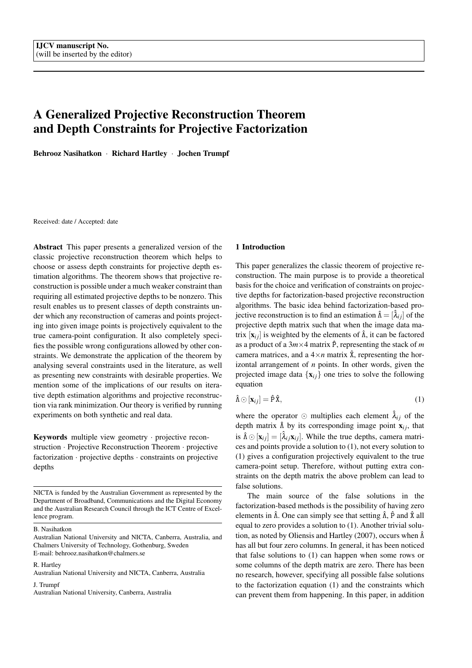# A Generalized Projective Reconstruction Theorem and Depth Constraints for Projective Factorization

Behrooz Nasihatkon · Richard Hartley · Jochen Trumpf

Received: date / Accepted: date

Abstract This paper presents a generalized version of the classic projective reconstruction theorem which helps to choose or assess depth constraints for projective depth estimation algorithms. The theorem shows that projective reconstruction is possible under a much weaker constraint than requiring all estimated projective depths to be nonzero. This result enables us to present classes of depth constraints under which any reconstruction of cameras and points projecting into given image points is projectively equivalent to the true camera-point configuration. It also completely specifies the possible wrong configurations allowed by other constraints. We demonstrate the application of the theorem by analysing several constraints used in the literature, as well as presenting new constraints with desirable properties. We mention some of the implications of our results on iterative depth estimation algorithms and projective reconstruction via rank minimization. Our theory is verified by running experiments on both synthetic and real data.

Keywords multiple view geometry · projective reconstruction · Projective Reconstruction Theorem · projective factorization · projective depths · constraints on projective depths

NICTA is funded by the Australian Government as represented by the Department of Broadband, Communications and the Digital Economy and the Australian Research Council through the ICT Centre of Excellence program.

B. Nasihatkon

R. Hartley

# 1 Introduction

This paper generalizes the classic theorem of projective reconstruction. The main purpose is to provide a theoretical basis for the choice and verification of constraints on projective depths for factorization-based projective reconstruction algorithms. The basic idea behind factorization-based projective reconstruction is to find an estimation  $\hat{\Lambda} = [\hat{\lambda}_{ij}]$  of the projective depth matrix such that when the image data matrix  $[x_{ij}]$  is weighted by the elements of  $\hat{\Lambda}$ , it can be factored as a product of a  $3m \times 4$  matrix  $\hat{P}$ , representing the stack of *m* camera matrices, and a  $4 \times n$  matrix  $\hat{x}$ , representing the horizontal arrangement of *n* points. In other words, given the projected image data  $\{x_{ij}\}$  one tries to solve the following equation

$$
\hat{\Lambda} \odot [\mathbf{x}_{ij}] = \hat{\mathbf{P}} \hat{\mathbf{x}},\tag{1}
$$

where the operator  $\odot$  multiplies each element  $\lambda_{ij}$  of the depth matrix  $\hat{\Lambda}$  by its corresponding image point  $\mathbf{x}_{ij}$ , that is  $\hat{\Lambda} \odot [\mathbf{x}_{ij}] = [\hat{\lambda}_{ij} \mathbf{x}_{ij}]$ . While the true depths, camera matrices and points provide a solution to (1), not every solution to (1) gives a configuration projectively equivalent to the true camera-point setup. Therefore, without putting extra constraints on the depth matrix the above problem can lead to false solutions.

The main source of the false solutions in the factorization-based methods is the possibility of having zero elements in  $\hat{\Lambda}$ . One can simply see that setting  $\hat{\Lambda}$ ,  $\hat{P}$  and  $\hat{X}$  all equal to zero provides a solution to (1). Another trivial solution, as noted by Oliensis and Hartley (2007), occurs when  $\hat{\Lambda}$ has all but four zero columns. In general, it has been noticed that false solutions to (1) can happen when some rows or some columns of the depth matrix are zero. There has been no research, however, specifying all possible false solutions to the factorization equation (1) and the constraints which can prevent them from happening. In this paper, in addition

Australian National University and NICTA, Canberra, Australia, and Chalmers University of Technology, Gothenburg, Sweden E-mail: behrooz.nasihatkon@chalmers.se

Australian National University and NICTA, Canberra, Australia J. Trumpf

Australian National University, Canberra, Australia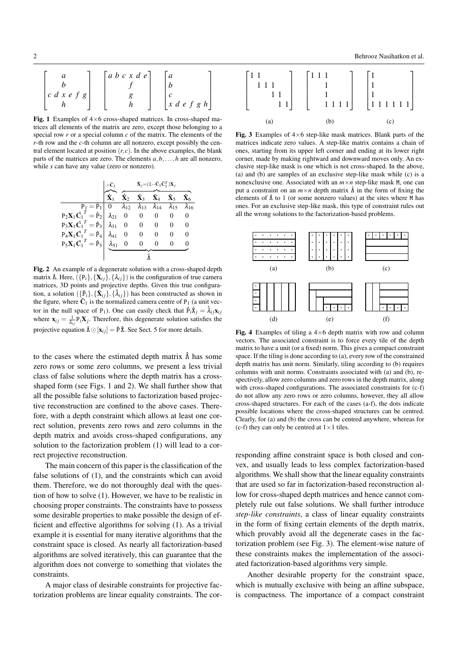Fig. 1 Examples of  $4\times 6$  cross-shaped matrices. In cross-shaped matrices all elements of the matrix are zero, except those belonging to a special row *r* or a special column *c* of the matrix. The elements of the *r*-th row and the *c*-th column are all nonzero, except possibly the central element located at position  $(r, c)$ . In the above examples, the blank parts of the matrices are zero. The elements *a*,*b*,...,*h* are all nonzero, while *x* can have any value (zero or nonzero).

|                                                                                                  | $\mathbf{\hat{X}}_j = (\mathbf{I} - \mathbf{\bar{C}}_1 \mathbf{\bar{C}}_1^T) \mathbf{X}_j$ |                |                                           |                                                             |                      |
|--------------------------------------------------------------------------------------------------|--------------------------------------------------------------------------------------------|----------------|-------------------------------------------|-------------------------------------------------------------|----------------------|
|                                                                                                  | $\hat{\mathbf{X}}_2$                                                                       |                | $\hat{\mathbf{X}}_3$ $\hat{\mathbf{X}}_4$ | $\hat{\mathbf{X}}_5$                                        | $\hat{\mathbf{X}}_6$ |
| $P_1 = \hat{P}_1   0 \lambda_{12}$                                                               |                                                                                            |                |                                           | $\lambda_{13}$ $\lambda_{14}$ $\lambda_{15}$ $\lambda_{16}$ |                      |
| $P_2X_1\bar{C_1}^T = \hat{P}_2   \lambda_{21} 0 0 0$                                             |                                                                                            |                |                                           |                                                             |                      |
| $P_3X_1\bar{C_1}^T = \hat{P}_3   \lambda_{31}   0$                                               |                                                                                            | $\overline{0}$ | $\overline{\phantom{0}}$                  | 0                                                           | 0                    |
| $P_4\mathbf{X}_1\bar{\mathbf{C}_1}^T = \hat{P}_4 \begin{bmatrix} \lambda_{41} & 0 \end{bmatrix}$ |                                                                                            | $\theta$       |                                           |                                                             | 0                    |
| $P_5\mathbf{X}_1\bar{\mathbf{C}_1}^T=\hat{P}_5\begin{bmatrix} \lambda_{51} \end{bmatrix}$        |                                                                                            |                |                                           |                                                             |                      |
|                                                                                                  |                                                                                            |                |                                           |                                                             |                      |

Fig. 2 An example of a degenerate solution with a cross-shaped depth matrix  $\hat{\Lambda}$ . Here,  $(\{P_i\}, {\{X_{ij}\}}, {\{\lambda_{ij}\}})$  is the configuration of true camera matrices, 3D points and projective depths. Given this true configuration, a solution  $({{\hat{\bf{P}}}_i}, {\hat{\bf{X}}}_{ij}, {\hat{\lambda}}_{ij})$  has been constructed as shown in the figure, where  $\bar{C}_1$  is the normalized camera centre of P<sub>1</sub> (a unit vector in the null space of P<sub>1</sub>). One can easily check that  $\hat{P}_i \hat{X}_j = \hat{\lambda}_{ij} \mathbf{x}_{ij}$ where  $\mathbf{x}_{ij} = \frac{1}{\lambda_{ij}} \mathbf{P}_i \mathbf{X}_j$ . Therefore, this degenerate solution satisfies the projective equation  $\hat{\Lambda} \odot [\mathbf{x}_{ij}] = \hat{P} \hat{\mathbf{X}}$ . See Sect. 5 for more details.

to the cases where the estimated depth matrix  $\hat{\Lambda}$  has some zero rows or some zero columns, we present a less trivial class of false solutions where the depth matrix has a crossshaped form (see Figs. 1 and 2). We shall further show that all the possible false solutions to factorization based projective reconstruction are confined to the above cases. Therefore, with a depth constraint which allows at least one correct solution, prevents zero rows and zero columns in the depth matrix and avoids cross-shaped configurations, any solution to the factorization problem (1) will lead to a correct projective reconstruction.

The main concern of this paper is the classification of the false solutions of (1), and the constraints which can avoid them. Therefore, we do not thoroughly deal with the question of how to solve (1). However, we have to be realistic in choosing proper constraints. The constraints have to possess some desirable properties to make possible the design of efficient and effective algorithms for solving (1). As a trivial example it is essential for many iterative algorithms that the constraint space is closed. As nearly all factorization-based algorithms are solved iteratively, this can guarantee that the algorithm does not converge to something that violates the constraints.

A major class of desirable constraints for projective factorization problems are linear equality constraints. The cor-



Fig. 3 Examples of  $4\times 6$  step-like mask matrices. Blank parts of the matrices indicate zero values. A step-like matrix contains a chain of ones, starting from its upper left corner and ending at its lower right corner, made by making rightward and downward moves only. An exclusive step-like mask is one which is not cross-shaped. In the above, (a) and (b) are samples of an exclusive step-like mask while (c) is a nonexclusive one. Associated with an  $m \times n$  step-like mask M, one can put a constraint on an  $m \times n$  depth matrix  $\hat{\Lambda}$  in the form of fixing the elements of  $\hat{\Lambda}$  to 1 (or some nonzero values) at the sites where M has ones. For an exclusive step-like mask, this type of constraint rules out all the wrong solutions to the factorization-based problems.



Fig. 4 Examples of tiling a  $4\times 6$  depth matrix with row and column vectors. The associated constraint is to force every tile of the depth matrix to have a unit (or a fixed) norm. This gives a compact constraint space. If the tiling is done according to (a), every row of the constrained depth matrix has unit norm. Similarly, tiling according to (b) requires columns with unit norms. Constraints associated with (a) and (b), respectively, allow zero columns and zero rows in the depth matrix, along with cross-shaped configurations. The associated constraints for  $(c-f)$ do not allow any zero rows or zero columns, however, they all allow cross-shaped structures. For each of the cases (a-f), the dots indicate possible locations where the cross-shaped structures can be centred. Clearly, for (a) and (b) the cross can be centred anywhere, whereas for (c-f) they can only be centred at  $1 \times 1$  tiles.

responding affine constraint space is both closed and convex, and usually leads to less complex factorization-based algorithms. We shall show that the linear equality constraints that are used so far in factorization-based reconstruction allow for cross-shaped depth matrices and hence cannot completely rule out false solutions. We shall further introduce *step-like constraints*, a class of linear equality constraints in the form of fixing certain elements of the depth matrix, which provably avoid all the degenerate cases in the factorization problem (see Fig. 3). The element-wise nature of these constraints makes the implementation of the associated factorization-based algorithms very simple.

Another desirable property for the constraint space, which is mutually exclusive with being an affine subspace, is compactness. The importance of a compact constraint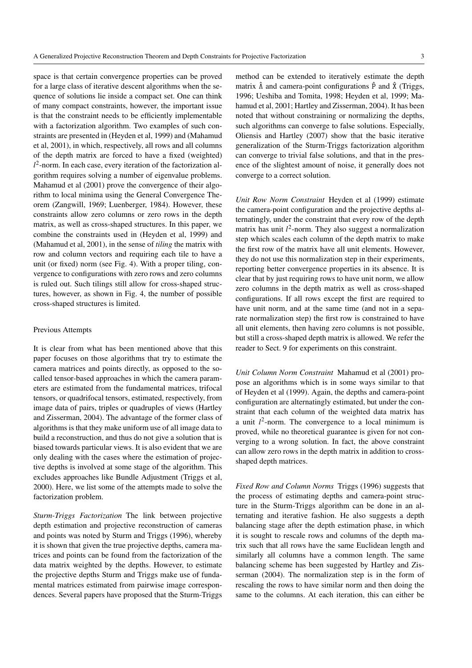space is that certain convergence properties can be proved for a large class of iterative descent algorithms when the sequence of solutions lie inside a compact set. One can think of many compact constraints, however, the important issue is that the constraint needs to be efficiently implementable with a factorization algorithm. Two examples of such constraints are presented in (Heyden et al, 1999) and (Mahamud et al, 2001), in which, respectively, all rows and all columns of the depth matrix are forced to have a fixed (weighted) *l* 2 -norm. In each case, every iteration of the factorization algorithm requires solving a number of eigenvalue problems. Mahamud et al (2001) prove the convergence of their algorithm to local minima using the General Convergence Theorem (Zangwill, 1969; Luenberger, 1984). However, these constraints allow zero columns or zero rows in the depth matrix, as well as cross-shaped structures. In this paper, we combine the constraints used in (Heyden et al, 1999) and (Mahamud et al, 2001), in the sense of *tiling* the matrix with row and column vectors and requiring each tile to have a unit (or fixed) norm (see Fig. 4). With a proper tiling, convergence to configurations with zero rows and zero columns is ruled out. Such tilings still allow for cross-shaped structures, however, as shown in Fig. 4, the number of possible cross-shaped structures is limited.

#### Previous Attempts

It is clear from what has been mentioned above that this paper focuses on those algorithms that try to estimate the camera matrices and points directly, as opposed to the socalled tensor-based approaches in which the camera parameters are estimated from the fundamental matrices, trifocal tensors, or quadrifocal tensors, estimated, respectively, from image data of pairs, triples or quadruples of views (Hartley and Zisserman, 2004). The advantage of the former class of algorithms is that they make uniform use of all image data to build a reconstruction, and thus do not give a solution that is biased towards particular views. It is also evident that we are only dealing with the cases where the estimation of projective depths is involved at some stage of the algorithm. This excludes approaches like Bundle Adjustment (Triggs et al, 2000). Here, we list some of the attempts made to solve the factorization problem.

*Sturm-Triggs Factorization* The link between projective depth estimation and projective reconstruction of cameras and points was noted by Sturm and Triggs (1996), whereby it is shown that given the true projective depths, camera matrices and points can be found from the factorization of the data matrix weighted by the depths. However, to estimate the projective depths Sturm and Triggs make use of fundamental matrices estimated from pairwise image correspondences. Several papers have proposed that the Sturm-Triggs

method can be extended to iteratively estimate the depth matrix  $\hat{\Lambda}$  and camera-point configurations  $\hat{P}$  and  $\hat{X}$  (Triggs, 1996; Ueshiba and Tomita, 1998; Heyden et al, 1999; Mahamud et al, 2001; Hartley and Zisserman, 2004). It has been noted that without constraining or normalizing the depths, such algorithms can converge to false solutions. Especially, Oliensis and Hartley (2007) show that the basic iterative generalization of the Sturm-Triggs factorization algorithm can converge to trivial false solutions, and that in the presence of the slightest amount of noise, it generally does not converge to a correct solution.

*Unit Row Norm Constraint* Heyden et al (1999) estimate the camera-point configuration and the projective depths alternatingly, under the constraint that every row of the depth matrix has unit  $l^2$ -norm. They also suggest a normalization step which scales each column of the depth matrix to make the first row of the matrix have all unit elements. However, they do not use this normalization step in their experiments, reporting better convergence properties in its absence. It is clear that by just requiring rows to have unit norm, we allow zero columns in the depth matrix as well as cross-shaped configurations. If all rows except the first are required to have unit norm, and at the same time (and not in a separate normalization step) the first row is constrained to have all unit elements, then having zero columns is not possible, but still a cross-shaped depth matrix is allowed. We refer the reader to Sect. 9 for experiments on this constraint.

*Unit Column Norm Constraint* Mahamud et al (2001) propose an algorithms which is in some ways similar to that of Heyden et al (1999). Again, the depths and camera-point configuration are alternatingly estimated, but under the constraint that each column of the weighted data matrix has a unit  $l^2$ -norm. The convergence to a local minimum is proved, while no theoretical guarantee is given for not converging to a wrong solution. In fact, the above constraint can allow zero rows in the depth matrix in addition to crossshaped depth matrices.

*Fixed Row and Column Norms* Triggs (1996) suggests that the process of estimating depths and camera-point structure in the Sturm-Triggs algorithm can be done in an alternating and iterative fashion. He also suggests a depth balancing stage after the depth estimation phase, in which it is sought to rescale rows and columns of the depth matrix such that all rows have the same Euclidean length and similarly all columns have a common length. The same balancing scheme has been suggested by Hartley and Zisserman (2004). The normalization step is in the form of rescaling the rows to have similar norm and then doing the same to the columns. At each iteration, this can either be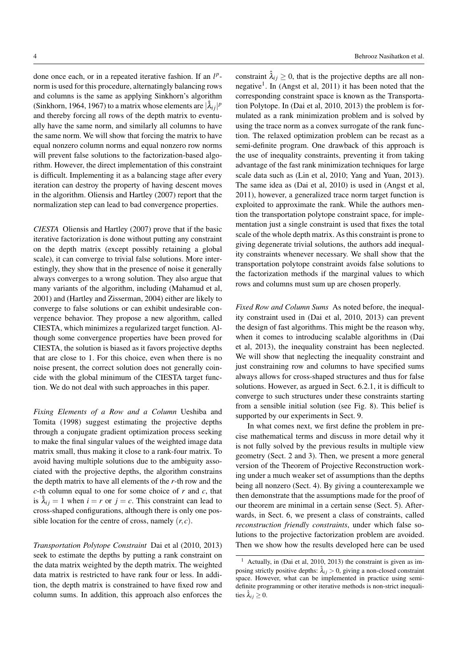done once each, or in a repeated iterative fashion. If an  $l^p$ norm is used for this procedure, alternatingly balancing rows and columns is the same as applying Sinkhorn's algorithm (Sinkhorn, 1964, 1967) to a matrix whose elements are  $|\hat{\lambda}_{ij}|^p$ and thereby forcing all rows of the depth matrix to eventually have the same norm, and similarly all columns to have the same norm. We will show that forcing the matrix to have equal nonzero column norms and equal nonzero row norms will prevent false solutions to the factorization-based algorithm. However, the direct implementation of this constraint is difficult. Implementing it as a balancing stage after every iteration can destroy the property of having descent moves in the algorithm. Oliensis and Hartley (2007) report that the normalization step can lead to bad convergence properties.

*CIESTA* Oliensis and Hartley (2007) prove that if the basic iterative factorization is done without putting any constraint on the depth matrix (except possibly retaining a global scale), it can converge to trivial false solutions. More interestingly, they show that in the presence of noise it generally always converges to a wrong solution. They also argue that many variants of the algorithm, including (Mahamud et al, 2001) and (Hartley and Zisserman, 2004) either are likely to converge to false solutions or can exhibit undesirable convergence behavior. They propose a new algorithm, called CIESTA, which minimizes a regularized target function. Although some convergence properties have been proved for CIESTA, the solution is biased as it favors projective depths that are close to 1. For this choice, even when there is no noise present, the correct solution does not generally coincide with the global minimum of the CIESTA target function. We do not deal with such approaches in this paper.

*Fixing Elements of a Row and a Column* Ueshiba and Tomita (1998) suggest estimating the projective depths through a conjugate gradient optimization process seeking to make the final singular values of the weighted image data matrix small, thus making it close to a rank-four matrix. To avoid having multiple solutions due to the ambiguity associated with the projective depths, the algorithm constrains the depth matrix to have all elements of the *r*-th row and the *c*-th column equal to one for some choice of *r* and *c*, that is  $\hat{\lambda}_{ij} = 1$  when  $i = r$  or  $j = c$ . This constraint can lead to cross-shaped configurations, although there is only one possible location for the centre of cross, namely  $(r, c)$ .

*Transportation Polytope Constraint* Dai et al (2010, 2013) seek to estimate the depths by putting a rank constraint on the data matrix weighted by the depth matrix. The weighted data matrix is restricted to have rank four or less. In addition, the depth matrix is constrained to have fixed row and column sums. In addition, this approach also enforces the

constraint  $\hat{\lambda}_{ij} \geq 0$ , that is the projective depths are all nonnegative<sup>1</sup>. In (Angst et al, 2011) it has been noted that the corresponding constraint space is known as the Transportation Polytope. In (Dai et al, 2010, 2013) the problem is formulated as a rank minimization problem and is solved by using the trace norm as a convex surrogate of the rank function. The relaxed optimization problem can be recast as a semi-definite program. One drawback of this approach is the use of inequality constraints, preventing it from taking advantage of the fast rank minimization techniques for large scale data such as (Lin et al, 2010; Yang and Yuan, 2013). The same idea as (Dai et al, 2010) is used in (Angst et al, 2011), however, a generalized trace norm target function is exploited to approximate the rank. While the authors mention the transportation polytope constraint space, for implementation just a single constraint is used that fixes the total scale of the whole depth matrix. As this constraint is prone to giving degenerate trivial solutions, the authors add inequality constraints whenever necessary. We shall show that the transportation polytope constraint avoids false solutions to the factorization methods if the marginal values to which rows and columns must sum up are chosen properly.

*Fixed Row and Column Sums* As noted before, the inequality constraint used in (Dai et al, 2010, 2013) can prevent the design of fast algorithms. This might be the reason why, when it comes to introducing scalable algorithms in (Dai et al, 2013), the inequality constraint has been neglected. We will show that neglecting the inequality constraint and just constraining row and columns to have specified sums always allows for cross-shaped structures and thus for false solutions. However, as argued in Sect. 6.2.1, it is difficult to converge to such structures under these constraints starting from a sensible initial solution (see Fig. 8). This belief is supported by our experiments in Sect. 9.

In what comes next, we first define the problem in precise mathematical terms and discuss in more detail why it is not fully solved by the previous results in multiple view geometry (Sect. 2 and 3). Then, we present a more general version of the Theorem of Projective Reconstruction working under a much weaker set of assumptions than the depths being all nonzero (Sect. 4). By giving a counterexample we then demonstrate that the assumptions made for the proof of our theorem are minimal in a certain sense (Sect. 5). Afterwards, in Sect. 6, we present a class of constraints, called *reconstruction friendly constraints*, under which false solutions to the projective factorization problem are avoided. Then we show how the results developed here can be used

<sup>1</sup> Actually, in (Dai et al, 2010, 2013) the constraint is given as imposing strictly positive depths:  $\lambda_{ij} > 0$ , giving a non-closed constraint space. However, what can be implemented in practice using semidefinite programming or other iterative methods is non-strict inequalities  $\lambda_{ij} \geq 0$ .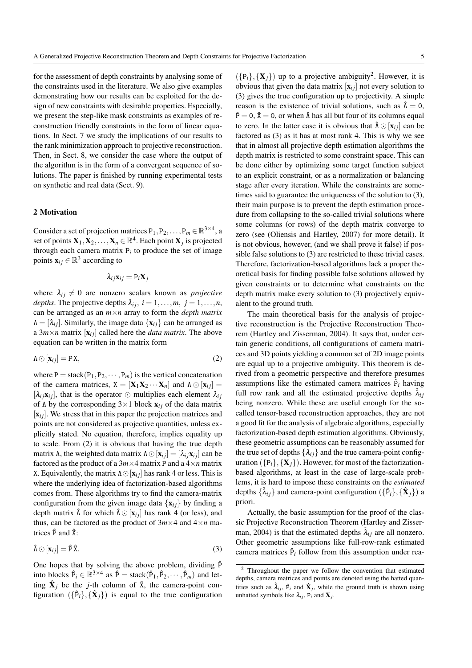for the assessment of depth constraints by analysing some of the constraints used in the literature. We also give examples demonstrating how our results can be exploited for the design of new constraints with desirable properties. Especially, we present the step-like mask constraints as examples of reconstruction friendly constraints in the form of linear equations. In Sect. 7 we study the implications of our results to the rank minimization approach to projective reconstruction. Then, in Sect. 8, we consider the case where the output of the algorithm is in the form of a convergent sequence of solutions. The paper is finished by running experimental tests on synthetic and real data (Sect. 9).

# 2 Motivation

Consider a set of projection matrices  $P_1, P_2, \ldots, P_m \in \mathbb{R}^{3 \times 4}$ , a set of points  $\mathbf{X}_1, \mathbf{X}_2, \ldots, \mathbf{X}_n \in \mathbb{R}^4$ . Each point  $\mathbf{X}_j$  is projected through each camera matrix  $P_i$  to produce the set of image points  $\mathbf{x}_{ij} \in \mathbb{R}^3$  according to

$$
\lambda_{ij}\mathbf{x}_{ij}=\mathrm{P}_i\mathbf{X}_j
$$

where  $\lambda_{ij} \neq 0$  are nonzero scalars known as *projective depths*. The projective depths  $\lambda_{ij}$ ,  $i = 1, \ldots, m$ ,  $j = 1, \ldots, n$ , can be arranged as an *m*×*n* array to form the *depth matrix*  $\Lambda = [\lambda_{ij}]$ . Similarly, the image data  $\{x_{ij}\}\$ can be arranged as a  $3m \times n$  matrix  $[\mathbf{x}_{ij}]$  called here the *data matrix*. The above equation can be written in the matrix form

$$
\Lambda \odot [\mathbf{x}_{ij}] = \mathbf{P} \mathbf{X},\tag{2}
$$

where  $P = stack(P_1, P_2, \dots, P_m)$  is the vertical concatenation of the camera matrices,  $X = [\mathbf{X}_1 \mathbf{X}_2 \cdots \mathbf{X}_n]$  and  $\Lambda \odot [\mathbf{x}_{ij}] =$  $[\lambda_i, \mathbf{x}_i]$ , that is the operator  $\odot$  multiplies each element  $\lambda_i$ of  $\Lambda$  by the corresponding  $3\times1$  block  $\mathbf{x}_{ij}$  of the data matrix  $[x<sub>ij</sub>]$ . We stress that in this paper the projection matrices and points are not considered as projective quantities, unless explicitly stated. No equation, therefore, implies equality up to scale. From (2) it is obvious that having the true depth matrix Λ, the weighted data matrix  $\Lambda \odot [\mathbf{x}_{ij}] = [\lambda_{ij} \mathbf{x}_{ij}]$  can be factored as the product of a  $3m \times 4$  matrix P and a  $4 \times n$  matrix X. Equivalently, the matrix  $\Lambda \odot [\mathbf{x}_{ij}]$  has rank 4 or less. This is where the underlying idea of factorization-based algorithms comes from. These algorithms try to find the camera-matrix configuration from the given image data  $\{x_{ij}\}\$  by finding a depth matrix  $\hat{\Lambda}$  for which  $\hat{\Lambda} \odot [\mathbf{x}_{ij}]$  has rank 4 (or less), and thus, can be factored as the product of  $3m \times 4$  and  $4 \times n$  matrices  $\hat{P}$  and  $\hat{X}$ :

$$
\hat{\Lambda} \odot [\mathbf{x}_{ij}] = \hat{P} \hat{\mathbf{x}}.
$$
\n(3)

One hopes that by solving the above problem, dividing  $\hat{P}$ into blocks  $\hat{P}_i \in \mathbb{R}^{3 \times 4}$  as  $\hat{P} = \text{stack}(\hat{P}_1, \hat{P}_2, \dots, \hat{P}_m)$  and letting  $\hat{\mathbf{X}}_j$  be the *j*-th column of  $\hat{\mathbf{X}}_j$ , the camera-point configuration  $({{\hat{\bf{P}}}_i}, {\hat{\bf{X}}}_j)$  is equal to the true configuration

 $({p_i}, {X_j})$  up to a projective ambiguity<sup>2</sup>. However, it is obvious that given the data matrix  $[x_{ij}]$  not every solution to (3) gives the true configuration up to projectivity. A simple reason is the existence of trivial solutions, such as  $\hat{\Lambda} = 0$ ,  $\hat{P} = 0$ ,  $\hat{X} = 0$ , or when  $\hat{\Lambda}$  has all but four of its columns equal to zero. In the latter case it is obvious that  $\hat{\Lambda} \odot [\mathbf{x}_{ij}]$  can be factored as (3) as it has at most rank 4. This is why we see that in almost all projective depth estimation algorithms the depth matrix is restricted to some constraint space. This can be done either by optimizing some target function subject to an explicit constraint, or as a normalization or balancing stage after every iteration. While the constraints are sometimes said to guarantee the uniqueness of the solution to (3), their main purpose is to prevent the depth estimation procedure from collapsing to the so-called trivial solutions where some columns (or rows) of the depth matrix converge to zero (see (Oliensis and Hartley, 2007) for more detail). It is not obvious, however, (and we shall prove it false) if possible false solutions to (3) are restricted to these trivial cases. Therefore, factorization-based algorithms lack a proper theoretical basis for finding possible false solutions allowed by given constraints or to determine what constraints on the depth matrix make every solution to (3) projectively equivalent to the ground truth.

The main theoretical basis for the analysis of projective reconstruction is the Projective Reconstruction Theorem (Hartley and Zisserman, 2004). It says that, under certain generic conditions, all configurations of camera matrices and 3D points yielding a common set of 2D image points are equal up to a projective ambiguity. This theorem is derived from a geometric perspective and therefore presumes assumptions like the estimated camera matrices  $\hat{P}_i$  having full row rank and all the estimated projective depths  $\lambda_{ij}$ being nonzero. While these are useful enough for the socalled tensor-based reconstruction approaches, they are not a good fit for the analysis of algebraic algorithms, especially factorization-based depth estimation algorithms. Obviously, these geometric assumptions can be reasonably assumed for the true set of depths  $\{\lambda_{ij}\}$  and the true camera-point configuration  $({P_i}, {\mathbf{X}_i})$ . However, for most of the factorizationbased algorithms, at least in the case of large-scale problems, it is hard to impose these constraints on the *estimated* depths  $\{\hat{\lambda}_{ij}\}$  and camera-point configuration  $(\{\hat{P}_i\}, {\{\hat{\mathbf{X}}_j\}})$  a priori.

Actually, the basic assumption for the proof of the classic Projective Reconstruction Theorem (Hartley and Zisserman, 2004) is that the estimated depths  $\hat{\lambda}_{ij}$  are all nonzero. Other geometric assumptions like full-row-rank estimated camera matrices  $\hat{P}_i$  follow from this assumption under rea-

<sup>2</sup> Throughout the paper we follow the convention that estimated depths, camera matrices and points are denoted using the hatted quantities such as  $\hat{\lambda}_{ij}$ ,  $\hat{P}_i$  and  $\hat{X}_j$ , while the ground truth is shown using unhatted symbols like  $\lambda_{ij}$ ,  $P_i$  and  $X_j$ .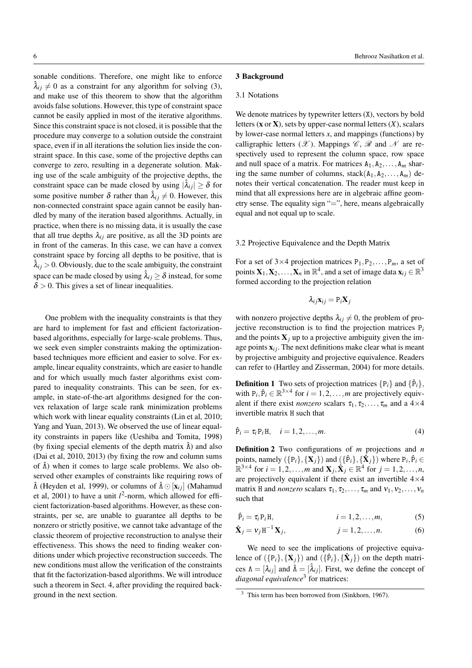sonable conditions. Therefore, one might like to enforce  $\lambda_{ij} \neq 0$  as a constraint for any algorithm for solving (3), and make use of this theorem to show that the algorithm avoids false solutions. However, this type of constraint space cannot be easily applied in most of the iterative algorithms. Since this constraint space is not closed, it is possible that the procedure may converge to a solution outside the constraint space, even if in all iterations the solution lies inside the constraint space. In this case, some of the projective depths can converge to zero, resulting in a degenerate solution. Making use of the scale ambiguity of the projective depths, the constraint space can be made closed by using  $|\hat{\lambda}_{ij}| \ge \delta$  for some positive number  $\delta$  rather than  $\hat{\lambda}_{ij} \neq 0$ . However, this non-connected constraint space again cannot be easily handled by many of the iteration based algorithms. Actually, in practice, when there is no missing data, it is usually the case that all true depths  $\lambda_{ij}$  are positive, as all the 3D points are in front of the cameras. In this case, we can have a convex constraint space by forcing all depths to be positive, that is  $\lambda_{ij} > 0$ . Obviously, due to the scale ambiguity, the constraint space can be made closed by using  $\lambda_{ij} \geq \delta$  instead, for some  $\delta$  > 0. This gives a set of linear inequalities.

One problem with the inequality constraints is that they are hard to implement for fast and efficient factorizationbased algorithms, especially for large-scale problems. Thus, we seek even simpler constraints making the optimizationbased techniques more efficient and easier to solve. For example, linear equality constraints, which are easier to handle and for which usually much faster algorithms exist compared to inequality constraints. This can be seen, for example, in state-of-the-art algorithms designed for the convex relaxation of large scale rank minimization problems which work with linear equality constraints (Lin et al, 2010; Yang and Yuan, 2013). We observed the use of linear equality constraints in papers like (Ueshiba and Tomita, 1998) (by fixing special elements of the depth matrix  $\hat{\Lambda}$ ) and also (Dai et al, 2010, 2013) (by fixing the row and column sums of  $\hat{\Lambda}$ ) when it comes to large scale problems. We also observed other examples of constraints like requiring rows of  $\hat{\Lambda}$  (Heyden et al, 1999), or columns of  $\hat{\Lambda} \odot [\mathbf{x}_{ij}]$  (Mahamud et al, 2001) to have a unit  $l^2$ -norm, which allowed for efficient factorization-based algorithms. However, as these constraints, per se, are unable to guarantee all depths to be nonzero or strictly positive, we cannot take advantage of the classic theorem of projective reconstruction to analyse their effectiveness. This shows the need to finding weaker conditions under which projective reconstruction succeeds. The new conditions must allow the verification of the constraints that fit the factorization-based algorithms. We will introduce such a theorem in Sect. 4, after providing the required background in the next section.

### 3 Background

# 3.1 Notations

We denote matrices by typewriter letters  $(X)$ , vectors by bold letters (x or X), sets by upper-case normal letters (*X*), scalars by lower-case normal letters *x*, and mappings (functions) by calligraphic letters  $(\mathscr{X})$ . Mappings  $\mathscr{C}$ ,  $\mathscr{R}$  and  $\mathscr{N}$  are respectively used to represent the column space, row space and null space of a matrix. For matrices  $A_1, A_2, \ldots, A_m$  sharing the same number of columns, stack $(A_1, A_2, \ldots, A_m)$  denotes their vertical concatenation. The reader must keep in mind that all expressions here are in algebraic affine geometry sense. The equality sign "=", here, means algebraically equal and not equal up to scale.

### 3.2 Projective Equivalence and the Depth Matrix

For a set of  $3\times4$  projection matrices  $P_1, P_2, \ldots, P_m$ , a set of points  $X_1, X_2, \ldots, X_n$  in  $\mathbb{R}^4$ , and a set of image data  $x_{ij} \in \mathbb{R}^3$ formed according to the projection relation

$$
\lambda_{ij}\mathbf{x}_{ij}=\mathrm{P}_i\mathbf{X}_j
$$

with nonzero projective depths  $\lambda_{ij} \neq 0$ , the problem of projective reconstruction is to find the projection matrices  $P_i$ and the points  $X_j$  up to a projective ambiguity given the image points  $\mathbf{x}_{ij}$ . The next definitions make clear what is meant by projective ambiguity and projective equivalence. Readers can refer to (Hartley and Zisserman, 2004) for more details.

**Definition 1** Two sets of projection matrices  $\{P_i\}$  and  $\{\hat{P}_i\}$ , with  $P_i, \hat{P}_i \in \mathbb{R}^{3 \times 4}$  for  $i = 1, 2, ..., m$  are projectively equivalent if there exist *nonzero* scalars  $\tau_1, \tau_2, \ldots, \tau_m$  and a 4×4 invertible matrix H such that

$$
\hat{\mathbf{P}}_i = \tau_i \mathbf{P}_i \mathbf{H}, \quad i = 1, 2, \dots, m. \tag{4}
$$

Definition 2 Two configurations of *m* projections and *n* points, namely  $(\{P_i\}, {\{\mathbf{X}_j\}})$  and  $(\{\hat{P}_i\}, {\{\hat{\mathbf{X}}_j\}})$  where  $P_i, \hat{P}_i \in$  $\mathbb{R}^{3 \times 4}$  for  $i = 1, 2, \ldots, m$  and  $\mathbf{X}_j$ ,  $\hat{\mathbf{X}}_j \in \mathbb{R}^4$  for  $j = 1, 2, \ldots, n$ , are projectively equivalent if there exist an invertible  $4\times4$ matrix H and *nonzero* scalars  $\tau_1, \tau_2, \ldots, \tau_m$  and  $v_1, v_2, \ldots, v_n$ such that

$$
\hat{\mathbf{P}}_i = \tau_i \mathbf{P}_i \mathbf{H}, \qquad i = 1, 2, \dots, m,
$$
 (5)

$$
\hat{\mathbf{X}}_j = v_j \mathbf{H}^{-1} \mathbf{X}_j, \qquad j = 1, 2, \dots, n. \tag{6}
$$

We need to see the implications of projective equivalence of  $(\{P_i\}, {\{\mathbf{X}_j\}})$  and  $(\{\hat{P}_i\}, {\{\hat{\mathbf{X}}_j\}})$  on the depth matrices  $\Lambda = [\lambda_{ij}]$  and  $\hat{\Lambda} = [\hat{\lambda}_{ij}]$ . First, we define the concept of *diagonal equivalence*<sup>3</sup> for matrices:

<sup>&</sup>lt;sup>3</sup> This term has been borrowed from (Sinkhorn, 1967).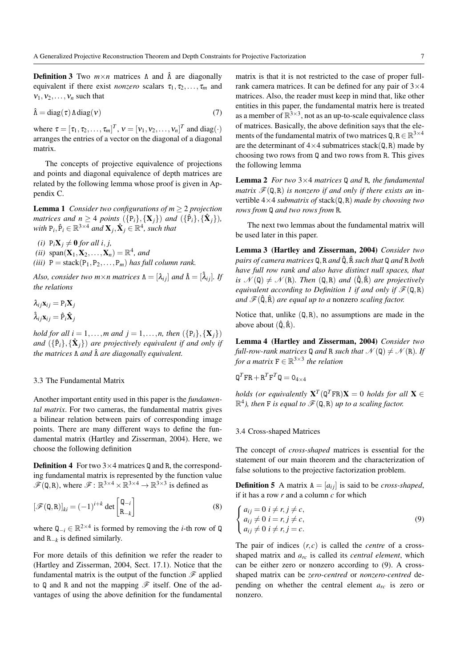**Definition 3** Two  $m \times n$  matrices  $\Lambda$  and  $\hat{\Lambda}$  are diagonally equivalent if there exist *nonzero* scalars  $\tau_1, \tau_2, \ldots, \tau_m$  and  $v_1, v_2, \ldots, v_n$  such that

$$
\hat{\Lambda} = \text{diag}(\tau) \Lambda \text{diag}(\nu) \tag{7}
$$

where  $\tau = [\tau_1, \tau_2, \dots, \tau_m]^T$ ,  $v = [v_1, v_2, \dots, v_n]^T$  and diag(·) arranges the entries of a vector on the diagonal of a diagonal matrix.

The concepts of projective equivalence of projections and points and diagonal equivalence of depth matrices are related by the following lemma whose proof is given in Appendix C.

**Lemma 1** *Consider two configurations of m*  $\geq$  2 *projection matrices and*  $n \geq 4$  *points*  $(\{\mathbf{P}_i\}, {\{\mathbf{X}_j\}})$  *and*  $(\{\hat{\mathbf{P}}_i\}, {\{\hat{\mathbf{X}}_j\}})$ ,  $with P_i, \hat{P}_i \in \mathbb{R}^{3 \times 4}$  and  $\mathbf{X}_j, \hat{\mathbf{X}}_j \in \mathbb{R}^{4}$ *, such that* 

- *(i)*  $P_iX_j \neq 0$  *for all i, j,*
- (*ii*)  $\text{span}(\mathbf{X}_1, \mathbf{X}_2, \dots, \mathbf{X}_n) = \mathbb{R}^4$ , and
- *(iii)*  $P =$  stack $(P_1, P_2, \ldots, P_m)$  *has full column rank.*

*Also, consider two m*×*n matrices*  $\Lambda = [\lambda_{ij}]$  *and*  $\hat{\Lambda} = [\lambda_{ij}]$ *. If the relations*

$$
\lambda_{ij} \mathbf{x}_{ij} = \mathbf{P}_i \mathbf{X}_j
$$

$$
\hat{\lambda}_{ij} \mathbf{x}_{ij} = \hat{\mathbf{P}}_i \hat{\mathbf{X}}_j
$$

*hold for all i* = 1,...,*m* and *j* = 1,...,*n*, then  $({P_i}, {X_i})$ and  $(\{\hat{P}_i\}, {\{\hat{\mathbf{X}}_j\}})$  are projectively equivalent if and only if *the matrices* Λ *and* Λˆ *are diagonally equivalent.*

# 3.3 The Fundamental Matrix

Another important entity used in this paper is the *fundamental matrix*. For two cameras, the fundamental matrix gives a bilinear relation between pairs of corresponding image points. There are many different ways to define the fundamental matrix (Hartley and Zisserman, 2004). Here, we choose the following definition

**Definition 4** For two  $3 \times 4$  matrices Q and R, the corresponding fundamental matrix is represented by the function value  $\mathscr{F}(\mathbf{Q}, \mathbf{R})$ , where  $\mathscr{F} \colon \mathbb{R}^{3 \times 4} \times \mathbb{R}^{3 \times 4} \to \mathbb{R}^{3 \times 3}$  is defined as

$$
[\mathcal{F}(\mathbf{Q}, \mathbf{R})]_{ki} = (-1)^{i+k} \det \begin{bmatrix} \mathbf{Q}_{-i} \\ \mathbf{R}_{-k} \end{bmatrix}
$$
 (8)

where  $Q_{-i}$  ∈  $\mathbb{R}^{2 \times 4}$  is formed by removing the *i*-th row of  $Q$ and R−*<sup>k</sup>* is defined similarly.

For more details of this definition we refer the reader to (Hartley and Zisserman, 2004, Sect. 17.1). Notice that the fundamental matrix is the output of the function  $\mathscr F$  applied to Q and R and not the mapping  $\mathscr F$  itself. One of the advantages of using the above definition for the fundamental matrix is that it is not restricted to the case of proper fullrank camera matrices. It can be defined for any pair of  $3\times4$ matrices. Also, the reader must keep in mind that, like other entities in this paper, the fundamental matrix here is treated as a member of  $\mathbb{R}^{3\times 3}$ , not as an up-to-scale equivalence class of matrices. Basically, the above definition says that the elements of the fundamental matrix of two matrices  $Q, R \in \mathbb{R}^{3 \times 4}$ are the determinant of  $4 \times 4$  submatrices stack( $Q, R$ ) made by choosing two rows from Q and two rows from R. This gives the following lemma

Lemma 2 *For two* 3×4 *matrices* Q *and* R*, the fundamental matrix*  $\mathcal{F}(\mathbf{Q}, \mathbf{R})$  *is nonzero if and only if there exists an in*vertible 4×4 *submatrix of* stack(Q,R) *made by choosing two rows from* Q *and two rows from* R*.*

The next two lemmas about the fundamental matrix will be used later in this paper.

Lemma 3 (Hartley and Zisserman, 2004) *Consider two pairs of camera matrices* Q,R *and* Qˆ,Rˆ *such that* Q *and* R *both have full row rank and also have distinct null spaces, that is*  $\mathcal{N}(\mathbf{Q}) \neq \mathcal{N}(\mathbf{R})$ *. Then*  $(\mathbf{Q}, \mathbf{R})$  *and*  $(\mathbf{\hat{Q}}, \mathbf{\hat{R}})$  *are projectively equivalent according to Definition 1 if and only if*  $\mathcal{F}(\mathbf{Q}, \mathbf{R})$ *and*  $\mathcal{F}(\hat{\mathbf{Q}}, \hat{\mathbf{R}})$  *are equal up to a* nonzero *scaling factor.* 

Notice that, unlike  $(Q, R)$ , no assumptions are made in the above about  $(\hat{Q}, \hat{R})$ .

Lemma 4 (Hartley and Zisserman, 2004) *Consider two full-row-rank matrices* Q *and* R *such that*  $\mathcal{N}(\mathbf{Q}) \neq \mathcal{N}(\mathbf{R})$ *. If for a matrix*  $F \in \mathbb{R}^{3 \times 3}$  *the relation* 

$$
\mathtt{Q}^T\mathtt{FR}+\mathtt{R}^T\mathtt{F}^T\mathtt{Q}=\mathtt{O}_{4\times 4}
$$

*holds (or equivalently*  $X^T(Q^TFR)X = 0$  *holds for all*  $X \in$  $\mathbb{R}^4$ ), then **F** is equal to  $\mathscr{F}(\mathsf{Q},\mathsf{R})$  up to a scaling factor.

# 3.4 Cross-shaped Matrices

The concept of *cross-shaped* matrices is essential for the statement of our main theorem and the characterization of false solutions to the projective factorization problem.

**Definition 5** A matrix  $A = [a_{ij}]$  is said to be *cross-shaped*, if it has a row *r* and a column *c* for which

$$
\begin{cases}\n a_{ij} = 0 \ i \neq r, j \neq c, \\
a_{ij} \neq 0 \ i = r, j \neq c, \\
a_{ij} \neq 0 \ i \neq r, j = c.\n\end{cases}
$$
\n(9)

The pair of indices  $(r, c)$  is called the *centre* of a crossshaped matrix and *arc* is called its *central element*, which can be either zero or nonzero according to (9). A crossshaped matrix can be *zero-centred* or *nonzero-centred* depending on whether the central element *arc* is zero or nonzero.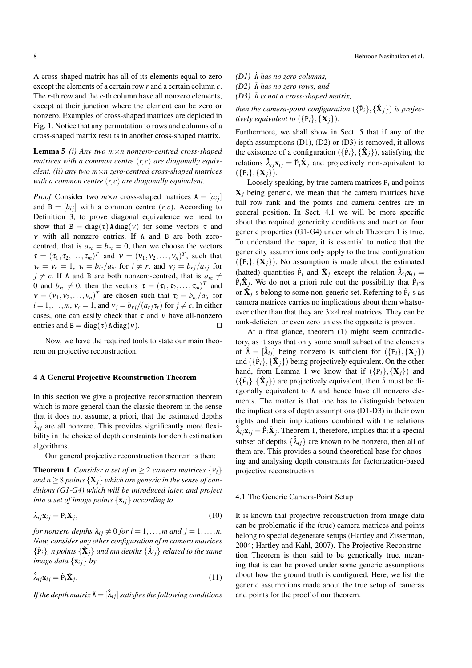A cross-shaped matrix has all of its elements equal to zero except the elements of a certain row *r* and a certain column *c*. The *r*-th row and the *c*-th column have all nonzero elements, except at their junction where the element can be zero or nonzero. Examples of cross-shaped matrices are depicted in Fig. 1. Notice that any permutation to rows and columns of a cross-shaped matrix results in another cross-shaped matrix.

Lemma 5 *(i) Any two m*×*n nonzero-centred cross-shaped matrices with a common centre* (*r*, *c*) *are diagonally equivalent. (ii) any two m*×*n zero-centred cross-shaped matrices with a common centre* (*r*, *c*) *are diagonally equivalent.*

*Proof* Consider two  $m \times n$  cross-shaped matrices  $A = [a_{ij}]$ and  $B = [b_{ij}]$  with a common centre  $(r, c)$ . According to Definition 3, to prove diagonal equivalence we need to show that  $B = diag(\tau) A diag(\nu)$  for some vectors  $\tau$  and ν with all nonzero entries. If A and B are both zerocentred, that is  $a_{rc} = b_{rc} = 0$ , then we choose the vectors  $\tau = (\tau_1, \tau_2, \dots, \tau_m)^T$  and  $v = (v_1, v_2, \dots, v_n)^T$ , such that  $\tau_r = v_c = 1$ ,  $\tau_i = b_{ic}/a_{ic}$  for  $i \neq r$ , and  $v_j = b_{rj}/a_{rj}$  for  $j \neq c$ . If A and B are both nonzero-centred, that is  $a_{rc} \neq$ 0 and  $b_{rc} \neq 0$ , then the vectors  $\tau = (\tau_1, \tau_2, \dots, \tau_m)^T$  and  $v = (v_1, v_2, \dots, v_n)^T$  are chosen such that  $\tau_i = b_{ic}/a_{ic}$  for  $i = 1, \ldots, m$ ,  $v_c = 1$ , and  $v_j = b_{rj}/(a_{rj}\tau_r)$  for  $j \neq c$ . In either cases, one can easily check that  $\tau$  and  $\nu$  have all-nonzero entries and  $B = diag(\tau) A diag(\nu)$ .

Now, we have the required tools to state our main theorem on projective reconstruction.

### 4 A General Projective Reconstruction Theorem

In this section we give a projective reconstruction theorem which is more general than the classic theorem in the sense that it does not assume, a priori, that the estimated depths  $\lambda_{ij}$  are all nonzero. This provides significantly more flexibility in the choice of depth constraints for depth estimation algorithms.

Our general projective reconstruction theorem is then:

**Theorem 1** *Consider a set of m*  $\geq$  2 *camera matrices*  $\{P_i\}$ *and*  $n \geq 8$  *points*  $\{X_i\}$  *which are generic in the sense of conditions (G1-G4) which will be introduced later, and project into a set of image points*  $\{x_{ij}\}$  *according to* 

$$
\lambda_{ij}\mathbf{x}_{ij} = \mathbf{P}_i\mathbf{X}_j,\tag{10}
$$

*for nonzero depths*  $\lambda_{ij} \neq 0$  *for*  $i = 1, \ldots, m$  *and*  $j = 1, \ldots, n$ . *Now, consider any other configuration of m camera matrices*  $\{\hat{P}_i\}$ , n points  $\{\hat{X}_j\}$  and mn depths  $\{\hat{\lambda}_{ij}\}$  related to the same *image data*  $\{x_i\}$  *by* 

$$
\hat{\lambda}_{ij}\mathbf{x}_{ij} = \hat{\mathbf{P}}_i\hat{\mathbf{X}}_j.
$$
 (11)

*If the depth matrix*  $\hat{\Lambda} = [\hat{\lambda}_{ij}]$  *satisfies the following conditions* 

- *(D1)* Λˆ *has no zero columns,*
- *(D2)* Λˆ *has no zero rows, and*

*(D3)* Λˆ *is not a cross-shaped matrix,*

*then the camera-point configuration*  $(\{\hat{P}_i\}, \{\hat{\mathbf{X}}_j\})$  *is projectively equivalent to*  $({P_i}, {X_i})$ *.* 

Furthermore, we shall show in Sect. 5 that if any of the depth assumptions (D1), (D2) or (D3) is removed, it allows the existence of a configuration  $({{\hat{P}_i}, {\hat{X}_j}})$ , satisfying the relations  $\hat{\lambda}_{ij}$ **x**<sub>*i*</sub> =  $\hat{P}_i \hat{X}_j$  and projectively non-equivalent to  $({P_i}, {X_j}).$ 

Loosely speaking, by true camera matrices P*<sup>i</sup>* and points  $X_i$  being generic, we mean that the camera matrices have full row rank and the points and camera centres are in general position. In Sect. 4.1 we will be more specific about the required genericity conditions and mention four generic properties (G1-G4) under which Theorem 1 is true. To understand the paper, it is essential to notice that the genericity assumptions only apply to the true configuration  $({p_i}, {\mathbf{X}_i})$ . No assumption is made about the estimated (hatted) quantities  $\hat{P}_i$  and  $\hat{X}_j$  except the relation  $\hat{\lambda}_{ij}$ **x**<sub>ij</sub> =  $\hat{P}_i \hat{X}_j$ . We do not a priori rule out the possibility that  $\hat{P}_i$ -s or  $\hat{\mathbf{X}}_j$ -s belong to some non-generic set. Referring to  $\hat{P}_i$ -s as camera matrices carries no implications about them whatsoever other than that they are  $3\times 4$  real matrices. They can be rank-deficient or even zero unless the opposite is proven.

At a first glance, theorem (1) might seem contradictory, as it says that only some small subset of the elements of  $\hat{\Lambda} = [\hat{\lambda}_{ij}]$  being nonzero is sufficient for  $({p_i}, {\mathbf{X}_i})$ and  $(\{\hat{P}_i\}, {\{\hat{\mathbf{X}}_j\}})$  being projectively equivalent. On the other hand, from Lemma 1 we know that if  $({P_i}, {\mathbf{X}_i})$  and  $({{\hat{P}_i}, {\{\hat{\mathbf{X}}_j\}}})$  are projectively equivalent, then  $\hat{\Lambda}$  must be diagonally equivalent to Λ and hence have all nonzero elements. The matter is that one has to distinguish between the implications of depth assumptions (D1-D3) in their own rights and their implications combined with the relations  $\hat{\lambda}_{ij}$ **x**<sub>ij</sub> =  $\hat{P}_i \hat{X}_j$ . Theorem 1, therefore, implies that if a special subset of depths  $\{\hat{\lambda}_{ij}\}$  are known to be nonzero, then all of them are. This provides a sound theoretical base for choosing and analysing depth constraints for factorization-based projective reconstruction.

#### 4.1 The Generic Camera-Point Setup

It is known that projective reconstruction from image data can be problematic if the (true) camera matrices and points belong to special degenerate setups (Hartley and Zisserman, 2004; Hartley and Kahl, 2007). The Projective Reconstruction Theorem is then said to be generically true, meaning that is can be proved under some generic assumptions about how the ground truth is configured. Here, we list the generic assumptions made about the true setup of cameras and points for the proof of our theorem.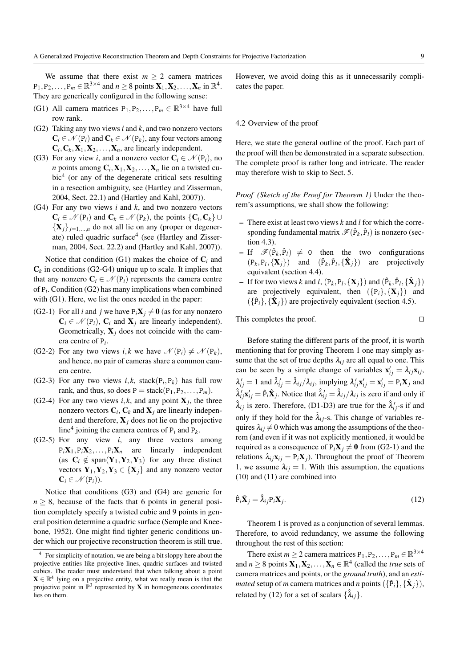We assume that there exist  $m \geq 2$  camera matrices  $P_1, P_2, \ldots, P_m \in \mathbb{R}^{3 \times 4}$  and  $n \ge 8$  points  $\mathbf{X}_1, \mathbf{X}_2, \ldots, \mathbf{X}_n$  in  $\mathbb{R}^4$ . They are generically configured in the following sense:

- (G1) All camera matrices  $P_1, P_2, \ldots, P_m \in \mathbb{R}^{3 \times 4}$  have full row rank.
- (G2) Taking any two views *i* and *k*, and two nonzero vectors  $C_i \in \mathcal{N}(P_i)$  and  $C_k \in \mathcal{N}(P_k)$ , any four vectors among  $C_i$ ,  $C_k$ ,  $X_1$ ,  $X_2$ , ...,  $X_n$ , are linearly independent.
- (G3) For any view *i*, and a nonzero vector  $C_i \in \mathcal{N}(P_i)$ , no *n* points among  $C_i$ ,  $X_1$ ,  $X_2$ ,...,  $X_n$  lie on a twisted cubic<sup>4</sup> (or any of the degenerate critical sets resulting in a resection ambiguity, see (Hartley and Zisserman, 2004, Sect. 22.1) and (Hartley and Kahl, 2007)).
- (G4) For any two views *i* and *k*, and two nonzero vectors  $C_i \in \mathcal{N}(P_i)$  and  $C_k \in \mathcal{N}(P_k)$ , the points  $\{C_i, C_k\} \cup$  ${X_j}_{j=1,\dots,n}$  do not all lie on any (proper or degenerate) ruled quadric surface<sup>4</sup> (see (Hartley and Zisserman, 2004, Sect. 22.2) and (Hartley and Kahl, 2007)).

Notice that condition  $(G1)$  makes the choice of  $C<sub>i</sub>$  and  $\mathbf{C}_k$  in conditions (G2-G4) unique up to scale. It implies that that any nonzero  $C_i \in \mathcal{N}(P_i)$  represents the camera centre of P*<sup>i</sup>* . Condition (G2) has many implications when combined with (G1). Here, we list the ones needed in the paper:

- (G2-1) For all *i* and *j* we have  $P_iX_j \neq 0$  (as for any nonzero  $C_i \in \mathcal{N}(P_i)$ ,  $C_i$  and  $X_j$  are linearly independent). Geometrically,  $X_i$  does not coincide with the camera centre of P*<sup>i</sup>* .
- (G2-2) For any two views *i*, *k* we have  $\mathcal{N}(\mathsf{P}_i) \neq \mathcal{N}(\mathsf{P}_k)$ , and hence, no pair of cameras share a common camera centre.
- (G2-3) For any two views  $i, k$ , stack( $P_i, P_k$ ) has full row rank, and thus, so does  $P = stack(P_1, P_2, \ldots, P_m)$ .
- (G2-4) For any two views  $i, k$ , and any point  $X_j$ , the three nonzero vectors  $C_i$ ,  $C_k$  and  $X_j$  are linearly independent and therefore,  $X_i$  does not lie on the projective line<sup>4</sup> joining the camera centres of  $P_i$  and  $P_k$ .
- (G2-5) For any view *i*, any three vectors among  $P_i \mathbf{X}_1, P_i \mathbf{X}_2, \ldots, P_i \mathbf{X}_n$  are linearly independent (as  $C_i \notin \text{span}(Y_1, Y_2, Y_3)$  for any three distinct vectors  $Y_1, Y_2, Y_3 \in \{X_i\}$  and any nonzero vector  $C_i \in \mathcal{N}(P_i)$ ).

Notice that conditions (G3) and (G4) are generic for  $n \geq 8$ , because of the facts that 6 points in general position completely specify a twisted cubic and 9 points in general position determine a quadric surface (Semple and Kneebone, 1952). One might find tighter generic conditions under which our projective reconstruction theorem is still true.

However, we avoid doing this as it unnecessarily complicates the paper.

### 4.2 Overview of the proof

Here, we state the general outline of the proof. Each part of the proof will then be demonstrated in a separate subsection. The complete proof is rather long and intricate. The reader may therefore wish to skip to Sect. 5.

*Proof (Sketch of the Proof for Theorem 1)* Under the theorem's assumptions, we shall show the following:

- There exist at least two views *k* and *l* for which the corresponding fundamental matrix  $\mathscr{F}(\hat{P}_k, \hat{P}_l)$  is nonzero (section 4.3).
- $-If$   $\mathscr{F}(\hat{P}_k, \hat{P}_l) \neq 0$  then the two configurations  $(P_k, P_l, {\{\mathbf{X}_j\}})$  and  $(\hat{P}_k, \hat{P}_l, {\{\hat{\mathbf{X}}_j\}})$  are projectively equivalent (section 4.4).
- If for two views *k* and *l*,  $(P_k, P_l, {\{\mathbf{X}_j\}})$  and  $(\hat{P}_k, \hat{P}_l, {\{\hat{\mathbf{X}}_j\}})$ are projectively equivalent, then  $({P_i}, {X_i})$  and  $({{\hat{P}_i}, {\hat{X}_j}})$  are projectively equivalent (section 4.5).

This completes the proof.  $\Box$ 

Before stating the different parts of the proof, it is worth mentioning that for proving Theorem 1 one may simply assume that the set of true depths  $\lambda_{ij}$  are all equal to one. This can be seen by a simple change of variables  $\mathbf{x}'_{ij} = \lambda_{ij} \mathbf{x}_{ij}$ ,  $\lambda'_{ij} = 1$  and  $\hat{\lambda}'_{ij} = \hat{\lambda}_{ij}/\lambda_{ij}$ , implying  $\lambda'_{ij} \mathbf{x}'_{ij} = \mathbf{x}'_{ij} = \mathbf{P}_i \mathbf{X}_j$  and  $\hat{\lambda}'_i \mathbf{x}'_{ij} = \hat{P}_i \hat{\mathbf{X}}_j$ . Notice that  $\hat{\lambda}'_i = \hat{\lambda}_i / \lambda_i$  is zero if and only if  $\hat{\lambda}_{ij}$  is zero. Therefore, (D1-D3) are true for the  $\hat{\lambda}'_{ij}$ -s if and only if they hold for the  $\hat{\lambda}_{ij}$ -s. This change of variables requires  $\lambda_{ij} \neq 0$  which was among the assumptions of the theorem (and even if it was not explicitly mentioned, it would be required as a consequence of  $P_iX_i \neq 0$  from (G2-1) and the relations  $\lambda_{ij}$ **x**<sub>*i*</sub>  $=$  P<sub>i</sub>**X**<sub>*j*</sub> $)$ . Throughout the proof of Theorem 1, we assume  $\lambda_{ij} = 1$ . With this assumption, the equations (10) and (11) are combined into

$$
\hat{\mathbf{P}}_i \hat{\mathbf{X}}_j = \hat{\lambda}_{ij} \mathbf{P}_i \mathbf{X}_j. \tag{12}
$$

Theorem 1 is proved as a conjunction of several lemmas. Therefore, to avoid redundancy, we assume the following throughout the rest of this section:

There exist  $m \ge 2$  camera matrices  $P_1, P_2, \ldots, P_m \in \mathbb{R}^{3 \times 4}$ and  $n \geq 8$  points  $X_1, X_2, \ldots, X_n \in \mathbb{R}^4$  (called the *true* sets of camera matrices and points, or the *ground truth*), and an *estimated* setup of *m* camera matrices and *n* points  $({{\hat{P}_i}, {\hat{X}_j}})$ , related by (12) for a set of scalars  $\{\hat{\lambda}_{ij}\}.$ 

<sup>4</sup> For simplicity of notation, we are being a bit sloppy here about the projective entities like projective lines, quadric surfaces and twisted cubics. The reader must understand that when talking about a point  $X \in \mathbb{R}^4$  lying on a projective entity, what we really mean is that the projective point in  $\mathbb{P}^3$  represented by **X** in homogeneous coordinates lies on them.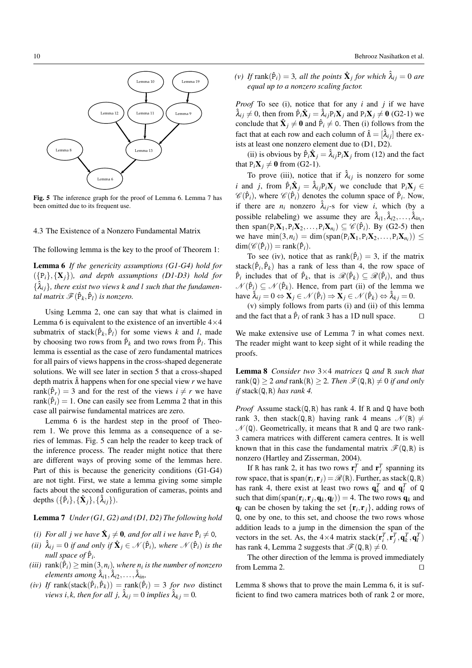

Fig. 5 The inference graph for the proof of Lemma 6. Lemma 7 has been omitted due to its frequent use.

# 4.3 The Existence of a Nonzero Fundamental Matrix

The following lemma is the key to the proof of Theorem 1:

Lemma 6 *If the genericity assumptions (G1-G4) hold for*  $({p_i}, {X_i})$ *, and depth assumptions (D1-D3) hold for*  $\{\hat{\lambda}_{ij}\}\$ , there exist two views k and l such that the fundamen $t$ *al matrix*  $\mathscr{F}(\hat{P}_k, \hat{P}_l)$  *is nonzero.* 

Using Lemma 2, one can say that what is claimed in Lemma 6 is equivalent to the existence of an invertible  $4 \times 4$ submatrix of stack $(\hat{P}_k, \hat{P}_l)$  for some views *k* and *l*, made by choosing two rows from  $\hat{P}_k$  and two rows from  $\hat{P}_l$ . This lemma is essential as the case of zero fundamental matrices for all pairs of views happens in the cross-shaped degenerate solutions. We will see later in section 5 that a cross-shaped depth matrix  $\hat{\Lambda}$  happens when for one special view *r* we have rank( $\hat{P}_r$ ) = 3 and for the rest of the views  $i \neq r$  we have  $rank(\hat{P}_i) = 1$ . One can easily see from Lemma 2 that in this case all pairwise fundamental matrices are zero.

Lemma 6 is the hardest step in the proof of Theorem 1. We prove this lemma as a consequence of a series of lemmas. Fig. 5 can help the reader to keep track of the inference process. The reader might notice that there are different ways of proving some of the lemmas here. Part of this is because the genericity conditions (G1-G4) are not tight. First, we state a lemma giving some simple facts about the second configuration of cameras, points and depths  $(\{\hat{P}_i\}, {\{\hat{X}_j\}, \{\hat{\lambda}_{ij}\})$ .

Lemma 7 *Under (G1, G2) and (D1, D2) The following hold*

- *(i)* For all j we have  $\hat{\mathbf{X}}_j \neq \mathbf{0}$ , and for all i we have  $\hat{P}_i \neq 0$ ,
- *(ii)*  $\hat{\lambda}_{ij} = 0$  *if and only if*  $\hat{\mathbf{X}}_j \in \mathcal{N}(\hat{P}_i)$ *, where*  $\mathcal{N}(\hat{P}_i)$  *is the null space of*  $\hat{P}_i$ .
- $(iii)$  rank $(\hat{P}_i) \ge \min(3, n_i)$ , where  $n_i$  is the number of nonzero *elements among* ˆλ*i*1, ˆλ*i*2,..., ˆλ*in,*
- $(iv)$  *If* rank(stack( $\hat{P}_i, \hat{P}_k$ )) = rank( $\hat{P}_i$ ) = 3 *for two* distinct *views i,k, then for all j,*  $\hat{\lambda}_{ij} = 0$  *implies*  $\hat{\lambda}_{ki} = 0$ *.*

*(v) If* rank( $\hat{P}_i$ ) = 3*, all the points*  $\hat{\mathbf{X}}_j$  *for which*  $\hat{\lambda}_{ij}$  = 0 *are equal up to a nonzero scaling factor.*

*Proof* To see (i), notice that for any *i* and *j* if we have  $\hat{\lambda}_{ij} \neq 0$ , then from  $\hat{P}_i \hat{X}_j = \hat{\lambda}_{ij} P_i X_j$  and  $P_i X_j \neq 0$  (G2-1) we conclude that  $\hat{\mathbf{X}}_j \neq \mathbf{0}$  and  $\hat{P}_i \neq 0$ . Then (i) follows from the fact that at each row and each column of  $\hat{\Lambda} = [\hat{\lambda}_{ij}]$  there exists at least one nonzero element due to (D1, D2).

(ii) is obvious by  $\hat{P}_i \hat{\mathbf{X}}_j = \hat{\lambda}_{ij} P_i \mathbf{X}_j$  from (12) and the fact that  $P_i \mathbf{X}_j \neq \mathbf{0}$  from (G2-1).

To prove (iii), notice that if  $\hat{\lambda}_{ij}$  is nonzero for some *i* and *j*, from  $\hat{P}_i \hat{X}_j = \hat{\lambda}_{ij} P_i X_j$  we conclude that  $P_i X_j \in$  $\mathscr{C}(\hat{P}_i)$ , where  $\mathscr{C}(\hat{P}_i)$  denotes the column space of  $\hat{P}_i$ . Now, if there are  $n_i$  nonzero  $\hat{\lambda}_{ij}$ -s for view *i*, which (by a possible relabeling) we assume they are  $\hat{\lambda}_{i1}, \hat{\lambda}_{i2}, \dots, \hat{\lambda}_{in_i}$ , then span( $P_i$ **X**<sub>1</sub>, $P_i$ **X**<sub>2</sub>,..., $P_i$ **X**<sub>*n<sub>i</sub></sub>)*  $\subseteq$   $\mathcal{C}(\hat{P}_i)$ . By (G2-5) then</sub> we have  $\min(3, n_i) = \dim(\text{span}(P_iX_1, P_iX_2, \dots, P_iX_{n_i})) \le$  $\dim(\mathcal{C}(\hat{P}_i)) = \text{rank}(\hat{P}_i).$ 

To see (iv), notice that as rank( $\hat{P}_i$ ) = 3, if the matrix stack( $\hat{P}_i$ ,  $\hat{P}_k$ ) has a rank of less than 4, the row space of  $\hat{P}_i$  includes that of  $\hat{P}_k$ , that is  $\mathcal{R}(\hat{P}_k) \subseteq \mathcal{R}(\hat{P}_i)$ , and thus  $\mathcal{N}(\hat{P}_i) \subseteq \mathcal{N}(\hat{P}_k)$ . Hence, from part (ii) of the lemma we  $\hat{\lambda}_{ij} = 0 \Leftrightarrow \mathbf{X}_j \in \mathcal{N}(\hat{P}_i) \Rightarrow \mathbf{X}_j \in \mathcal{N}(\hat{P}_k) \Leftrightarrow \hat{\lambda}_{kj} = 0.$ 

(v) simply follows from parts (i) and (ii) of this lemma and the fact that a  $\hat{P}_i$  of rank 3 has a 1D null space.  $\Box$ 

We make extensive use of Lemma 7 in what comes next. The reader might want to keep sight of it while reading the proofs.

Lemma 8 *Consider two* 3×4 *matrices* Q *and* R *such that*  $rank(Q) \geq 2$  *and*  $rank(R) \geq 2$ *. Then*  $\mathcal{F}(Q,R) \neq 0$  *if and only if* stack(Q,R) *has rank 4.*

*Proof* Assume stack(Q,R) has rank 4. If R and Q have both rank 3, then stack(Q,R) having rank 4 means  $\mathcal{N}(R) \neq$  $\mathcal{N}(\mathbb{Q})$ . Geometrically, it means that R and Q are two rank-3 camera matrices with different camera centres. It is well known that in this case the fundamental matrix  $\mathscr{F}(\mathbf{Q},\mathbf{R})$  is nonzero (Hartley and Zisserman, 2004).

If R has rank 2, it has two rows  $\mathbf{r}_i^T$  and  $\mathbf{r}_j^T$  spanning its row space, that is  $\text{span}(\mathbf{r}_i, \mathbf{r}_j) = \mathcal{R}(\mathbf{R})$ . Further, as stack( $\mathbf{Q}, \mathbf{R}$ ) has rank 4, there exist at least two rows  $\mathbf{q}_k^T$  and  $\mathbf{q}_l^T$  of Q such that dim(span( $\mathbf{r}_i$ ,  $\mathbf{r}_j$ ,  $\mathbf{q}_k$ ,  $\mathbf{q}_l$ )) = 4. The two rows  $\mathbf{q}_k$  and  $q_l$  can be chosen by taking the set  $\{r_i, r_j\}$ , adding rows of Q, one by one, to this set, and choose the two rows whose addition leads to a jump in the dimension the span of the vectors in the set. As, the  $4 \times 4$  matrix stack( $\mathbf{r}_i^T$ ,  $\mathbf{r}_j^T$ ,  $\mathbf{q}_k^T$ ,  $\mathbf{q}_l^T$ ) has rank 4, Lemma 2 suggests that  $\mathcal{F}(\mathbf{Q},\mathbf{R}) \neq 0$ .

The other direction of the lemma is proved immediately from Lemma 2.  $\Box$ 

Lemma 8 shows that to prove the main Lemma 6, it is sufficient to find two camera matrices both of rank 2 or more,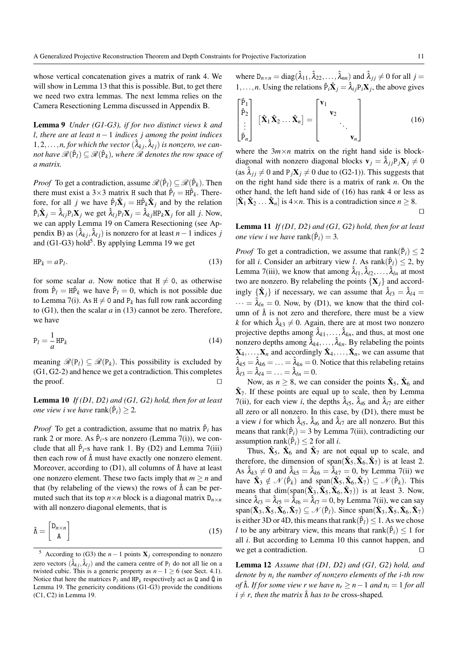whose vertical concatenation gives a matrix of rank 4. We will show in Lemma 13 that this is possible. But, to get there we need two extra lemmas. The next lemma relies on the Camera Resectioning Lemma discussed in Appendix B.

Lemma 9 *Under (G1-G3), if for two distinct views k and l, there are at least n*−1 *indices j among the point indices*  $1, 2, \ldots, n$ , for which the vector  $(\hat{\lambda}_{kj}, \hat{\lambda}_{lj})$  is nonzero, we can- $\mathscr{R}(\mathbf{\hat{P}}_l) \subseteq \mathscr{R}(\mathbf{\hat{P}}_k)$ , where  $\mathscr{R}$  denotes the row space of *a matrix.*

*Proof* To get a contradiction, assume  $\mathcal{R}(\hat{P}_l) \subseteq \mathcal{R}(\hat{P}_k)$ . Then there must exist a  $3\times 3$  matrix H such that  $\hat{P}_l = H\hat{P}_k$ . Therefore, for all *j* we have  $\hat{P}_l \hat{X}_j = H \hat{P}_k \hat{X}_j$  and by the relation  $\hat{P}_i \hat{\mathbf{X}}_j = \hat{\lambda}_{ij} P_i \mathbf{X}_j$  we get  $\hat{\lambda}_{lj} P_l \mathbf{X}_j = \hat{\lambda}_{kj} H P_k \mathbf{X}_j$  for all *j*. Now, we can apply Lemma 19 on Camera Resectioning (see Appendix B) as  $(\hat{\lambda}_{kj}, \hat{\lambda}_{lj})$  is nonzero for at least *n* − 1 indices *j* and  $(G1-G3)$  hold<sup>5</sup>. By applying Lemma 19 we get

$$
HP_k = aP_l. \tag{13}
$$

for some scalar *a*. Now notice that  $H \neq 0$ , as otherwise from  $\hat{P}_l = H\hat{P}_k$  we have  $\hat{P}_l = 0$ , which is not possible due to Lemma 7(i). As  $H \neq 0$  and P<sub>k</sub> has full row rank according to (G1), then the scalar *a* in (13) cannot be zero. Therefore, we have

$$
P_l = -\frac{1}{a}HP_k \tag{14}
$$

meaning  $\mathcal{R}(P_l) \subseteq \mathcal{R}(P_k)$ . This possibility is excluded by (G1, G2-2) and hence we get a contradiction. This completes the proof.  $\Box$ 

Lemma 10 *If (D1, D2) and (G1, G2) hold, then for at least one view i we have*  $rank(\hat{P}_i) \geq 2$ .

*Proof* To get a contradiction, assume that no matrix  $\hat{P}_i$  has rank 2 or more. As  $\hat{P}_i$ -s are nonzero (Lemma 7(i)), we conclude that all  $\hat{P}_i$ -s have rank 1. By (D2) and Lemma 7(iii) then each row of  $\hat{\Lambda}$  must have exactly one nonzero element. Moreover, according to (D1), all columns of  $\hat{\Lambda}$  have at least one nonzero element. These two facts imply that  $m \geq n$  and that (by relabeling of the views) the rows of  $\hat{\Lambda}$  can be permuted such that its top  $n \times n$  block is a diagonal matrix  $D_{n \times n}$ with all nonzero diagonal elements, that is

$$
\hat{\Lambda} = \begin{bmatrix} \mathbf{D}_{n \times n} \\ \mathbf{A} \end{bmatrix} \tag{15}
$$

where  $D_{n \times n} = \text{diag}(\hat{\lambda}_{11}, \hat{\lambda}_{22}, \dots, \hat{\lambda}_{nn})$  and  $\hat{\lambda}_{jj} \neq 0$  for all  $j =$ 1,...,*n*. Using the relations  $\hat{P}_i \hat{X}_j = \hat{\lambda}_{ij} P_i X_j$ , the above gives

$$
\begin{bmatrix} \hat{\mathbf{P}}_1 \\ \hat{\mathbf{P}}_2 \\ \vdots \\ \hat{\mathbf{P}}_n \end{bmatrix} \begin{bmatrix} \hat{\mathbf{X}}_1 \hat{\mathbf{X}}_2 \dots \hat{\mathbf{X}}_n \end{bmatrix} = \begin{bmatrix} \mathbf{v}_1 \\ \mathbf{v}_2 \\ \vdots \\ \mathbf{v}_n \end{bmatrix} . . .
$$
 (16)

where the  $3m \times n$  matrix on the right hand side is blockdiagonal with nonzero diagonal blocks  $\mathbf{v}_i = \hat{\lambda}_{i j} P_j \mathbf{X}_j \neq 0$ (as  $\lambda_{ij} \neq 0$  and  $P_jX_j \neq 0$  due to (G2-1)). This suggests that on the right hand side there is a matrix of rank *n*. On the other hand, the left hand side of (16) has rank 4 or less as  $[\hat{\mathbf{X}}_1 \hat{\mathbf{X}}_2 \dots \hat{\mathbf{X}}_n]$  is  $4 \times n$ . This is a contradiction since  $n \geq 8$ .  $\Box$ 

Lemma 11 *If (D1, D2) and (G1, G2) hold, then for at least one view i we have*  $\text{rank}(\hat{P}_i) = 3$ .

*Proof* To get a contradiction, we assume that rank $(\hat{P}_i) \leq 2$ for all *i*. Consider an arbitrary view *l*. As  $rank(\hat{P}_l) \leq 2$ , by Lemma 7(iii), we know that among  $\hat{\lambda}_{11}, \hat{\lambda}_{12}, \dots, \hat{\lambda}_{1n}$  at most two are nonzero. By relabeling the points  $\{X_j\}$  and accordingly  $\{\hat{\mathbf{X}}_j\}$  if necessary, we can assume that  $\hat{\lambda}_{13} = \hat{\lambda}_{14} =$  $\cdots = \lambda_{ln} = 0$ . Now, by (D1), we know that the third column of  $\hat{\Lambda}$  is not zero and therefore, there must be a view *k* for which  $\lambda_{k3} \neq 0$ . Again, there are at most two nonzero projective depths among  $\hat{\lambda}_{k1}, \dots, \hat{\lambda}_{kn}$ , and thus, at most one nonzero depths among  $\hat{\lambda}_{k4}, \dots, \hat{\lambda}_{kn}$ . By relabeling the points  $X_4, \ldots, X_n$  and accordingly  $\hat{X}_4, \ldots, \hat{X}_n$ , we can assume that  $\hat{\lambda}_{k5} = \hat{\lambda}_{k6} = \ldots = \hat{\lambda}_{kn} = 0$ . Notice that this relabeling retains  $\hat{\lambda}_{l3} = \hat{\lambda}_{l4} = \ldots = \hat{\lambda}_{ln} = 0.$ 

Now, as  $n \geq 8$ , we can consider the points  $\hat{\mathbf{X}}_5$ ,  $\hat{\mathbf{X}}_6$  and  $\hat{\mathbf{X}}_7$ . If these points are equal up to scale, then by Lemma 7(ii), for each view *i*, the depths  $\hat{\lambda}_{i5}$ ,  $\hat{\lambda}_{i6}$  and  $\hat{\lambda}_{i7}$  are either all zero or all nonzero. In this case, by (D1), there must be a view *i* for which  $\hat{\lambda}_{i5}$ ,  $\hat{\lambda}_{i6}$  and  $\hat{\lambda}_{i7}$  are all nonzero. But this means that rank( $\hat{P}_i$ ) = 3 by Lemma 7(iii), contradicting our assumption rank( $\hat{P}_i$ )  $\leq$  2 for all *i*.

Thus,  $\hat{\mathbf{X}}_5$ ,  $\hat{\mathbf{X}}_6$  and  $\hat{\mathbf{X}}_7$  are not equal up to scale, and therefore, the dimension of span( $\hat{\mathbf{X}}_5$ ,  $\hat{\mathbf{X}}_6$ ,  $\hat{\mathbf{X}}_7$ ) is at least 2. As  $\hat{\lambda}_{k3} \neq 0$  and  $\hat{\lambda}_{k5} = \hat{\lambda}_{k6} = \hat{\lambda}_{k7} = 0$ , by Lemma 7(ii) we have  $\hat{\mathbf{X}}_3 \notin \mathcal{N}(\hat{P}_k)$  and span $(\hat{\mathbf{X}}_5, \hat{\mathbf{X}}_6, \hat{\mathbf{X}}_7) \subseteq \mathcal{N}(\hat{P}_k)$ . This means that  $\dim(\text{span}(\hat{\mathbf{X}}_3, \hat{\mathbf{X}}_5, \hat{\mathbf{X}}_6, \hat{\mathbf{X}}_7)$  is at least 3. Now, since  $\hat{\lambda}_{13} = \hat{\lambda}_{15} = \hat{\lambda}_{16} = \hat{\lambda}_{17} = 0$ , by Lemma 7(ii), we can say span( $(\hat{\mathbf{X}}_3, \hat{\mathbf{X}}_5, \hat{\mathbf{X}}_6, \hat{\mathbf{X}}_7) \subseteq \mathcal{N}(\hat{P}_l)$ . Since span( $(\hat{\mathbf{X}}_3, \hat{\mathbf{X}}_5, \hat{\mathbf{X}}_6, \hat{\mathbf{X}}_7)$ is either 3D or 4D, this means that  $rank(\hat{P}_l) \leq 1$ . As we chose *l* to be any arbitrary view, this means that rank $(\hat{P}_i) \leq 1$  for all *i*. But according to Lemma 10 this cannot happen, and we get a contradiction.  $\Box$ 

Lemma 12 *Assume that (D1, D2) and (G1, G2) hold, and denote by n<sup>i</sup> the number of nonzero elements of the i-th row of*  $\hat{\Lambda}$ *. If for some view r we have*  $n_r \geq n-1$  *and*  $n_i = 1$  *for all*  $i \neq r$ , then the matrix  $\hat{\Lambda}$  *has to be* cross-shaped.

<sup>&</sup>lt;sup>5</sup> According to (G3) the *n* − 1 points  $X_i$  corresponding to nonzero zero vectors  $(\hat{\lambda}_{kj}, \hat{\lambda}_{lj})$  and the camera centre of P<sub>l</sub> do not all lie on a twisted cubic. This is a generic property as  $n - 1 \ge 6$  (see Sect. 4.1). Notice that here the matrices  $P_l$  and  $HP_k$  respectively act as Q and  $\hat{Q}$  in Lemma 19. The genericity conditions (G1-G3) provide the conditions (C1, C2) in Lemma 19.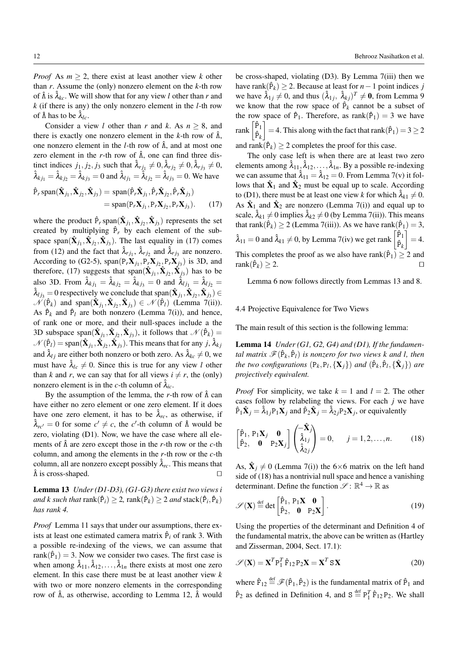*Proof* As  $m \geq 2$ , there exist at least another view *k* other than *r*. Assume the (only) nonzero element on the *k*-th row of  $\hat{\Lambda}$  is  $\hat{\lambda}_{kc}$ . We will show that for any view *l* other than *r* and *k* (if there is any) the only nonzero element in the *l*-th row of  $\hat{\Lambda}$  has to be  $\hat{\lambda}_{lc}$ .

Consider a view *l* other than *r* and *k*. As  $n \geq 8$ , and there is exactly one nonzero element in the  $k$ -th row of  $\hat{\Lambda}$ , one nonzero element in the *l*-th row of Λˆ, and at most one zero element in the *r*-th row of Λˆ, one can find three distinct indices  $j_1, j_2, j_3$  such that  $\hat{\lambda}_{rj_1} \neq 0, \hat{\lambda}_{rj_2} \neq 0, \hat{\lambda}_{rj_3} \neq 0$ ,  $\hat{\lambda}_{k j_1} = \hat{\lambda}_{k j_2} = \hat{\lambda}_{k j_3} = 0$  and  $\hat{\lambda}_{l j_1} = \hat{\lambda}_{l j_2} = \hat{\lambda}_{l j_3} = 0$ . We have  $\hat{P}_r$  span $(\hat{\mathbf{X}}_{j_1}, \hat{\mathbf{X}}_{j_2}, \hat{\mathbf{X}}_{j_3}) = \text{span}(\hat{P}_r \hat{\mathbf{X}}_{j_1}, \hat{P}_r \hat{\mathbf{X}}_{j_2}, \hat{P}_r \hat{\mathbf{X}}_{j_3})$  $=$  span $(P_rX_{j_1}, P_rX_{j_2}, P_rX_{j_3})$  $(17)$ 

where the product  $\hat{P}_r$  span $(\hat{X}_{j_1}, \hat{X}_{j_2}, \hat{X}_{j_3})$  represents the set created by multiplying  $\hat{P}_r$  by each element of the subspace span $(\hat{\mathbf{X}}_{j_1}, \hat{\mathbf{X}}_{j_2}, \hat{\mathbf{X}}_{j_3})$ . The last equality in (17) comes from (12) and the fact that  $\hat{\lambda}_{rj_1}$ ,  $\hat{\lambda}_{rj_2}$  and  $\hat{\lambda}_{rj_3}$  are nonzero. According to (G2-5),  $\text{span}(P_r X_{j_1}, P_r X_{j_2}, P_r X_{j_3})$  is 3D, and therefore, (17) suggests that  $\text{span}(\hat{\mathbf{X}}_{j_1}, \hat{\mathbf{X}}_{j_2}, \hat{\mathbf{X}}_{j_3})$  has to be also 3D. From  $\hat{\lambda}_{k j_1} = \hat{\lambda}_{k j_2} = \hat{\lambda}_{k j_3} = 0$  and  $\hat{\lambda}_{l j_1} = \hat{\lambda}_{l j_2} =$  $\hat{\lambda}_{lj_3}=0$  respectively we conclude that  $\text{span}(\hat{\mathbf{X}}_{j_1},\hat{\mathbf{X}}_{j_2},\hat{\mathbf{X}}_{j_3})\in$  $\mathcal{N}(\hat{P}_k)$  and span $(\hat{\mathbf{X}}_{j_1}, \hat{\mathbf{X}}_{j_2}, \hat{\mathbf{X}}_{j_3}) \in \mathcal{N}(\hat{P}_l)$  (Lemma 7(ii)). As  $\hat{P}_k$  and  $\hat{P}_l$  are both nonzero (Lemma 7(i)), and hence, of rank one or more, and their null-spaces include a the 3D subspace span $(\hat{\mathbf{X}}_{j_1}, \hat{\mathbf{X}}_{j_2}, \hat{\mathbf{X}}_{j_3})$ , it follows that  $\mathcal{N}(\hat{P}_k)$  =  $\mathcal{N}(\hat{P}_l) = \text{span}(\hat{\mathbf{X}}_{j_1}, \hat{\mathbf{X}}_{j_2}, \hat{\mathbf{X}}_{j_3})$ . This means that for any  $j, \hat{\lambda}_k j$ and  $\hat{\lambda}_{lj}$  are either both nonzero or both zero. As  $\hat{\lambda}_{kc} \neq 0$ , we must have  $\lambda_{lc} \neq 0$ . Since this is true for any view *l* other than *k* and *r*, we can say that for all views  $i \neq r$ , the (only) nonzero element is in the *c*-th column of  $\hat{\lambda}_{ic}$ .

By the assumption of the lemma, the *r*-th row of Λˆ can have either no zero element or one zero element. If it does have one zero element, it has to be  $\hat{\lambda}_{rc}$ , as otherwise, if  $\hat{\lambda}_{rc'} = 0$  for some  $c' \neq c$ , the *c*'-th column of  $\hat{\Lambda}$  would be zero, violating (D1). Now, we have the case where all elements of Λˆ are zero except those in the *r*-th row or the *c*-th column, and among the elements in the *r*-th row or the *c*-th column, all are nonzero except possibly  $\hat{\lambda}_{rc}$ . This means that  $\hat{\Lambda}$  is cross-shaped.

Lemma 13 *Under (D1-D3), (G1-G3) there exist two views i*  $and \ k \ such \ that \ rank(\hat{P}_i) \geq 2, \ rank(\hat{P}_k) \geq 2 \ and \ stack(\hat{P}_i, \hat{P}_k)$ *has rank 4.*

*Proof* Lemma 11 says that under our assumptions, there exists at least one estimated camera matrix  $\hat{P}_i$  of rank 3. With a possible re-indexing of the views, we can assume that rank( $\hat{P}_1$ ) = 3. Now we consider two cases. The first case is when among  $\hat{\lambda}_{11}, \hat{\lambda}_{12}, \dots, \hat{\lambda}_{1n}$  there exists at most one zero element. In this case there must be at least another view *k* with two or more nonzero elements in the corresponding row of Λˆ, as otherwise, according to Lemma 12, Λˆ would

be cross-shaped, violating (D3). By Lemma 7(iii) then we have rank( $\hat{P}_k$ ) ≥ 2. Because at least for *n* − 1 point indices *j* we have  $\hat{\lambda}_{1j} \neq 0$ , and thus  $(\hat{\lambda}_{1j}, \hat{\lambda}_{kj})^T \neq \mathbf{0}$ , from Lemma 9 we know that the row space of  $\hat{P}_k$  cannot be a subset of the row space of  $\hat{P}_1$ . Therefore, as rank $(\hat{P}_1) = 3$  we have rank  $\begin{bmatrix} \hat{P}_1 \\ \hat{P}_k \end{bmatrix}$  $\Big] = 4$ . This along with the fact that rank $(\hat{P}_1) = 3 \ge 2$ and rank $(\hat{P}_k) \ge 2$  completes the proof for this case.

The only case left is when there are at least two zero elements among  $\hat{\lambda}_{11}$ ,  $\hat{\lambda}_{12}$ , ...,  $\hat{\lambda}_{1n}$ . By a possible re-indexing we can assume that  $\hat{\lambda}_{11} = \hat{\lambda}_{12} = 0$ . From Lemma 7(v) it follows that  $\hat{\mathbf{X}}_1$  and  $\hat{\mathbf{X}}_2$  must be equal up to scale. According to (D1), there must be at least one view *k* for which  $\hat{\lambda}_{k1} \neq 0$ . As  $\hat{\mathbf{X}}_1$  and  $\hat{\mathbf{X}}_2$  are nonzero (Lemma 7(i)) and equal up to scale,  $\lambda_{k1} \neq 0$  implies  $\lambda_{k2} \neq 0$  (by Lemma 7(ii)). This means that rank $(\hat{P}_k) \ge 2$  (Lemma 7(iii)). As we have rank $(\hat{P}_1) = 3$ ,  $\hat{\lambda}_{11} = 0$  and  $\hat{\lambda}_{k1} \neq 0$ , by Lemma 7(iv) we get rank  $\begin{bmatrix} \hat{P}_1 \\ \hat{P}_k \end{bmatrix}$  $= 4.$ This completes the proof as we also have rank( $\hat{P}_1$ )  $\geq 2$  and  $rank(\hat{P}_k) \geq 2.$ 

Lemma 6 now follows directly from Lemmas 13 and 8.

# 4.4 Projective Equivalence for Two Views

The main result of this section is the following lemma:

Lemma 14 *Under (G1, G2, G4) and (D1), If the fundamen*tal matrix  $\mathscr{F}(\hat{P}_k, \hat{P}_l)$  is nonzero for two views k and l, then *the two configurations*  $(P_k, P_l, {\{\mathbf{X}_j\}})$  *and*  $(\hat{P}_k, \hat{P}_l, {\{\mathbf{X}_j\}})$  *are projectively equivalent.*

*Proof* For simplicity, we take  $k = 1$  and  $l = 2$ . The other cases follow by relabeling the views. For each *j* we have  $\hat{P}_1 \hat{\mathbf{X}}_j = \hat{\lambda}_{1j} P_1 \mathbf{X}_j$  and  $\hat{P}_2 \hat{\mathbf{X}}_j = \hat{\lambda}_{2j} P_2 \mathbf{X}_j$ , or equivalently

$$
\begin{bmatrix} \hat{\mathbf{P}}_1, \mathbf{P}_1 \mathbf{X}_j & \mathbf{0} \\ \hat{\mathbf{P}}_2, \mathbf{0} & \mathbf{P}_2 \mathbf{X}_j \end{bmatrix} \begin{pmatrix} -\hat{\mathbf{X}}_j \\ \hat{\lambda}_{1j} \\ \hat{\lambda}_{2j} \end{pmatrix} = 0, \quad j = 1, 2, ..., n. \quad (18)
$$

As,  $\hat{\mathbf{X}}_j \neq 0$  (Lemma 7(i)) the 6×6 matrix on the left hand side of (18) has a nontrivial null space and hence a vanishing determinant. Define the function  $\mathscr{S} \colon \mathbb{R}^4 \to \mathbb{R}$  as

$$
\mathscr{S}(\mathbf{X}) \stackrel{\text{def}}{=} \det \begin{bmatrix} \hat{P}_1, P_1 \mathbf{X} & \mathbf{0} \\ \hat{P}_2, & \mathbf{0} & P_2 \mathbf{X} \end{bmatrix} . \tag{19}
$$

Using the properties of the determinant and Definition 4 of the fundamental matrix, the above can be written as (Hartley and Zisserman, 2004, Sect. 17.1):

$$
\mathcal{S}(\mathbf{X}) = \mathbf{X}^T \mathbf{P}_1^T \hat{\mathbf{F}}_{12} \mathbf{P}_2 \mathbf{X} = \mathbf{X}^T \mathbf{S} \mathbf{X}
$$
 (20)

where  $\hat{F}_{12} \stackrel{\text{def}}{=} \mathcal{F}(\hat{P}_1, \hat{P}_2)$  is the fundamental matrix of  $\hat{P}_1$  and  $\hat{P}_2$  as defined in Definition 4, and  $S \stackrel{\text{def}}{=} P_1^T \hat{F}_{12} P_2$ . We shall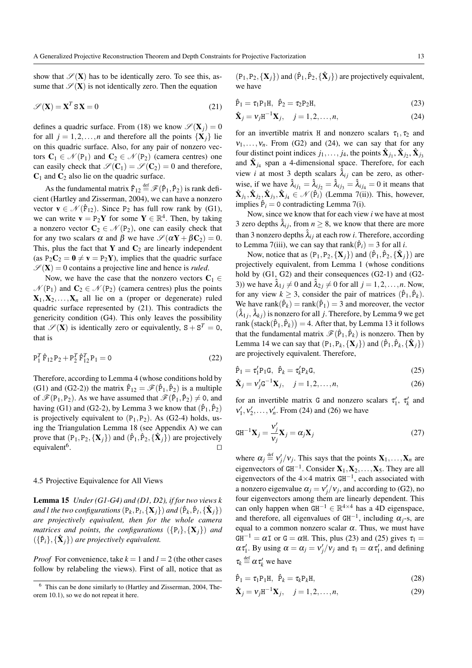show that  $\mathscr{S}(X)$  has to be identically zero. To see this, assume that  $\mathcal{S}(X)$  is not identically zero. Then the equation

$$
\mathcal{S}(\mathbf{X}) = \mathbf{X}^T \mathbf{S} \mathbf{X} = 0 \tag{21}
$$

defines a quadric surface. From (18) we know  $\mathscr{S}(\mathbf{X}_i) = 0$ for all  $j = 1, 2, ..., n$  and therefore all the points  $\{X_i\}$  lie on this quadric surface. Also, for any pair of nonzero vectors  $C_1 \in \mathcal{N}(P_1)$  and  $C_2 \in \mathcal{N}(P_2)$  (camera centres) one can easily check that  $\mathcal{S}(\mathbf{C}_1) = \mathcal{S}(\mathbf{C}_2) = 0$  and therefore,  $C_1$  and  $C_2$  also lie on the quadric surface.

As the fundamental matrix  $\hat{F}_{12} \stackrel{\text{def}}{=} \mathscr{F}(\hat{P}_1, \hat{P}_2)$  is rank deficient (Hartley and Zisserman, 2004), we can have a nonzero vector  $\mathbf{v} \in \mathcal{N}(\hat{\mathbf{F}}_{12})$ . Since P<sub>2</sub> has full row rank by (G1), we can write  $\mathbf{v} = P_2 \mathbf{Y}$  for some  $\mathbf{Y} \in \mathbb{R}^4$ . Then, by taking a nonzero vector  $C_2 \in \mathcal{N}(P_2)$ , one can easily check that for any two scalars  $\alpha$  and  $\beta$  we have  $\mathscr{S}(\alpha Y + \beta C_2) = 0$ . This, plus the fact that Y and  $C_2$  are linearly independent (as  $P_2C_2 = 0 \neq v = P_2Y$ ), implies that the quadric surface  $\mathscr{S}(\mathbf{X}) = 0$  contains a projective line and hence is *ruled*.

Now, we have the case that the nonzero vectors  $C_1 \in$  $\mathcal{N}(P_1)$  and  $C_2 \in \mathcal{N}(P_2)$  (camera centres) plus the points  $X_1, X_2, \ldots, X_n$  all lie on a (proper or degenerate) ruled quadric surface represented by (21). This contradicts the genericity condition (G4). This only leaves the possibility that  $\mathscr{S}(X)$  is identically zero or equivalently,  $S + S^T = 0$ , that is

$$
P_1^T \hat{F}_{12} P_2 + P_2^T \hat{F}_{12}^T P_1 = 0
$$
\n(22)

Therefore, according to Lemma 4 (whose conditions hold by (G1) and (G2-2)) the matrix  $\hat{F}_{12} = \mathscr{F}(\hat{P}_1, \hat{P}_2)$  is a multiple of  $\mathscr{F}(\bar{P}_1,\bar{P}_2)$ . As we have assumed that  $\mathscr{F}(\hat{P}_1,\hat{P}_2) \neq 0$ , and having (G1) and (G2-2), by Lemma 3 we know that  $(\hat{P}_1, \hat{P}_2)$ is projectively equivalent to  $(P_1, P_2)$ . As  $(G2-4)$  holds, using the Triangulation Lemma 18 (see Appendix A) we can prove that  $(P_1, P_2, \{X_j\})$  and  $(\hat{P}_1, \hat{P}_2, \{\hat{X}_j\})$  are projectively equivalent<sup>6</sup>. . ut

# 4.5 Projective Equivalence for All Views

Lemma 15 *Under (G1-G4) and (D1, D2), if for two views k* and l the two configurations  $(P_k, P_l, \{ \mathbf{X}_j \})$  and  $(\hat{P}_k, \hat{P}_l, \{ \hat{\mathbf{X}}_j \})$ *are projectively equivalent, then for the whole camera matrices and points, the configurations*  $({P_i}, {X_j})$  *and*  $(\{\hat{P}_i\}, {\{\hat{\mathbf{X}}_j\}})$  are projectively equivalent.

*Proof* For convenience, take  $k = 1$  and  $l = 2$  (the other cases follow by relabeling the views). First of all, notice that as

 $(P_1, P_2, \{X_j\})$  and  $(\hat{P}_1, \hat{P}_2, \{\hat{X}_j\})$  are projectively equivalent, we have

$$
\hat{P}_1 = \tau_1 P_1 H, \ \hat{P}_2 = \tau_2 P_2 H,\tag{23}
$$

$$
\hat{\mathbf{X}}_j = \mathbf{v}_j \mathbf{H}^{-1} \mathbf{X}_j, \quad j = 1, 2, \dots, n,
$$
\n(24)

for an invertible matrix H and nonzero scalars  $\tau_1, \tau_2$  and  $v_1, \ldots, v_n$ . From (G2) and (24), we can say that for any four distinct point indices  $j_1, \ldots, j_4$ , the points  $\hat{\mathbf{X}}_{j_1}, \hat{\mathbf{X}}_{j_2}, \hat{\mathbf{X}}_{j_3}$ and  $\hat{\mathbf{X}}_{j_4}$  span a 4-dimensional space. Therefore, for each view *i* at most 3 depth scalars  $\lambda_{ij}$  can be zero, as otherwise, if we have  $\hat{\lambda}_{ij_1} = \hat{\lambda}_{ij_2} = \hat{\lambda}_{ij_3} = \hat{\lambda}_{ij_4} = 0$  it means that  $\hat{\mathbf{X}}_{j_1}, \hat{\mathbf{X}}_{j_2}, \hat{\mathbf{X}}_{j_3}, \hat{\mathbf{X}}_{j_4} \in \mathcal{N}(\hat{P}_i)$  (Lemma 7(ii)). This, however, implies  $\hat{P}_i = 0$  contradicting Lemma 7(i).

Now, since we know that for each view *i* we have at most 3 zero depths  $\lambda_{ij}$ , from  $n \geq 8$ , we know that there are more than 3 nonzero depths  $\hat{\lambda}_{ij}$  at each row *i*. Therefore, according to Lemma 7(iii), we can say that rank( $\hat{P}_i$ ) = 3 for all *i*.

Now, notice that as  $(P_1, P_2, \{X_j\})$  and  $(\hat{P}_1, \hat{P}_2, \{\hat{X}_j\})$  are projectively equivalent, from Lemma 1 (whose conditions hold by (G1, G2) and their consequences (G2-1) and (G2-3)) we have  $\hat{\lambda}_{1i} \neq 0$  and  $\hat{\lambda}_{2i} \neq 0$  for all  $j = 1, 2, \ldots, n$ . Now, for any view  $k \geq 3$ , consider the pair of matrices  $(\hat{P}_1, \hat{P}_k)$ . We have rank $(\hat{P}_k)$  = rank $(\hat{P}_1)$  = 3 and moreover, the vector  $(\hat{\lambda}_{1j}, \hat{\lambda}_{kj})$  is nonzero for all *j*. Therefore, by Lemma 9 we get rank  $(\text{stack}(\hat{P}_1, \hat{P}_k)) = 4$ . After that, by Lemma 13 it follows that the fundamental matrix  $\mathscr{F}(\hat{P}_1, \hat{P}_k)$  is nonzero. Then by Lemma 14 we can say that  $(P_1, P_k, \{X_j\})$  and  $(\hat{P}_1, \hat{P}_k, \{\hat{X}_j\})$ are projectively equivalent. Therefore,

$$
\hat{\mathbf{P}}_1 = \tau'_1 \mathbf{P}_1 \mathbf{G}, \ \hat{\mathbf{P}}_k = \tau'_k \mathbf{P}_k \mathbf{G}, \tag{25}
$$

$$
\hat{\mathbf{X}}_j = \mathbf{v}_j' \mathbf{G}^{-1} \mathbf{X}_j, \quad j = 1, 2, \dots, n,
$$
\n(26)

for an invertible matrix G and nonzero scalars  $\tau'_1$ ,  $\tau'_k$  and  $v'_1, v'_2, \ldots, v'_n$ . From (24) and (26) we have

$$
GH^{-1}\mathbf{X}_j = \frac{\mathbf{v}'_j}{\mathbf{v}_j} \mathbf{X}_j = \alpha_j \mathbf{X}_j
$$
 (27)

where  $\alpha_j \stackrel{\text{def}}{=} v'_j/v_j$ . This says that the points  $X_1, \ldots, X_n$  are eigenvectors of  $GH^{-1}$ . Consider  $X_1, X_2, \ldots, X_5$ . They are all eigenvectors of the  $4\times4$  matrix GH<sup>-1</sup>, each associated with a nonzero eigenvalue  $\alpha_j = v'_j/v_j$ , and according to (G2), no four eigenvectors among them are linearly dependent. This can only happen when  $GH^{-1} \in \mathbb{R}^{4 \times 4}$  has a 4D eigenspace, and therefore, all eigenvalues of  $GH^{-1}$ , including  $\alpha_j$ -s, are equal to a common nonzero scalar  $\alpha$ . Thus, we must have  $GH^{-1} = \alpha I$  or  $G = \alpha H$ . This, plus (23) and (25) gives  $\tau_1 =$  $\alpha \tau'_1$ . By using  $\alpha = \alpha_j = v'_j/v_j$  and  $\tau_1 = \alpha \tau'_1$ , and defining  $\tau_k \stackrel{\text{def}}{=} \alpha \tau'_k$  we have

$$
\hat{\mathbf{P}}_1 = \tau_1 \mathbf{P}_1 \mathbf{H}, \quad \hat{\mathbf{P}}_k = \tau_k \mathbf{P}_k \mathbf{H}, \tag{28}
$$

$$
\hat{\mathbf{X}}_j = \mathbf{v}_j \mathbf{H}^{-1} \mathbf{X}_j, \quad j = 1, 2, \dots, n,
$$
\n(29)

 $6$  This can be done similarly to (Hartley and Zisserman, 2004, Theorem 10.1), so we do not repeat it here.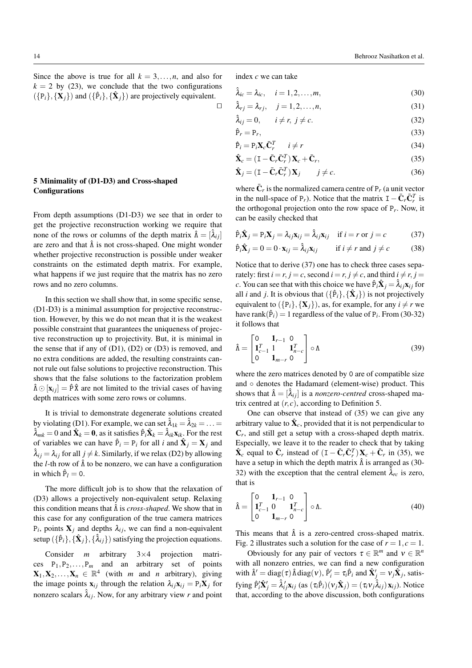Since the above is true for all  $k = 3, \ldots, n$ , and also for  $k = 2$  by (23), we conclude that the two configurations  $({\{P_i\}}, {\{\mathbf{X}_j\}})$  and  $({{\{\hat{P}_i\}}, {\{\hat{\mathbf{X}}_j\}}})$  are projectively equivalent.  $\Box$ 

# 5 Minimality of (D1-D3) and Cross-shaped **Configurations**

From depth assumptions (D1-D3) we see that in order to get the projective reconstruction working we require that none of the rows or columns of the depth matrix  $\hat{\Lambda} = [\lambda_{ij}]$ are zero and that  $\hat{\Lambda}$  is not cross-shaped. One might wonder whether projective reconstruction is possible under weaker constraints on the estimated depth matrix. For example, what happens if we just require that the matrix has no zero rows and no zero columns.

In this section we shall show that, in some specific sense, (D1-D3) is a minimal assumption for projective reconstruction. However, by this we do not mean that it is the weakest possible constraint that guarantees the uniqueness of projective reconstruction up to projectivity. But, it is minimal in the sense that if any of (D1), (D2) or (D3) is removed, and no extra conditions are added, the resulting constraints cannot rule out false solutions to projective reconstruction. This shows that the false solutions to the factorization problem  $\hat{\Lambda} \odot [\mathbf{x}_{ij}] = \hat{P} \hat{\mathbf{X}}$  are not limited to the trivial cases of having depth matrices with some zero rows or columns.

It is trivial to demonstrate degenerate solutions created by violating (D1). For example, we can set  $\hat{\lambda}_{1k} = \hat{\lambda}_{2k} = ... =$  $\hat{\lambda}_{mk} = 0$  and  $\hat{\mathbf{X}}_k = \mathbf{0}$ , as it satisfies  $\hat{P}_i \hat{\mathbf{X}}_k = \hat{\lambda}_{ik} \mathbf{x}_{ik}$ . For the rest of variables we can have  $\hat{P}_i = P_i$  for all *i* and  $\hat{X}_j = X_j$  and  $\hat{\lambda}_i = \lambda_i$  for all  $j \neq k$ . Similarly, if we relax (D2) by allowing the *l*-th row of  $\hat{\Lambda}$  to be nonzero, we can have a configuration in which  $\hat{P}_l = 0$ .

The more difficult job is to show that the relaxation of (D3) allows a projectively non-equivalent setup. Relaxing this condition means that Λˆ is *cross-shaped*. We show that in this case for any configuration of the true camera matrices  $P_i$ , points  $X_j$  and depths  $\lambda_{ij}$ , we can find a non-equivalent setup  $(\{\hat{P}_i\}, \{\hat{\mathbf{X}}_j\}, \{\hat{\lambda}_{ij}\})$  satisfying the projection equations.

Consider *m* arbitrary 3×4 projection matrices  $P_1, P_2, \ldots, P_m$  and an arbitrary set of points  $\mathbf{X}_1, \mathbf{X}_2, \dots, \mathbf{X}_n \in \mathbb{R}^4$  (with *m* and *n* arbitrary), giving the image points  $\mathbf{x}_{ij}$  through the relation  $\lambda_{ij}\mathbf{x}_{ij} = P_i\mathbf{X}_j$  for nonzero scalars  $\hat{\lambda}_i$ . Now, for any arbitrary view *r* and point index *c* we can take

 $\hat{\lambda}_{ic} = \lambda_{ic}, \quad i = 1, 2, ..., m,$  (30)

$$
\hat{\lambda}_{rj} = \lambda_{rj}, \quad j = 1, 2, \dots, n,
$$
\n(31)

$$
\hat{\lambda}_{ij} = 0, \qquad i \neq r, \ j \neq c. \tag{32}
$$

$$
\hat{\mathbf{P}}_r = \mathbf{P}_r,\tag{33}
$$

$$
\hat{\mathbf{P}}_i = \mathbf{P}_i \mathbf{X}_c \bar{\mathbf{C}}_r^T \qquad i \neq r \tag{34}
$$

$$
\hat{\mathbf{X}}_c = (\mathbf{I} - \bar{\mathbf{C}}_r \bar{\mathbf{C}}_r^T) \mathbf{X}_c + \bar{\mathbf{C}}_r,\tag{35}
$$

$$
\hat{\mathbf{X}}_j = (\mathbf{I} - \bar{\mathbf{C}}_r \bar{\mathbf{C}}_r^T) \mathbf{X}_j \qquad j \neq c. \tag{36}
$$

where  $\bar{\mathbf{C}}_r$  is the normalized camera centre of  $P_r$  (a unit vector in the null-space of P<sub>r</sub>). Notice that the matrix  $I - \bar{C}_r \bar{C}_r^T$  is the orthogonal projection onto the row space of  $P_r$ . Now, it can be easily checked that

$$
\hat{P}_i \hat{\mathbf{X}}_j = P_i \mathbf{X}_j = \lambda_{ij} \mathbf{x}_{ij} = \hat{\lambda}_{ij} \mathbf{x}_{ij} \quad \text{if } i = r \text{ or } j = c \tag{37}
$$

$$
\hat{P}_i \hat{\mathbf{X}}_j = 0 = 0 \cdot \mathbf{x}_{ij} = \hat{\lambda}_{ij} \mathbf{x}_{ij} \quad \text{if } i \neq r \text{ and } j \neq c \quad (38)
$$

Notice that to derive (37) one has to check three cases separately: first  $i = r$ ,  $j = c$ , second  $i = r$ ,  $j \neq c$ , and third  $i \neq r$ ,  $j =$ *c*. You can see that with this choice we have  $\hat{P}_i \hat{X}_j = \hat{\lambda}_{ij} x_{ij}$  for all *i* and *j*. It is obvious that  $({{\hat{P}_i}, {\hat{X}_j}})$  is not projectively equivalent to  $({P_i}, {\mathbf{X}_i})$ , as, for example, for any  $i \neq r$  we have rank $(\hat{P}_i) = 1$  regardless of the value of  $P_i$ . From (30-32) it follows that

$$
\hat{\Lambda} = \begin{bmatrix} 0 & \mathbf{1}_{r-1} & 0 \\ \mathbf{1}_{c-1}^T & 1 & \mathbf{1}_{n-c}^T \\ 0 & \mathbf{1}_{m-r} & 0 \end{bmatrix} \circ \Lambda \tag{39}
$$

where the zero matrices denoted by 0 are of compatible size and ◦ denotes the Hadamard (element-wise) product. This shows that  $\hat{\Lambda} = [\lambda_{ij}]$  is a *nonzero-centred* cross-shaped matrix centred at  $(r, c)$ , according to Definition 5.

One can observe that instead of (35) we can give any arbitrary value to  $\hat{\mathbf{X}}_c$ , provided that it is not perpendicular to  $C_r$ , and still get a setup with a cross-shaped depth matrix. Especially, we leave it to the reader to check that by taking  $\hat{\mathbf{X}}_c$  equal to  $\bar{\mathbf{C}}_r$  instead of  $(\mathbf{I} - \bar{\mathbf{C}}_r \bar{\mathbf{C}}_r^T) \mathbf{X}_c + \bar{\mathbf{C}}_r$  in (35), we have a setup in which the depth matrix  $\hat{\Lambda}$  is arranged as (30-32) with the exception that the central element  $\lambda_{rc}$  is zero, that is

$$
\hat{\Lambda} = \begin{bmatrix} 0 & \mathbf{1}_{r-1} & 0 \\ \mathbf{1}_{c-1}^T & 0 & \mathbf{1}_{n-c}^T \\ 0 & \mathbf{1}_{m-r} & 0 \end{bmatrix} \circ \Lambda.
$$
 (40)

This means that  $\hat{\Lambda}$  is a zero-centred cross-shaped matrix. Fig. 2 illustrates such a solution for the case of  $r = 1, c = 1$ .

Obviously for any pair of vectors  $\tau \in \mathbb{R}^m$  and  $v \in \mathbb{R}^n$ with all nonzero entries, we can find a new configuration with  $\hat{\Lambda}' = \text{diag}(\tau) \hat{\Lambda} \text{diag}(\nu), \hat{P}'_i = \tau_i \hat{P}_i$  and  $\hat{\mathbf{X}}'_j = \nu_j \hat{\mathbf{X}}_j$ , satis- $\hat{\mathbf{p}}'_i \hat{\mathbf{X}}'_j = \hat{\lambda}'_i \mathbf{x}_{ij}$  (as  $(\tau_i \hat{\mathbf{P}}_i)(\mathbf{v}_j \hat{\mathbf{X}}_j) = (\tau_i \mathbf{v}_j \hat{\lambda}_{ij}) \mathbf{x}_{ij}$ ). Notice that, according to the above discussion, both configurations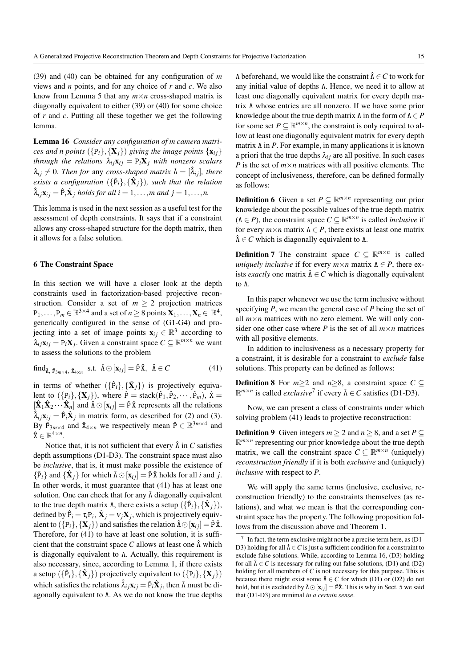(39) and (40) can be obtained for any configuration of *m* views and *n* points, and for any choice of *r* and *c*. We also know from Lemma 5 that any *m*×*n* cross-shaped matrix is diagonally equivalent to either (39) or (40) for some choice of *r* and *c*. Putting all these together we get the following lemma.

Lemma 16 *Consider any configuration of m camera matrices and n points*  $({P_i},{X_j})$  *giving the image points*  $\{x_{ij}\}$ *through the relations*  $\lambda_i \times j_i = P_i X_j$  *with nonzero scalars*  $\lambda_{ij} \neq 0$ *. Then for any cross-shaped matrix*  $\hat{\Lambda} = [\hat{\lambda}_{ij}]$ *, there*  $e$ xists a configuration  $(\{\hat{P}_i\}, {\{\hat{\mathbf{X}}_j\}})$ , such that the relation  $\hat{\lambda}_{ij}\mathbf{x}_{ij} = \hat{P}_i\hat{\mathbf{X}}_j$  holds for all  $i = 1, \ldots, m$  and  $j = 1, \ldots, n$ .

This lemma is used in the next session as a useful test for the assessment of depth constraints. It says that if a constraint allows any cross-shaped structure for the depth matrix, then it allows for a false solution.

### 6 The Constraint Space

In this section we will have a closer look at the depth constraints used in factorization-based projective reconstruction. Consider a set of  $m \geq 2$  projection matrices  $P_1,\ldots,P_m \in \mathbb{R}^{3 \times 4}$  and a set of  $n \geq 8$  points  $\mathbf{X}_1,\ldots,\mathbf{X}_n \in \mathbb{R}^4$ , generically configured in the sense of (G1-G4) and projecting into a set of image points  $\mathbf{x}_{ij} \in \mathbb{R}^3$  according to  $\lambda_{ij}$ **x**<sub>*i*</sub> = P<sub>*i*</sub>**X**<sub>*j*</sub>. Given a constraint space  $C \subseteq \mathbb{R}^{m \times n}$  we want to assess the solutions to the problem

$$
\text{find}_{\hat{\Lambda}, \hat{P}_{3m \times 4}, \hat{X}_{4 \times n}} \quad \text{s.t.} \quad \hat{\Lambda} \odot [x_{ij}] = \hat{P} \hat{X}, \quad \hat{\Lambda} \in C \tag{41}
$$

in terms of whether  $(\{\hat{P}_i\}, {\{\hat{\mathbf{X}}_j\}})$  is projectively equivalent to  $(\{P_i\}, \{X_j\})$ , where  $\hat{P} = \text{stack}(\hat{P}_1, \hat{P}_2, \dots, \hat{P}_m)$ ,  $\hat{X} =$  $[\hat{\mathbf{X}}_1 \hat{\mathbf{X}}_2 \cdots \hat{\mathbf{X}}_n]$  and  $\hat{\Lambda} \odot [\mathbf{x}_{ij}] = \hat{P} \hat{\mathbf{X}}$  represents all the relations  $\hat{\lambda}_{ij}$ **x**<sub>ij</sub> =  $\hat{P}_i \hat{X}_j$  in matrix form, as described for (2) and (3). By  $\hat{P}_{3m \times 4}$  and  $\hat{X}_{4 \times n}$  we respectively mean  $\hat{P} \in \mathbb{R}^{3m \times 4}$  and  $\hat{\mathbf{x}} \in \mathbb{R}^{4 \times n}$ .

Notice that, it is not sufficient that every  $\hat{\Lambda}$  in *C* satisfies depth assumptions (D1-D3). The constraint space must also be *inclusive*, that is, it must make possible the existence of  $\{\hat{P}_i\}$  and  $\{\hat{\mathbf{X}}_j\}$  for which  $\hat{\Lambda} \odot [\mathbf{x}_{ij}] = \hat{P}\hat{X}$  holds for all *i* and *j*. In other words, it must guarantee that (41) has at least one solution. One can check that for any  $\hat{\Lambda}$  diagonally equivalent to the true depth matrix  $\Lambda$ , there exists a setup  $({{\hat{P}_i}, {\hat{X}_j}})$ , defined by  $\hat{P}_i = \tau_i P_i$ ,  $\hat{\mathbf{X}}_j = v_j \mathbf{X}_j$ , which is projectively equivalent to  $({p_i}, {X_j})$  and satisfies the relation  $\hat{\Lambda} \odot [{\bf x}_{ij}] = \hat{P} \hat{X}$ . Therefore, for (41) to have at least one solution, it is sufficient that the constraint space *C* allows at least one  $\hat{\Lambda}$  which is diagonally equivalent to Λ. Actually, this requirement is also necessary, since, according to Lemma 1, if there exists a setup ( $\{\hat{P}_i\}$ ,  $\{\hat{\mathbf{X}}_j\}$ ) projectively equivalent to ( $\{P_i\}$ ,  $\{\mathbf{X}_j\}$ ) which satisfies the relations  $\hat{\lambda}_{ij} \mathbf{x}_{ij} = \hat{P}_i \hat{\mathbf{X}}_j$ , then  $\hat{\Lambda}$  must be diagonally equivalent to Λ. As we do not know the true depths

 $Λ$  beforehand, we would like the constraint  $\hat{Λ} \in C$  to work for any initial value of depths Λ. Hence, we need it to allow at least one diagonally equivalent matrix for every depth matrix Λ whose entries are all nonzero. If we have some prior knowledge about the true depth matrix Λ in the form of Λ ∈ *P* for some set  $P \subseteq \mathbb{R}^{m \times n}$ , the constraint is only required to allow at least one diagonally equivalent matrix for every depth matrix Λ in *P*. For example, in many applications it is known a priori that the true depths  $\lambda_{ij}$  are all positive. In such cases *P* is the set of  $m \times n$  matrices with all positive elements. The concept of inclusiveness, therefore, can be defined formally as follows:

**Definition 6** Given a set  $P \subseteq \mathbb{R}^{m \times n}$  representing our prior knowledge about the possible values of the true depth matrix ( $\Lambda \in P$ ), the constraint space  $C \subseteq \mathbb{R}^{m \times n}$  is called *inclusive* if for every  $m \times n$  matrix  $\Lambda \in P$ , there exists at least one matrix  $\hat{\Lambda} \in C$  which is diagonally equivalent to  $\Lambda$ .

**Definition 7** The constraint space  $C \subseteq \mathbb{R}^{m \times n}$  is called *uniquely inclusive* if for every  $m \times n$  matrix  $\Lambda \in P$ , there exists *exactly* one matrix  $\hat{\Lambda} \in C$  which is diagonally equivalent to Λ.

In this paper whenever we use the term inclusive without specifying *P*, we mean the general case of *P* being the set of all  $m \times n$  matrices with no zero element. We will only consider one other case where *P* is the set of all  $m \times n$  matrices with all positive elements.

In addition to inclusiveness as a necessary property for a constraint, it is desirable for a constraint to *exclude* false solutions. This property can be defined as follows:

**Definition 8** For  $m>2$  and  $n>8$ , a constraint space  $C \subseteq$  $\mathbb{R}^{m \times n}$  is called *exclusive*<sup>7</sup> if every  $\hat{\Lambda} \in C$  satisfies (D1-D3).

Now, we can present a class of constraints under which solving problem (41) leads to projective reconstruction:

**Definition 9** Given integers  $m \ge 2$  and  $n \ge 8$ , and a set  $P \subseteq$  $\mathbb{R}^{m \times n}$  representing our prior knowledge about the true depth matrix, we call the constraint space  $C \subseteq \mathbb{R}^{m \times n}$  (uniquely) *reconstruction friendly* if it is both *exclusive* and (uniquely) *inclusive* with respect to *P*.

We will apply the same terms (inclusive, exclusive, reconstruction friendly) to the constraints themselves (as relations), and what we mean is that the corresponding constraint space has the property. The following proposition follows from the discussion above and Theorem 1.

<sup>7</sup> In fact, the term exclusive might not be a precise term here, as (D1- D3) holding for all  $\hat{\Lambda} \in C$  is just a sufficient condition for a constraint to exclude false solutions. While, according to Lemma 16, (D3) holding for all  $\hat{\Lambda} \in \mathcal{C}$  is necessary for ruling out false solutions, (D1) and (D2) holding for all members of *C* is not necessary for this purpose. This is because there might exist some  $\hat{\Lambda} \in C$  for which (D1) or (D2) do not hold, but it is excluded by  $\hat{\Lambda} \odot [\mathbf{x}_{ij}] = \hat{P} \hat{\mathbf{x}}$ . This is why in Sect. 5 we said that (D1-D3) are minimal *in a certain sense*.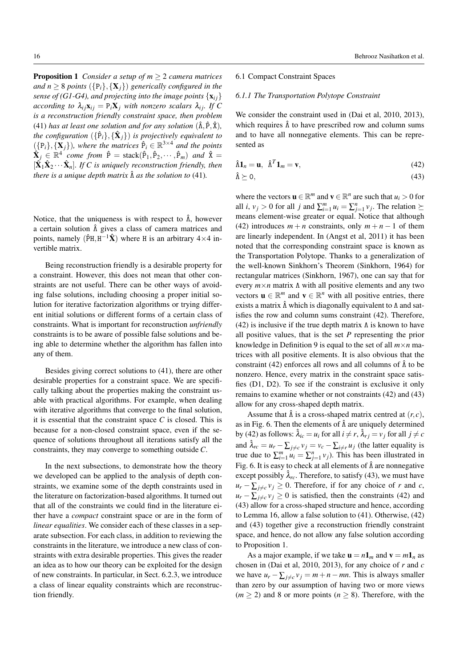**Proposition 1** *Consider a setup of*  $m \geq 2$  *camera matrices and*  $n \geq 8$  *points* ( $\{P_i\}, \{X_i\}$ ) *generically configured in the sense of (G1-G4), and projecting into the image points*  $\{x_{ij}\}$ *according to*  $\lambda_i \times \mathbf{x}_i = \mathbf{P}_i \mathbf{X}_i$  *with nonzero scalars*  $\lambda_i$ *i. If* C *is a reconstruction friendly constraint space, then problem* (41) *has at least one solution and for any solution*  $(\hat{\Lambda}, \hat{P}, \hat{X})$ *, the configuration*  $(\{\hat{P}_i\}, \{\hat{\mathbf{X}}_j\})$  *is projectively equivalent to*  $({p_i}, {\mathbf{X}_j})$ , where the matrices  $\hat{P}_i \in \mathbb{R}^{3 \times 4}$  and the points  $\hat{\mathbf{X}}_j \in \mathbb{R}^4$  come from  $\hat{\mathbf{P}} = \text{stack}(\hat{\mathbf{P}}_1, \hat{\mathbf{P}}_2, \cdots, \hat{\mathbf{P}}_m)$  and  $\hat{\mathbf{X}} =$  $[\hat{\mathbf{X}}_1 \hat{\mathbf{X}}_2 \cdots \hat{\mathbf{X}}_n]$ *. If C is uniquely reconstruction friendly, then there is a unique depth matrix*  $\hat{\Lambda}$  *as the solution to* (41).

Notice, that the uniqueness is with respect to  $\hat{\Lambda}$ , however a certain solution  $\hat{\Lambda}$  gives a class of camera matrices and points, namely ( $\hat{P}H, H^{-1}\hat{X}$ ) where H is an arbitrary 4×4 invertible matrix.

Being reconstruction friendly is a desirable property for a constraint. However, this does not mean that other constraints are not useful. There can be other ways of avoiding false solutions, including choosing a proper initial solution for iterative factorization algorithms or trying different initial solutions or different forms of a certain class of constraints. What is important for reconstruction *unfriendly* constraints is to be aware of possible false solutions and being able to determine whether the algorithm has fallen into any of them.

Besides giving correct solutions to (41), there are other desirable properties for a constraint space. We are specifically talking about the properties making the constraint usable with practical algorithms. For example, when dealing with iterative algorithms that converge to the final solution, it is essential that the constraint space  $C$  is closed. This is because for a non-closed constraint space, even if the sequence of solutions throughout all iterations satisfy all the constraints, they may converge to something outside *C*.

In the next subsections, to demonstrate how the theory we developed can be applied to the analysis of depth constraints, we examine some of the depth constraints used in the literature on factorization-based algorithms. It turned out that all of the constraints we could find in the literature either have a *compact* constraint space or are in the form of *linear equalities*. We consider each of these classes in a separate subsection. For each class, in addition to reviewing the constraints in the literature, we introduce a new class of constraints with extra desirable properties. This gives the reader an idea as to how our theory can be exploited for the design of new constraints. In particular, in Sect. 6.2.3, we introduce a class of linear equality constraints which are reconstruction friendly.

# 6.1 Compact Constraint Spaces

# *6.1.1 The Transportation Polytope Constraint*

We consider the constraint used in (Dai et al, 2010, 2013), which requires  $\hat{\Lambda}$  to have prescribed row and column sums and to have all nonnegative elements. This can be represented as

$$
\hat{\Lambda}\mathbf{1}_n = \mathbf{u}, \ \hat{\Lambda}^T \mathbf{1}_m = \mathbf{v}, \tag{42}
$$

 $\hat{\Lambda} \succeq 0$ , (43)

where the vectors  $\mathbf{u} \in \mathbb{R}^m$  and  $\mathbf{v} \in \mathbb{R}^n$  are such that  $u_i > 0$  for all *i*,  $v_j > 0$  for all *j* and  $\sum_{i=1}^{m} u_i = \sum_{j=1}^{n} v_j$ . The relation  $\succeq$ means element-wise greater or equal. Notice that although (42) introduces  $m + n$  constraints, only  $m + n - 1$  of them are linearly independent. In (Angst et al, 2011) it has been noted that the corresponding constraint space is known as the Transportation Polytope. Thanks to a generalization of the well-known Sinkhorn's Theorem (Sinkhorn, 1964) for rectangular matrices (Sinkhorn, 1967), one can say that for every *m*×*n* matrix Λ with all positive elements and any two vectors  $\mathbf{u} \in \mathbb{R}^m$  and  $\mathbf{v} \in \mathbb{R}^n$  with all positive entries, there exists a matrix  $\hat{\Lambda}$  which is diagonally equivalent to  $\Lambda$  and satisfies the row and column sums constraint (42). Therefore, (42) is inclusive if the true depth matrix  $\Lambda$  is known to have all positive values, that is the set *P* representing the prior knowledge in Definition 9 is equal to the set of all *m*×*n* matrices with all positive elements. It is also obvious that the constraint (42) enforces all rows and all columns of  $\hat{\Lambda}$  to be nonzero. Hence, every matrix in the constraint space satisfies (D1, D2). To see if the constraint is exclusive it only remains to examine whether or not constraints (42) and (43) allow for any cross-shaped depth matrix.

Assume that  $\hat{\Lambda}$  is a cross-shaped matrix centred at  $(r, c)$ , as in Fig. 6. Then the elements of  $\hat{\Lambda}$  are uniquely determined by (42) as follows:  $\hat{\lambda}_{ic} = u_i$  for all  $i \neq r$ ,  $\hat{\lambda}_{rj} = v_j$  for all  $j \neq c$ and  $\lambda_{rc} = u_r - \sum_{j \neq c} v_j = v_c - \sum_{i \neq r} u_j$  (the latter equality is true due to  $\sum_{i=1}^{m} u_i = \sum_{j=1}^{n} v_j$ ). This has been illustrated in Fig. 6. It is easy to check at all elements of  $\hat{\Lambda}$  are nonnegative except possibly  $\hat{\lambda}_{rc}$ . Therefore, to satisfy (43), we must have  $u_r - \sum_{j \neq c} v_j \geq 0$ . Therefore, if for any choice of *r* and *c*,  $u_r - \sum_{i \neq c} v_i \geq 0$  is satisfied, then the constraints (42) and (43) allow for a cross-shaped structure and hence, according to Lemma 16, allow a false solution to (41). Otherwise, (42) and (43) together give a reconstruction friendly constraint space, and hence, do not allow any false solution according to Proposition 1.

As a major example, if we take  $\mathbf{u} = n\mathbf{1}_m$  and  $\mathbf{v} = m\mathbf{1}_n$  as chosen in (Dai et al, 2010, 2013), for any choice of *r* and *c* we have  $u_r - \sum_{j \neq c} v_j = m + n - mn$ . This is always smaller than zero by our assumption of having two or more views  $(m \ge 2)$  and 8 or more points  $(n \ge 8)$ . Therefore, with the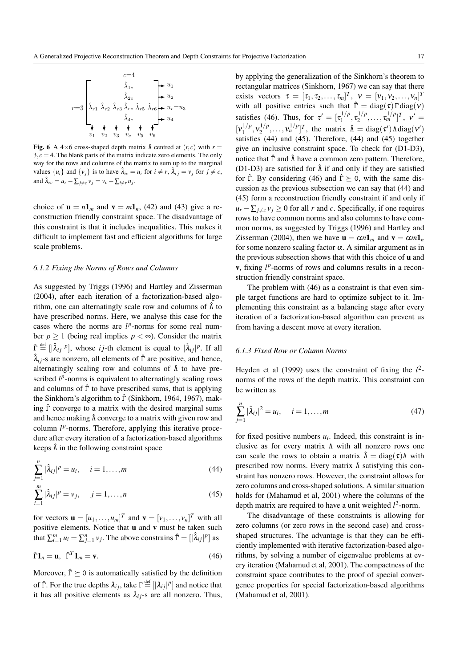

Fig. 6 A 4×6 cross-shaped depth matrix  $\hat{\Lambda}$  centred at  $(r, c)$  with  $r =$  $3, c = 4$ . The blank parts of the matrix indicate zero elements. The only way for the rows and columns of the matrix to sum up to the marginal values  $\{u_i\}$  and  $\{v_j\}$  is to have  $\hat{\lambda}_{ic} = u_i$  for  $i \neq r$ ,  $\hat{\lambda}_{rj} = v_j$  for  $j \neq c$ , and  $\hat{\lambda}_{rc} = u_r - \sum_{j \neq c} v_j = v_c - \sum_{i \neq r} u_j$ .

choice of  $\mathbf{u} = n\mathbf{1}_m$  and  $\mathbf{v} = m\mathbf{1}_n$ , (42) and (43) give a reconstruction friendly constraint space. The disadvantage of this constraint is that it includes inequalities. This makes it difficult to implement fast and efficient algorithms for large scale problems.

# *6.1.2 Fixing the Norms of Rows and Columns*

As suggested by Triggs (1996) and Hartley and Zisserman (2004), after each iteration of a factorization-based algorithm, one can alternatingly scale row and columns of  $\hat{\Lambda}$  to have prescribed norms. Here, we analyse this case for the cases where the norms are  $l^p$ -norms for some real number  $p \ge 1$  (being real implies  $p < \infty$ ). Consider the matrix  $\hat{\Gamma} \stackrel{\text{def}}{=} [|\hat{\lambda}_{ij}|^p]$ , whose *i j*-th element is equal to  $|\hat{\lambda}_{ij}|^p$ . If all  $\hat{\lambda}_{ij}$ -s are nonzero, all elements of  $\hat{\Gamma}$  are positive, and hence, alternatingly scaling row and columns of  $\hat{\Lambda}$  to have prescribed  $l^p$ -norms is equivalent to alternatingly scaling rows and columns of  $\hat{\Gamma}$  to have prescribed sums, that is applying the Sinkhorn's algorithm to  $\hat{\Gamma}$  (Sinkhorn, 1964, 1967), making  $\hat{\Gamma}$  converge to a matrix with the desired marginal sums and hence making  $\hat{\Lambda}$  converge to a matrix with given row and column  $l^p$ -norms. Therefore, applying this iterative procedure after every iteration of a factorization-based algorithms keeps  $\hat{\Lambda}$  in the following constraint space

$$
\sum_{j=1}^{n} |\hat{\lambda}_{ij}|^p = u_i, \quad i = 1, \dots, m
$$
 (44)

$$
\sum_{i=1}^{m} |\hat{\lambda}_{ij}|^p = v_j, \quad j = 1, ..., n
$$
 (45)

for vectors  $\mathbf{u} = [u_1, \dots, u_m]^T$  and  $\mathbf{v} = [v_1, \dots, v_n]^T$  with all positive elements. Notice that u and v must be taken such that  $\sum_{i=1}^{m} u_i = \sum_{j=1}^{n} v_j$ . The above constrains  $\hat{\Gamma} = [|\hat{\lambda}_{ij}|^p]$  as

$$
\hat{\Gamma} \mathbf{1}_n = \mathbf{u}, \ \hat{\Gamma}^T \mathbf{1}_m = \mathbf{v}.\tag{46}
$$

Moreover,  $\hat{\Gamma} \ge 0$  is automatically satisfied by the definition of  $\hat{\Gamma}$ . For the true depths  $\lambda_{ij}$ , take  $\Gamma \stackrel{\text{def}}{=} [|\lambda_{ij}|^p]$  and notice that it has all positive elements as  $\lambda_{ij}$ -s are all nonzero. Thus,

by applying the generalization of the Sinkhorn's theorem to rectangular matrices (Sinkhorn, 1967) we can say that there exists vectors  $\tau = [\tau_1, \tau_2, ..., \tau_m]^T$ ,  $v = [v_1, v_2, ..., v_n]^T$ with all positive entries such that  $\hat{\Gamma} = \text{diag}(\tau) \Gamma \text{diag}(\nu)$ satisfies (46). Thus, for  $\tau' = [\tau_1^{1/p}]$  $\tau_1^{1/p}, \tau_2^{1/p}$  $[\tau_2^{1/p}, \ldots, \tau_m^{1/p}]^T$ ,  $v' =$  $[v_1^{1/p}]$  $v_1^{1/p}, v_2^{1/p}$  $v_1^{1/p}, \ldots, v_n^{1/p}]^T$ , the matrix  $\hat{\Lambda} = \text{diag}(\tau') \Lambda \text{diag}(v')$ satisfies (44) and (45). Therefore, (44) and (45) together give an inclusive constraint space. To check for (D1-D3), notice that  $\hat{\Gamma}$  and  $\hat{\Lambda}$  have a common zero pattern. Therefore, (D1-D3) are satisfied for  $\hat{\Lambda}$  if and only if they are satisfied for  $\hat{\Gamma}$ . By considering (46) and  $\hat{\Gamma} \succeq 0$ , with the same discussion as the previous subsection we can say that (44) and (45) form a reconstruction friendly constraint if and only if  $u_r - \sum_{i \neq c} v_i \geq 0$  for all *r* and *c*. Specifically, if one requires rows to have common norms and also columns to have common norms, as suggested by Triggs (1996) and Hartley and Zisserman (2004), then we have  $\mathbf{u} = \alpha n \mathbf{1}_m$  and  $\mathbf{v} = \alpha m \mathbf{1}_n$ for some nonzero scaling factor  $\alpha$ . A similar argument as in the previous subsection shows that with this choice of  **and**  $v$ , fixing  $l^p$ -norms of rows and columns results in a reconstruction friendly constraint space.

The problem with (46) as a constraint is that even simple target functions are hard to optimize subject to it. Implementing this constraint as a balancing stage after every iteration of a factorization-based algorithm can prevent us from having a descent move at every iteration.

# *6.1.3 Fixed Row or Column Norms*

Heyden et al (1999) uses the constraint of fixing the  $l^2$ norms of the rows of the depth matrix. This constraint can be written as

$$
\sum_{j=1}^{n} |\hat{\lambda}_{ij}|^2 = u_i, \quad i = 1, \dots, m
$$
 (47)

for fixed positive numbers  $u_i$ . Indeed, this constraint is inclusive as for every matrix Λ with all nonzero rows one can scale the rows to obtain a matrix  $\hat{\Lambda} = \text{diag}(\tau) \Lambda$  with prescribed row norms. Every matrix  $\hat{\Lambda}$  satisfying this constraint has nonzero rows. However, the constraint allows for zero columns and cross-shaped solutions. A similar situation holds for (Mahamud et al, 2001) where the columns of the depth matrix are required to have a unit weighted  $l^2$ -norm.

The disadvantage of these constraints is allowing for zero columns (or zero rows in the second case) and crossshaped structures. The advantage is that they can be efficiently implemented with iterative factorization-based algorithms, by solving a number of eigenvalue problems at every iteration (Mahamud et al, 2001). The compactness of the constraint space contributes to the proof of special convergence properties for special factorization-based algorithms (Mahamud et al, 2001).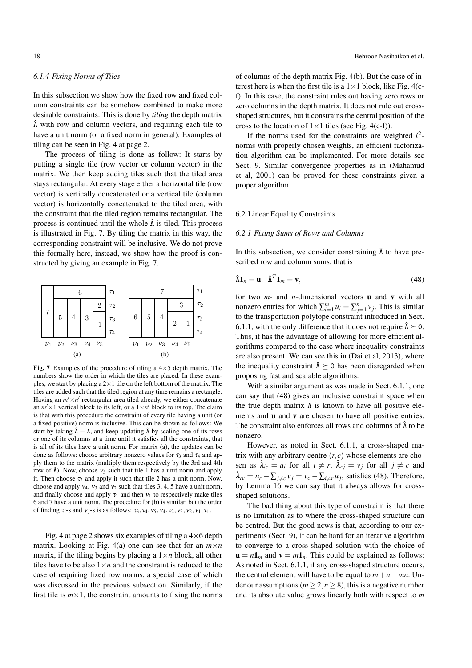# *6.1.4 Fixing Norms of Tiles*

In this subsection we show how the fixed row and fixed column constraints can be somehow combined to make more desirable constraints. This is done by *tiling* the depth matrix  $\hat{\Lambda}$  with row and column vectors, and requiring each tile to have a unit norm (or a fixed norm in general). Examples of tiling can be seen in Fig. 4 at page 2.

The process of tiling is done as follow: It starts by putting a single tile (row vector or column vector) in the matrix. We then keep adding tiles such that the tiled area stays rectangular. At every stage either a horizontal tile (row vector) is vertically concatenated or a vertical tile (column vector) is horizontally concatenated to the tiled area, with the constraint that the tiled region remains rectangular. The process is continued until the whole  $\hat{\Lambda}$  is tiled. This process is illustrated in Fig. 7. By tiling the matrix in this way, the corresponding constraint will be inclusive. We do not prove this formally here, instead, we show how the proof is constructed by giving an example in Fig. 7.



Fig. 7 Examples of the procedure of tiling a  $4 \times 5$  depth matrix. The numbers show the order in which the tiles are placed. In these examples, we start by placing a  $2 \times 1$  tile on the left bottom of the matrix. The tiles are added such that the tiled region at any time remains a rectangle. Having an  $m' \times n'$  rectangular area tiled already, we either concatenate an  $m' \times 1$  vertical block to its left, or a  $1 \times n'$  block to its top. The claim is that with this procedure the constraint of every tile having a unit (or a fixed positive) norm is inclusive. This can be shown as follows: We start by taking  $\hat{\Lambda} = \Lambda$ , and keep updating  $\hat{\Lambda}$  by scaling one of its rows or one of its columns at a time until it satisfies all the constraints, that is all of its tiles have a unit norm. For matrix (a), the updates can be done as follows: choose arbitrary nonzero values for  $\tau_3$  and  $\tau_4$  and apply them to the matrix (multiply them respectively by the 3rd and 4th row of  $\hat{\Lambda}$ ). Now, choose  $v_5$  such that tile 1 has a unit norm and apply it. Then choose  $\tau_2$  and apply it such that tile 2 has a unit norm. Now, choose and apply  $v_4$ ,  $v_3$  and  $v_2$  such that tiles 3, 4, 5 have a unit norm, and finally choose and apply  $\tau_1$  and then  $v_1$  to respectively make tiles 6 and 7 have a unit norm. The procedure for (b) is similar, but the order of finding  $\tau_i$ -s and  $v_i$ -s is as follows:  $\tau_3$ ,  $\tau_4$ ,  $v_5$ ,  $v_4$ ,  $\tau_2$ ,  $v_3$ ,  $v_2$ ,  $v_1$ ,  $\tau_1$ .

Fig. 4 at page 2 shows six examples of tiling a  $4\times 6$  depth matrix. Looking at Fig. 4(a) one can see that for an  $m \times n$ matrix, if the tiling begins by placing a  $1 \times n$  block, all other tiles have to be also  $1 \times n$  and the constraint is reduced to the case of requiring fixed row norms, a special case of which was discussed in the previous subsection. Similarly, if the first tile is  $m \times 1$ , the constraint amounts to fixing the norms

of columns of the depth matrix Fig. 4(b). But the case of interest here is when the first tile is a  $1 \times 1$  block, like Fig. 4(cf). In this case, the constraint rules out having zero rows or zero columns in the depth matrix. It does not rule out crossshaped structures, but it constrains the central position of the cross to the location of  $1 \times 1$  tiles (see Fig. 4(c-f)).

If the norms used for the constraints are weighted  $l^2$ norms with properly chosen weights, an efficient factorization algorithm can be implemented. For more details see Sect. 9. Similar convergence properties as in (Mahamud et al, 2001) can be proved for these constraints given a proper algorithm.

# 6.2 Linear Equality Constraints

### *6.2.1 Fixing Sums of Rows and Columns*

In this subsection, we consider constraining  $\hat{\Lambda}$  to have prescribed row and column sums, that is

$$
\hat{\Lambda}\mathbf{1}_n = \mathbf{u}, \ \hat{\Lambda}^T \mathbf{1}_m = \mathbf{v}, \tag{48}
$$

for two *m*- and *n*-dimensional vectors u and v with all nonzero entries for which  $\sum_{i=1}^{m} u_i = \sum_{j=1}^{n} v_j$ . This is similar to the transportation polytope constraint introduced in Sect. 6.1.1, with the only difference that it does not require  $\hat{\Lambda} \succeq 0$ . Thus, it has the advantage of allowing for more efficient algorithms compared to the case where inequality constraints are also present. We can see this in (Dai et al, 2013), where the inequality constraint  $\hat{\Lambda} \succeq 0$  has been disregarded when proposing fast and scalable algorithms.

With a similar argument as was made in Sect. 6.1.1, one can say that (48) gives an inclusive constraint space when the true depth matrix Λ is known to have all positive elements and **u** and **v** are chosen to have all positive entries. The constraint also enforces all rows and columns of  $\hat{\Lambda}$  to be nonzero.

However, as noted in Sect. 6.1.1, a cross-shaped matrix with any arbitrary centre  $(r, c)$  whose elements are chosen as  $\hat{\lambda}_{ic} = u_i$  for all  $i \neq r$ ,  $\hat{\lambda}_{rj} = v_j$  for all  $j \neq c$  and  $\hat{\lambda}_{rc} = u_r - \sum_{j \neq c} v_j = v_c - \sum_{i \neq r} u_j$ , satisfies (48). Therefore, by Lemma 16 we can say that it always allows for crossshaped solutions.

The bad thing about this type of constraint is that there is no limitation as to where the cross-shaped structure can be centred. But the good news is that, according to our experiments (Sect. 9), it can be hard for an iterative algorithm to converge to a cross-shaped solution with the choice of  $\mathbf{u} = n\mathbf{1}_m$  and  $\mathbf{v} = m\mathbf{1}_n$ . This could be explained as follows: As noted in Sect. 6.1.1, if any cross-shaped structure occurs, the central element will have to be equal to  $m + n - mn$ . Under our assumptions ( $m \ge 2, n \ge 8$ ), this is a negative number and its absolute value grows linearly both with respect to *m*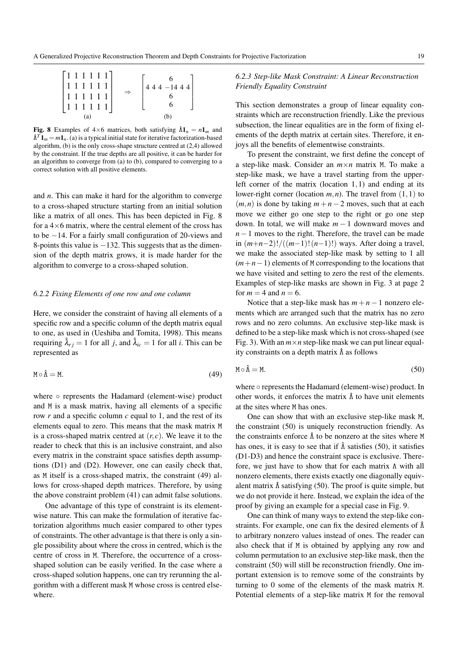

Fig. 8 Examples of  $4 \times 6$  matrices, both satisfying  $\hat{\Lambda}1_n = n1_m$  and  $\hat{\Lambda}^T \mathbf{1}_m = m \mathbf{1}_n$ . (a) is a typical initial state for iterative factorization-based algorithm, (b) is the only cross-shape structure centred at (2,4) allowed by the constraint. If the true depths are all positive, it can be harder for an algorithm to converge from (a) to (b), compared to converging to a correct solution with all positive elements.

and *n*. This can make it hard for the algorithm to converge to a cross-shaped structure starting from an initial solution like a matrix of all ones. This has been depicted in Fig. 8 for a  $4\times6$  matrix, where the central element of the cross has to be −14. For a fairly small configuration of 20-views and 8-points this value is −132. This suggests that as the dimension of the depth matrix grows, it is made harder for the algorithm to converge to a cross-shaped solution.

# *6.2.2 Fixing Elements of one row and one column*

Here, we consider the constraint of having all elements of a specific row and a specific column of the depth matrix equal to one, as used in (Ueshiba and Tomita, 1998). This means requiring  $\hat{\lambda}_{ri} = 1$  for all *j*, and  $\hat{\lambda}_{ic} = 1$  for all *i*. This can be represented as

$$
M \circ \hat{\Lambda} = M. \tag{49}
$$

where ∘ represents the Hadamard (element-wise) product and M is a mask matrix, having all elements of a specific row *r* and a specific column *c* equal to 1, and the rest of its elements equal to zero. This means that the mask matrix M is a cross-shaped matrix centred at  $(r, c)$ . We leave it to the reader to check that this is an inclusive constraint, and also every matrix in the constraint space satisfies depth assumptions (D1) and (D2). However, one can easily check that, as M itself is a cross-shaped matrix, the constraint (49) allows for cross-shaped depth matrices. Therefore, by using the above constraint problem (41) can admit false solutions.

One advantage of this type of constraint is its elementwise nature. This can make the formulation of iterative factorization algorithms much easier compared to other types of constraints. The other advantage is that there is only a single possibility about where the cross in centred, which is the centre of cross in M. Therefore, the occurrence of a crossshaped solution can be easily verified. In the case where a cross-shaped solution happens, one can try rerunning the algorithm with a different mask M whose cross is centred elsewhere.

# *6.2.3 Step-like Mask Constraint: A Linear Reconstruction Friendly Equality Constraint*

This section demonstrates a group of linear equality constraints which are reconstruction friendly. Like the previous subsection, the linear equalities are in the form of fixing elements of the depth matrix at certain sites. Therefore, it enjoys all the benefits of elementwise constraints.

To present the constraint, we first define the concept of a step-like mask. Consider an  $m \times n$  matrix M. To make a step-like mask, we have a travel starting from the upperleft corner of the matrix (location 1,1) and ending at its lower-right corner (location *m*,*n*). The travel from (1,1) to  $(m, n)$  is done by taking  $m + n - 2$  moves, such that at each move we either go one step to the right or go one step down. In total, we will make *m* − 1 downward moves and *n*−1 moves to the right. Therefore, the travel can be made in (*m*+*n*−2)!/((*m*−1)!(*n*−1)!) ways. After doing a travel, we make the associated step-like mask by setting to 1 all (*m*+*n*−1) elements of M corresponding to the locations that we have visited and setting to zero the rest of the elements. Examples of step-like masks are shown in Fig. 3 at page 2 for  $m = 4$  and  $n = 6$ .

Notice that a step-like mask has  $m+n-1$  nonzero elements which are arranged such that the matrix has no zero rows and no zero columns. An exclusive step-like mask is defined to be a step-like mask which is not cross-shaped (see Fig. 3). With an  $m \times n$  step-like mask we can put linear equality constraints on a depth matrix  $\hat{\Lambda}$  as follows

$$
M \circ \hat{\Lambda} = M. \tag{50}
$$

where ○ represents the Hadamard (element-wise) product. In other words, it enforces the matrix  $\hat{\Lambda}$  to have unit elements at the sites where M has ones.

One can show that with an exclusive step-like mask M, the constraint (50) is uniquely reconstruction friendly. As the constraints enforce  $\hat{\Lambda}$  to be nonzero at the sites where M has ones, it is easy to see that if  $\hat{\Lambda}$  satisfies (50), it satisfies (D1-D3) and hence the constraint space is exclusive. Therefore, we just have to show that for each matrix Λ with all nonzero elements, there exists exactly one diagonally equivalent matrix  $\hat{\Lambda}$  satisfying (50). The proof is quite simple, but we do not provide it here. Instead, we explain the idea of the proof by giving an example for a special case in Fig. 9.

One can think of many ways to extend the step-like constraints. For example, one can fix the desired elements of  $\hat{\Lambda}$ to arbitrary nonzero values instead of ones. The reader can also check that if M is obtained by applying any row and column permutation to an exclusive step-like mask, then the constraint (50) will still be reconstruction friendly. One important extension is to remove some of the constraints by turning to 0 some of the elements of the mask matrix M. Potential elements of a step-like matrix M for the removal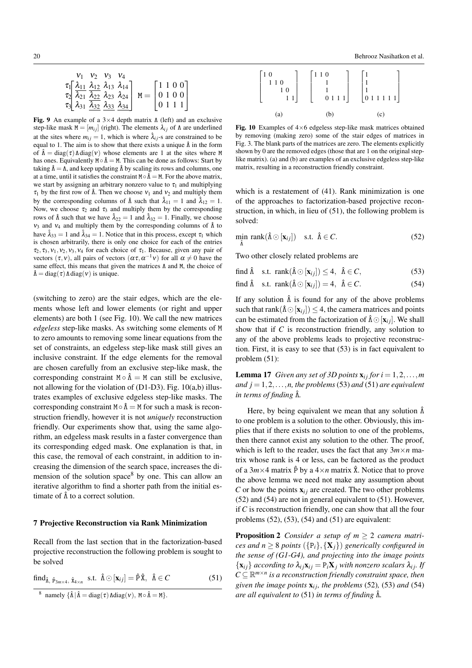|  | $V_1$ $V_2$ $V_3$ $V_4$ |                                                                                                          |                            |
|--|-------------------------|----------------------------------------------------------------------------------------------------------|----------------------------|
|  |                         | $\tau_1$ $\left[\frac{\lambda_{11}}{\lambda_{12}} \frac{\lambda_{12}}{\lambda_{13}} \lambda_{14}\right]$ | $\lceil 1\ 1\ 0\ 0 \rceil$ |
|  |                         | $\tau_2$ $\lambda_{21}$ $\lambda_{22}$ $\lambda_{23}$ $\lambda_{24}$                                     | $M =   0 1 0 0  $          |
|  |                         | $\tau_3$ $\lambda_{31}$ $\lambda_{32}$ $\lambda_{33}$ $\lambda_{34}$                                     | $\vert 0111 \vert$         |

Fig. 9 An example of a  $3\times4$  depth matrix  $\Lambda$  (left) and an exclusive step-like mask  $M = [m_{ij}]$  (right). The elements  $\lambda_{ij}$  of  $\Lambda$  are underlined at the sites where  $m_{ij} = 1$ , which is where  $\hat{\lambda}_{ij}$ -s are constrained to be equal to 1. The aim is to show that there exists a unique  $\hat{\Lambda}$  in the form of  $\hat{\Lambda} = \text{diag}(\tau) \Lambda \text{diag}(\nu)$  whose elements are 1 at the sites where M has ones. Equivalently  $M \circ \hat{\Lambda} = M$ . This can be done as follows: Start by taking  $\hat{\Lambda} = \Lambda$ , and keep updating  $\hat{\Lambda}$  by scaling its rows and columns, one at a time, until it satisfies the constraint  $M \circ \hat{\Lambda} = M$ . For the above matrix, we start by assigning an arbitrary nonzero value to  $\tau_1$  and multiplying  $\tau_1$  by the first row of  $\hat{\Lambda}$ . Then we choose  $v_1$  and  $v_2$  and multiply them by the corresponding columns of  $\hat{\Lambda}$  such that  $\hat{\lambda}_{11} = 1$  and  $\hat{\lambda}_{12} = 1$ . Now, we choose  $\tau_2$  and  $\tau_3$  and multiply them by the corresponding rows of  $\hat{\Lambda}$  such that we have  $\hat{\lambda}_{22} = 1$  and  $\hat{\lambda}_{32} = 1$ . Finally, we choose  $v_3$  and  $v_4$  and multiply them by the corresponding columns of  $\hat{\Lambda}$  to have  $\hat{\lambda}_{33} = 1$  and  $\hat{\lambda}_{34} = 1$ . Notice that in this process, except  $\tau_1$  which is chosen arbitrarily, there is only one choice for each of the entries  $\tau_2$ ,  $\tau_3$ ,  $v_1$ ,  $v_2$ ,  $v_3$ ,  $v_4$  for each choice of  $\tau_1$ . Because, given any pair of vectors  $(\tau, v)$ , all pairs of vectors  $(\alpha \tau, \alpha^{-1} v)$  for all  $\alpha \neq 0$  have the same effect, this means that given the matrices Λ and M, the choice of  $\hat{\Lambda} = \text{diag}(\tau) \Lambda \text{diag}(\nu)$  is unique.

(switching to zero) are the stair edges, which are the elements whose left and lower elements (or right and upper elements) are both 1 (see Fig. 10). We call the new matrices *edgeless* step-like masks. As switching some elements of M to zero amounts to removing some linear equations from the set of constraints, an edgeless step-like mask still gives an inclusive constraint. If the edge elements for the removal are chosen carefully from an exclusive step-like mask, the corresponding constraint  $M \circ \hat{\Lambda} = M$  can still be exclusive, not allowing for the violation of  $(D1-D3)$ . Fig. 10(a,b) illustrates examples of exclusive edgeless step-like masks. The corresponding constraint  $M \circ \hat{\Lambda} = M$  for such a mask is reconstruction friendly, however it is not *uniquely* reconstruction friendly. Our experiments show that, using the same algorithm, an edgeless mask results in a faster convergence than its corresponding edged mask. One explanation is that, in this case, the removal of each constraint, in addition to increasing the dimension of the search space, increases the dimension of the solution space<sup>8</sup> by one. This can allow an iterative algorithm to find a shorter path from the initial estimate of  $\hat{\Lambda}$  to a correct solution.

### 7 Projective Reconstruction via Rank Minimization

Recall from the last section that in the factorization-based projective reconstruction the following problem is sought to be solved

 $\text{find}_{\hat{\mathbf{\Lambda}}\text{, }\hat{\mathbf{p}}_{3m\times 4}\text{, }\hat{\mathbf{x}}_{4\times n}} \quad \text{s.t. } \hat{\mathbf{\Lambda}} \odot [\mathbf{x}_{ij}] = \hat{\mathbf{p}}\hat{\mathbf{x}}\text{, }\hat{\mathbf{\Lambda}} \in C$  (51)

<sup>8</sup> namely  $\{\hat{\Lambda} | \hat{\Lambda} = \text{diag}(\tau) \text{Adiag}(v), \, \text{M} \circ \hat{\Lambda} = \text{M}\}.$ 



Fig. 10 Examples of  $4\times 6$  edgeless step-like mask matrices obtained by removing (making zero) some of the stair edges of matrices in Fig. 3. The blank parts of the matrices are zero. The elements explicitly shown by 0 are the removed edges (those that are 1 on the original steplike matrix). (a) and (b) are examples of an exclusive edgeless step-like matrix, resulting in a reconstruction friendly constraint.

which is a restatement of  $(41)$ . Rank minimization is one of the approaches to factorization-based projective reconstruction, in which, in lieu of (51), the following problem is solved:

$$
\min_{\hat{\Lambda}} \text{rank}(\hat{\Lambda} \odot [\mathbf{x}_{ij}]) \quad \text{s.t.} \quad \hat{\Lambda} \in C. \tag{52}
$$

Two other closely related problems are

find 
$$
\hat{\Lambda}
$$
 s.t. rank $(\hat{\Lambda} \odot [\mathbf{x}_{ij}]) \leq 4$ ,  $\hat{\Lambda} \in C$ , (53)

find 
$$
\hat{\Lambda}
$$
 s.t. rank $(\hat{\Lambda} \odot [\mathbf{x}_{ij}]) = 4$ ,  $\hat{\Lambda} \in C$ . (54)

If any solution  $\hat{\Lambda}$  is found for any of the above problems such that rank( $\hat{\Lambda} \odot [\mathbf{x}_{ij}]$ )  $\leq 4$ , the camera matrices and points can be estimated from the factorization of  $\hat{\Lambda} \odot [\mathbf{x}_{ij}]$ . We shall show that if *C* is reconstruction friendly, any solution to any of the above problems leads to projective reconstruction. First, it is easy to see that (53) is in fact equivalent to problem (51):

**Lemma 17** *Given any set of 3D points*  $\mathbf{x}_{ij}$  *for*  $i = 1, 2, \ldots, m$ *and*  $j = 1, 2, \ldots, n$ , the problems (53) *and* (51) *are equivalent in terms of finding* Λˆ*.*

Here, by being equivalent we mean that any solution  $\hat{\Lambda}$ to one problem is a solution to the other. Obviously, this implies that if there exists no solution to one of the problems, then there cannot exist any solution to the other. The proof, which is left to the reader, uses the fact that any  $3m \times n$  matrix whose rank is 4 or less, can be factored as the product of a  $3m \times 4$  matrix  $\hat{P}$  by a  $4 \times n$  matrix  $\hat{X}$ . Notice that to prove the above lemma we need not make any assumption about *C* or how the points  $\mathbf{x}_{ij}$  are created. The two other problems (52) and (54) are not in general equivalent to (51). However, if *C* is reconstruction friendly, one can show that all the four problems  $(52)$ ,  $(53)$ ,  $(54)$  and  $(51)$  are equivalent:

Proposition 2 *Consider a setup of m* ≥ 2 *camera matrices and n*  $\geq$  8 *points* ({ $P_i$ }, { $X_j$ }) *generically configured in the sense of (G1-G4), and projecting into the image points*  $\{x_{ij}\}$  *according to*  $\lambda_{ij}x_{ij} = P_iX_j$  *with nonzero scalars*  $\lambda_{ij}$ *. If*  $C \subseteq \mathbb{R}^{m \times n}$  is a reconstruction friendly constraint space, then *given the image points*  $\mathbf{x}_{ij}$ *, the problems* (52)*,* (53*) and* (54*) are all equivalent to* (51) *in terms of finding* Λˆ*.*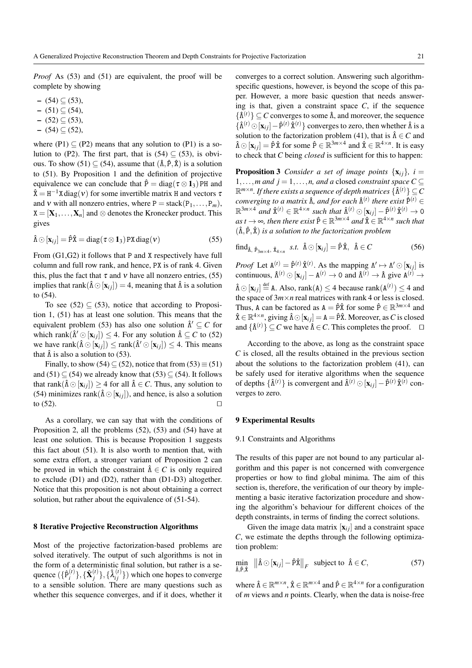*Proof* As (53) and (51) are equivalent, the proof will be complete by showing

- $-$  (54) ⊆ (53),
- $-$  (51) ⊆ (54),
- $-$  (52) ⊂ (53),
- $-$  (54) ⊆ (52),

where (P1)  $\subset$  (P2) means that any solution to (P1) is a solution to (P2). The first part, that is  $(54) \subseteq (53)$ , is obvious. To show (51)  $\subseteq$  (54), assume that  $(\hat{\Lambda}, \hat{P}, \hat{X})$  is a solution to (51). By Proposition 1 and the definition of projective equivalence we can conclude that  $\hat{P} = \text{diag}(\tau \otimes \mathbf{1}_3)$  PH and  $\hat{\mathbf{X}} = \mathbf{H}^{-1} \mathbf{X} \operatorname{diag}(\mathbf{v})$  for some invertible matrix H and vectors  $\tau$ and v with all nonzero entries, where  $P = \text{stack}(P_1, \ldots, P_m)$ ,  $X = [\mathbf{X}_1, \dots, \mathbf{X}_n]$  and  $\otimes$  denotes the Kronecker product. This gives

$$
\hat{\Lambda} \odot [\mathbf{x}_{ij}] = \hat{P}\hat{\mathbf{x}} = \text{diag}(\tau \otimes \mathbf{1}_3) \text{PX diag}(\mathbf{v})
$$
\n(55)

From (G1,G2) it follows that P and X respectively have full column and full row rank, and hence, PX is of rank 4. Given this, plus the fact that  $\tau$  and  $\nu$  have all nonzero entries, (55) implies that rank $(\hat{\Lambda} \odot [\mathbf{x}_{ij}]) = 4$ , meaning that  $\hat{\Lambda}$  is a solution to (54).

To see (52)  $\subseteq$  (53), notice that according to Proposition 1, (51) has at least one solution. This means that the equivalent problem (53) has also one solution  $\hat{\Lambda}' \subseteq C$  for which rank $(\hat{\Lambda}' \odot [\mathbf{x}_{ij}]) \leq 4$ . For any solution  $\hat{\Lambda} \subseteq C$  to (52) we have rank $(\hat{\Lambda} \odot [\mathbf{x}_{ij}]) \leq \text{rank}(\hat{\Lambda}' \odot [\mathbf{x}_{ij}]) \leq 4$ . This means that  $\hat{\Lambda}$  is also a solution to (53).

Finally, to show (54)  $\subseteq$  (52), notice that from (53)  $\equiv$  (51) and (51)  $\subseteq$  (54) we already know that (53)  $\subseteq$  (54). It follows that rank $(\hat{\Lambda} \odot [\mathbf{x}_{ij}]) \geq 4$  for all  $\hat{\Lambda} \in \mathbb{C}$ . Thus, any solution to (54) minimizes rank( $\hat{\Lambda} \odot [\mathbf{x}_{ij}]$ ), and hence, is also a solution to  $(52)$ .

As a corollary, we can say that with the conditions of Proposition 2, all the problems (52), (53) and (54) have at least one solution. This is because Proposition 1 suggests this fact about (51). It is also worth to mention that, with some extra effort, a stronger variant of Proposition 2 can be proved in which the constraint  $\hat{\Lambda} \in C$  is only required to exclude (D1) and (D2), rather than (D1-D3) altogether. Notice that this proposition is not about obtaining a correct solution, but rather about the equivalence of (51-54).

### 8 Iterative Projective Reconstruction Algorithms

Most of the projective factorization-based problems are solved iteratively. The output of such algorithms is not in the form of a deterministic final solution, but rather is a sequence  $(\{\hat{P}_i^{(t)}\})$  $\{\hat{\textbf{X}}^{(t)}_j\},\{\hat{\textbf{X}}^{(t)}_j$  $\{\hat{\lambda}_{ij}^{(t)}\}$  which one hopes to converge to a sensible solution. There are many questions such as whether this sequence converges, and if it does, whether it converges to a correct solution. Answering such algorithmspecific questions, however, is beyond the scope of this paper. However, a more basic question that needs answering is that, given a constraint space *C*, if the sequence  $\{\hat{\Lambda}^{(t)}\}\subseteq C$  converges to some  $\hat{\Lambda}$ , and moreover, the sequence  $\{\hat{\Lambda}^{(t)} \odot [\mathbf{x}_{ij}] - \hat{P}^{(t)} \hat{X}^{(t)}\}$  converges to zero, then whether  $\hat{\Lambda}$  is a solution to the factorization problem (41), that is  $\hat{\Lambda} \in \mathbb{C}$  and  $\hat{\Lambda} \odot [\mathbf{x}_{ij}] = \hat{P} \hat{X}$  for some  $\hat{P} \in \mathbb{R}^{3m \times 4}$  and  $\hat{X} \in \mathbb{R}^{4 \times n}$ . It is easy to check that *C* being *closed* is sufficient for this to happen:

**Proposition 3** *Consider a set of image points*  $\{x_{ij}\}\$ *, i =* 1,...,*m* and  $j = 1, \ldots, n$ , and a closed *constraint space*  $C \subseteq$  $\mathbb{R}^{m \times n}$ . If there exists a sequence of depth matrices  $\{\hat{\Lambda}^{(t)}\} \subseteq C$ *converging to a matrix*  $\hat{\Lambda}$ *, and for each*  $\hat{\Lambda}^{(t)}$  *there exist*  $\hat{P}^{(t)}$   $\in$  $\mathbb{R}^{3m\times4}$  and  $\hat{\mathbf{x}}^{(t)} \in \mathbb{R}^{4\times n}$  such that  $\hat{\Lambda}^{(t)} \odot [\mathbf{x}_{ij}] - \hat{\mathbf{p}}^{(t)} \hat{\mathbf{x}}^{(t)} \rightarrow 0$  $as t \to \infty$ , then there exist  $\hat{P} \in \mathbb{R}^{3m \times 4}$  and  $\hat{X} \in \mathbb{R}^{4 \times n}$  such that (Λˆ,Pˆ,Xˆ) *is a solution to the factorization problem*

$$
\text{find}_{\hat{\Lambda}, \hat{P}_{3m \times 4}, \hat{\mathbf{x}}_{4 \times n}} \quad s.t. \quad \hat{\Lambda} \odot [\mathbf{x}_{ij}] = \hat{P} \hat{\mathbf{x}}, \quad \hat{\Lambda} \in C
$$
\n
$$
(56)
$$

*Proof* Let  $A^{(t)} = \hat{P}^{(t)} \hat{X}^{(t)}$ . As the mapping  $\Lambda' \mapsto \Lambda' \odot [X_{ij}]$  is continuous,  $\hat{\Lambda}^{(t)} \odot [\mathbf{x}_{ij}] - \mathbf{A}^{(t)} \rightarrow 0$  and  $\hat{\Lambda}^{(t)} \rightarrow \hat{\Lambda}$  give  $\mathbf{A}^{(t)} \rightarrow$  $\hat{\Lambda} \odot [\mathbf{x}_{ij}] \stackrel{\text{def}}{=} \mathbf{A}$ . Also, rank $(\mathbf{A}) \leq 4$  because rank $(\mathbf{A}^{(t)}) \leq 4$  and the space of  $3m \times n$  real matrices with rank 4 or less is closed. Thus, A can be factored as  $A = \hat{P}\hat{X}$  for some  $\hat{P} \in \mathbb{R}^{3m \times 4}$  and  $\hat{X} \in \mathbb{R}^{4 \times n}$ , giving  $\hat{\Lambda} \odot [\mathbf{x}_{ij}] = A = \hat{P} \hat{X}$ . Moreover, as C is closed and  $\{\hat{\Lambda}^{(t)}\}\subseteq C$  we have  $\hat{\Lambda}\in C$ . This completes the proof.  $\square$ 

According to the above, as long as the constraint space *C* is closed, all the results obtained in the previous section about the solutions to the factorization problem (41), can be safely used for iterative algorithms when the sequence of depths  $\{\hat{\Lambda}^{(t)}\}$  is convergent and  $\hat{\Lambda}^{(t)} \odot [\mathbf{x}_{ij}] - \hat{P}^{(t)} \hat{X}^{(t)}$  converges to zero.

# 9 Experimental Results

### 9.1 Constraints and Algorithms

The results of this paper are not bound to any particular algorithm and this paper is not concerned with convergence properties or how to find global minima. The aim of this section is, therefore, the verification of our theory by implementing a basic iterative factorization procedure and showing the algorithm's behaviour for different choices of the depth constraints, in terms of finding the correct solutions.

Given the image data matrix  $[\mathbf{x}_{ij}]$  and a constraint space *C*, we estimate the depths through the following optimization problem:

$$
\min_{\hat{\Lambda}, \hat{\mathbf{P}}, \hat{\mathbf{X}}} \left\| \hat{\Lambda} \odot [\mathbf{x}_{ij}] - \hat{\mathbf{P}} \hat{\mathbf{X}} \right\|_{F} \text{ subject to } \hat{\Lambda} \in C, \tag{57}
$$

where  $\hat{\Lambda} \in \mathbb{R}^{m \times n}$ ,  $\hat{\mathbf{x}} \in \mathbb{R}^{m \times 4}$  and  $\hat{\mathbf{P}} \in \mathbb{R}^{4 \times n}$  for a configuration of *m* views and *n* points. Clearly, when the data is noise-free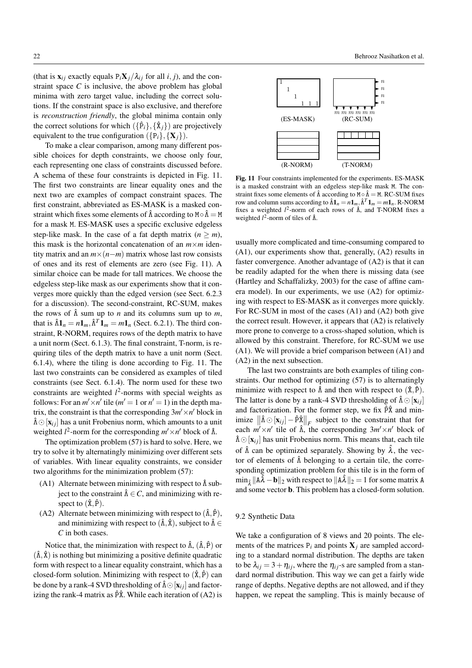(that is  $\mathbf{x}_{ij}$  exactly equals  $P_i \mathbf{X}_j / \lambda_{ij}$  for all *i*, *j*), and the constraint space *C* is inclusive, the above problem has global minima with zero target value, including the correct solutions. If the constraint space is also exclusive, and therefore is *reconstruction friendly*, the global minima contain only the correct solutions for which  $({{\hat{P}_i}, {\hat{X}_j}})$  are projectively equivalent to the true configuration  $({p_i}, {X_i})$ .

To make a clear comparison, among many different possible choices for depth constraints, we choose only four, each representing one class of constraints discussed before. A schema of these four constraints is depicted in Fig. 11. The first two constraints are linear equality ones and the next two are examples of compact constraint spaces. The first constraint, abbreviated as ES-MASK is a masked constraint which fixes some elements of  $\hat{\Lambda}$  according to M∘ $\hat{\Lambda} = M$ for a mask M. ES-MASK uses a specific exclusive edgeless step-like mask. In the case of a fat depth matrix  $(n \ge m)$ , this mask is the horizontal concatenation of an  $m \times m$  identity matrix and an *m*×(*n*−*m*) matrix whose last row consists of ones and its rest of elements are zero (see Fig. 11). A similar choice can be made for tall matrices. We choose the edgeless step-like mask as our experiments show that it converges more quickly than the edged version (see Sect. 6.2.3 for a discussion). The second-constraint, RC-SUM, makes the rows of  $\hat{\Lambda}$  sum up to *n* and its columns sum up to *m*, that is  $\hat{\Lambda} \mathbf{1}_n = n \mathbf{1}_m, \hat{\Lambda}^T \mathbf{1}_m = m \mathbf{1}_n$  (Sect. 6.2.1). The third constraint, R-NORM, requires rows of the depth matrix to have a unit norm (Sect. 6.1.3). The final constraint, T-norm, is requiring tiles of the depth matrix to have a unit norm (Sect. 6.1.4), where the tiling is done according to Fig. 11. The last two constraints can be considered as examples of tiled constraints (see Sect. 6.1.4). The norm used for these two constraints are weighted  $l^2$ -norms with special weights as follows: For an  $m' \times n'$  tile ( $m' = 1$  or  $n' = 1$ ) in the depth matrix, the constraint is that the corresponding  $3m' \times n'$  block in  $\hat{\Lambda} \odot$  [ $\mathbf{x}_{ij}$ ] has a unit Frobenius norm, which amounts to a unit weighted  $l^2$ -norm for the corresponding  $m' \times n'$  block of  $\hat{\Lambda}$ .

The optimization problem (57) is hard to solve. Here, we try to solve it by alternatingly minimizing over different sets of variables. With linear equality constraints, we consider two algorithms for the minimization problem (57):

- (A1) Alternate between minimizing with respect to  $\hat{\Lambda}$  subject to the constraint  $\hat{\Lambda} \in \mathbb{C}$ , and minimizing with respect to  $(\hat{\mathbf{x}}, \hat{\mathbf{P}})$ .
- (A2) Alternate between minimizing with respect to  $(\hat{\Lambda}, \hat{P})$ , and minimizing with respect to  $(\hat{\Lambda}, \hat{\mathbf{X}})$ , subject to  $\hat{\Lambda} \in$ *C* in both cases.

Notice that, the minimization with respect to  $\hat{\Lambda}$ ,  $(\hat{\Lambda}, \hat{P})$  or  $(\hat{\Lambda}, \hat{\mathbf{X}})$  is nothing but minimizing a positive definite quadratic form with respect to a linear equality constraint, which has a closed-form solution. Minimizing with respect to  $(\hat{\mathbf{x}}, \hat{\mathbf{P}})$  can be done by a rank-4 SVD thresholding of  $\hat{\Lambda} \odot [\mathbf{x}_{ij}]$  and factorizing the rank-4 matrix as  $\hat{P} \hat{X}$ . While each iteration of (A2) is



Fig. 11 Four constraints implemented for the experiments. ES-MASK is a masked constraint with an edgeless step-like mask M. The constraint fixes some elements of  $\hat{\Lambda}$  according to  $M \circ \hat{\Lambda} = M$ . RC-SUM fixes row and column sums according to  $\hat{\Lambda} \mathbf{1}_n = n \mathbf{1}_m, \hat{\Lambda}^T \mathbf{1}_m = m \mathbf{1}_n$ . R-NORM fixes a weighted  $l^2$ -norm of each rows of  $\hat{\Lambda}$ , and T-NORM fixes a weighted  $l^2$ -norm of tiles of  $\hat{\Lambda}$ .

usually more complicated and time-consuming compared to (A1), our experiments show that, generally, (A2) results in faster convergence. Another advantage of (A2) is that it can be readily adapted for the when there is missing data (see (Hartley and Schaffalizky, 2003) for the case of affine camera model). In our experiments, we use (A2) for optimizing with respect to ES-MASK as it converges more quickly. For RC-SUM in most of the cases (A1) and (A2) both give the correct result. However, it appears that (A2) is relatively more prone to converge to a cross-shaped solution, which is allowed by this constraint. Therefore, for RC-SUM we use (A1). We will provide a brief comparison between (A1) and (A2) in the next subsection.

The last two constraints are both examples of tiling constraints. Our method for optimizing (57) is to alternatingly minimize with respect to  $\hat{\Lambda}$  and then with respect to  $(\hat{\mathbf{X}}, \hat{\mathbf{P}})$ . The latter is done by a rank-4 SVD thresholding of  $\hat{\Lambda} \odot [\mathbf{x}_{ij}]$ and factorization. For the former step, we fix  $\hat{P} \hat{X}$  and minimize  $\left\| \hat{\Lambda} \odot [\mathbf{x}_{ij}] - \hat{P} \hat{\mathbf{x}} \right\|_F$  subject to the constraint that for each  $m' \times n'$  tile of  $\hat{\Lambda}$ , the corresponding  $3m' \times n'$  block of  $\hat{\Lambda} \odot [\mathbf{x}_{ij}]$  has unit Frobenius norm. This means that, each tile of  $\hat{\Lambda}$  can be optimized separately. Showing by  $\hat{\lambda}$ , the vector of elements of  $\hat{\Lambda}$  belonging to a certain tile, the corresponding optimization problem for this tile is in the form of  $\min_{\hat{\lambda}} ||A\hat{\lambda} - \mathbf{b}||_2$  with respect to  $||A\hat{\lambda}||_2 = 1$  for some matrix A and some vector b. This problem has a closed-form solution.

### 9.2 Synthetic Data

We take a configuration of 8 views and 20 points. The elements of the matrices  $P_i$  and points  $X_j$  are sampled according to a standard normal distribution. The depths are taken to be  $\lambda_{ij} = 3 + \eta_{ij}$ , where the  $\eta_{ij}$ -s are sampled from a standard normal distribution. This way we can get a fairly wide range of depths. Negative depths are not allowed, and if they happen, we repeat the sampling. This is mainly because of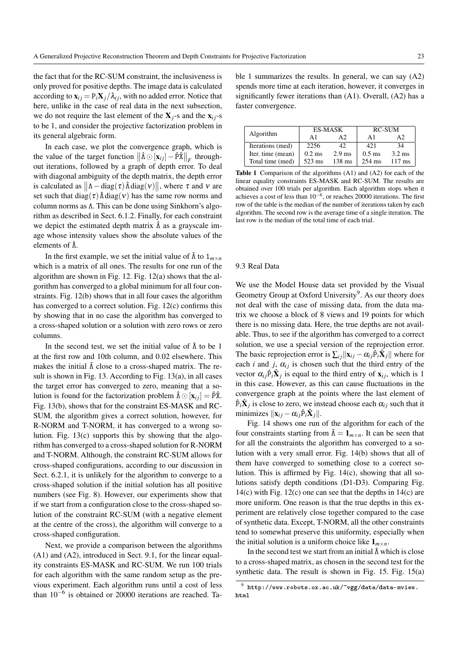the fact that for the RC-SUM constraint, the inclusiveness is only proved for positive depths. The image data is calculated according to  $\mathbf{x}_{ij} = P_i \mathbf{X}_j / \lambda_{ij}$ , with no added error. Notice that here, unlike in the case of real data in the next subsection, we do not require the last element of the  $X_i$ -s and the  $X_i$ <sup>-s</sup> to be 1, and consider the projective factorization problem in its general algebraic form.

In each case, we plot the convergence graph, which is the value of the target function  $\|\hat{\Lambda} \odot [\mathbf{x}_{ij}] - \hat{P}\hat{\mathbf{X}}\|_F$  throughout iterations, followed by a graph of depth error. To deal with diagonal ambiguity of the depth matrix, the depth error is calculated as  $\|\Lambda - \text{diag}(\tau) \hat{\Lambda} \text{diag}(\nu)\|$ , where  $\tau$  and  $\nu$  are set such that diag( $\tau$ )  $\hat{\Lambda}$  diag( $\nu$ ) has the same row norms and column norms as Λ. This can be done using Sinkhorn's algorithm as described in Sect. 6.1.2. Finally, for each constraint we depict the estimated depth matrix  $\hat{\Lambda}$  as a grayscale image whose intensity values show the absolute values of the elements of  $\hat{\Lambda}$ .

In the first example, we set the initial value of  $\hat{\Lambda}$  to  $1_{m \times n}$ which is a matrix of all ones. The results for one run of the algorithm are shown in Fig. 12. Fig. 12(a) shows that the algorithm has converged to a global minimum for all four constraints. Fig. 12(b) shows that in all four cases the algorithm has converged to a correct solution. Fig. 12(c) confirms this by showing that in no case the algorithm has converged to a cross-shaped solution or a solution with zero rows or zero columns.

In the second test, we set the initial value of  $\hat{\Lambda}$  to be 1 at the first row and 10th column, and 0.02 elsewhere. This makes the initial  $\hat{\Lambda}$  close to a cross-shaped matrix. The result is shown in Fig. 13. According to Fig. 13(a), in all cases the target error has converged to zero, meaning that a solution is found for the factorization problem  $\hat{\Lambda} \odot [\mathbf{x}_{ij}] = \hat{P} \hat{\mathbf{x}}$ . Fig. 13(b), shows that for the constraint ES-MASK and RC-SUM, the algorithm gives a correct solution, however, for R-NORM and T-NORM, it has converged to a wrong solution. Fig. 13(c) supports this by showing that the algorithm has converged to a cross-shaped solution for R-NORM and T-NORM. Although, the constraint RC-SUM allows for cross-shaped configurations, according to our discussion in Sect. 6.2.1, it is unlikely for the algorithm to converge to a cross-shaped solution if the initial solution has all positive numbers (see Fig. 8). However, our experiments show that if we start from a configuration close to the cross-shaped solution of the constraint RC-SUM (with a negative element at the centre of the cross), the algorithm will converge to a cross-shaped configuration.

Next, we provide a comparison between the algorithms (A1) and (A2), introduced in Sect. 9.1, for the linear equality constraints ES-MASK and RC-SUM. We run 100 trials for each algorithm with the same random setup as the previous experiment. Each algorithm runs until a cost of less than 10−<sup>6</sup> is obtained or 20000 iterations are reached. Ta-

ble 1 summarizes the results. In general, we can say (A2) spends more time at each iteration, however, it converges in significantly fewer iterations than (A1). Overall, (A2) has a faster convergence.

|                   |          | <b>ES-MASK</b>   | <b>RC-SUM</b>    |                  |  |
|-------------------|----------|------------------|------------------|------------------|--|
| Algorithm         | A1       | А2               | A1               | A2               |  |
| Iterations (med)  | 2256     | 42.              | 42.1             | 34               |  |
| Iter. time (mean) | $0.2$ ms | $2.9$ ms         | $0.5$ ms         | $3.2 \text{ ms}$ |  |
| Total time (med)  | 523 ms   | $138 \text{ ms}$ | $254 \text{ ms}$ | $117 \text{ ms}$ |  |

Table 1 Comparison of the algorithms (A1) and (A2) for each of the linear equality constraints ES-MASK and RC-SUM. The results are obtained over 100 trials per algorithm. Each algorithm stops when it achieves a cost of less than 10−<sup>6</sup> , or reaches 20000 iterations. The first row of the table is the median of the number of iterations taken by each algorithm. The second row is the average time of a single iteration. The last row is the median of the total time of each trial.

# 9.3 Real Data

We use the Model House data set provided by the Visual Geometry Group at Oxford University<sup>9</sup>. As our theory does not deal with the case of missing data, from the data matrix we choose a block of 8 views and 19 points for which there is no missing data. Here, the true depths are not available. Thus, to see if the algorithm has converged to a correct solution, we use a special version of the reprojection error. The basic reprojection error is  $\sum_{ij} ||\mathbf{x}_{ij} - \alpha_{ij} \hat{P}_i \hat{\mathbf{X}}_j||$  where for each *i* and *j*,  $\alpha_{ij}$  is chosen such that the third entry of the vector  $\alpha_{ij} \hat{P}_i \hat{X}_j$  is equal to the third entry of  $x_{ij}$ , which is 1 in this case. However, as this can cause fluctuations in the convergence graph at the points where the last element of  $\hat{P}_i \hat{X}_j$  is close to zero, we instead choose each  $\alpha_{ij}$  such that it minimizes  $\|\mathbf{x}_{ij} - \alpha_{ij}\hat{P}_i\hat{\mathbf{X}}_j\|$ .

Fig. 14 shows one run of the algorithm for each of the four constraints starting from  $\hat{\Lambda} = \mathbf{1}_{m \times n}$ . It can be seen that for all the constraints the algorithm has converged to a solution with a very small error. Fig. 14(b) shows that all of them have converged to something close to a correct solution. This is affirmed by Fig. 14(c), showing that all solutions satisfy depth conditions (D1-D3). Comparing Fig. 14(c) with Fig.  $12(c)$  one can see that the depths in  $14(c)$  are more uniform. One reason is that the true depths in this experiment are relatively close together compared to the case of synthetic data. Except, T-NORM, all the other constraints tend to somewhat preserve this uniformity, especially when the initial solution is a uniform choice like  $1_{m \times n}$ .

In the second test we start from an initial  $\hat{\Lambda}$  which is close to a cross-shaped matrix, as chosen in the second test for the synthetic data. The result is shown in Fig. 15. Fig. 15(a)

 $9$  http://www.robots.ox.ac.uk/~vgg/data/data-mview. html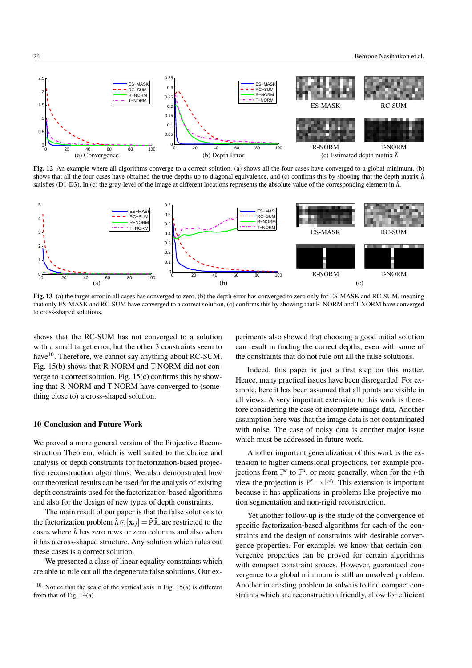

Fig. 12 An example where all algorithms converge to a correct solution. (a) shows all the four cases have converged to a global minimum, (b) shows that all the four cases have obtained the true depths up to diagonal equivalence, and (c) confirms this by showing that the depth matrix  $\hat{\Lambda}$ satisfies (D1-D3). In (c) the gray-level of the image at different locations represents the absolute value of the corresponding element in  $\hat{\Lambda}$ .



Fig. 13 (a) the target error in all cases has converged to zero, (b) the depth error has converged to zero only for ES-MASK and RC-SUM, meaning that only ES-MASK and RC-SUM have converged to a correct solution, (c) confirms this by showing that R-NORM and T-NORM have converged to cross-shaped solutions.

shows that the RC-SUM has not converged to a solution with a small target error, but the other 3 constraints seem to have<sup>10</sup>. Therefore, we cannot say anything about RC-SUM. Fig. 15(b) shows that R-NORM and T-NORM did not converge to a correct solution. Fig. 15(c) confirms this by showing that R-NORM and T-NORM have converged to (something close to) a cross-shaped solution.

### 10 Conclusion and Future Work

We proved a more general version of the Projective Reconstruction Theorem, which is well suited to the choice and analysis of depth constraints for factorization-based projective reconstruction algorithms. We also demonstrated how our theoretical results can be used for the analysis of existing depth constraints used for the factorization-based algorithms and also for the design of new types of depth constraints.

The main result of our paper is that the false solutions to the factorization problem  $\hat{\Lambda} \odot [\mathbf{x}_{ij}] = \hat{P} \hat{X}$ , are restricted to the cases where  $\hat{\Lambda}$  has zero rows or zero columns and also when it has a cross-shaped structure. Any solution which rules out these cases is a correct solution.

We presented a class of linear equality constraints which are able to rule out all the degenerate false solutions. Our experiments also showed that choosing a good initial solution can result in finding the correct depths, even with some of the constraints that do not rule out all the false solutions.

Indeed, this paper is just a first step on this matter. Hence, many practical issues have been disregarded. For example, here it has been assumed that all points are visible in all views. A very important extension to this work is therefore considering the case of incomplete image data. Another assumption here was that the image data is not contaminated with noise. The case of noisy data is another major issue which must be addressed in future work.

Another important generalization of this work is the extension to higher dimensional projections, for example projections from  $\mathbb{P}^r$  to  $\mathbb{P}^s$ , or more generally, when for the *i*-th view the projection is  $\mathbb{P}^r \to \mathbb{P}^{s_i}$ . This extension is important because it has applications in problems like projective motion segmentation and non-rigid reconstruction.

Yet another follow-up is the study of the convergence of specific factorization-based algorithms for each of the constraints and the design of constraints with desirable convergence properties. For example, we know that certain convergence properties can be proved for certain algorithms with compact constraint spaces. However, guaranteed convergence to a global minimum is still an unsolved problem. Another interesting problem to solve is to find compact constraints which are reconstruction friendly, allow for efficient

 $10$  Notice that the scale of the vertical axis in Fig. 15(a) is different from that of Fig. 14(a)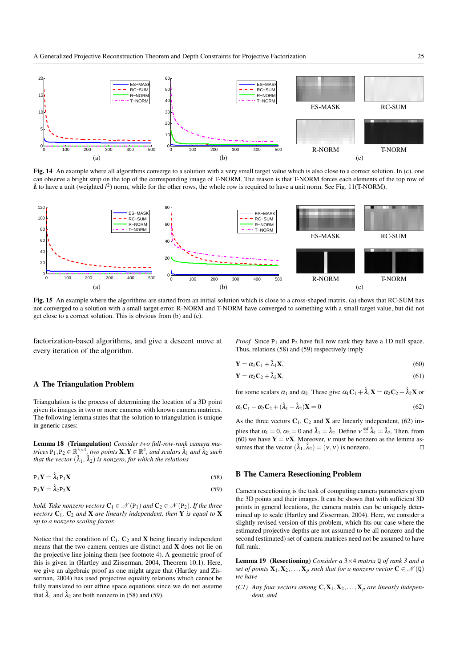

Fig. 14 An example where all algorithms converge to a solution with a very small target value which is also close to a correct solution. In (c), one can observe a bright strip on the top of the corresponding image of T-NORM. The reason is that T-NORM forces each elements of the top row of  $\hat{\Lambda}$  to have a unit (weighted  $l^2$ ) norm, while for the other rows, the whole row is required to have a unit norm. See Fig. 11(T-NORM).



Fig. 15 An example where the algorithms are started from an initial solution which is close to a cross-shaped matrix. (a) shows that RC-SUM has not converged to a solution with a small target error. R-NORM and T-NORM have converged to something with a small target value, but did not get close to a correct solution. This is obvious from (b) and (c).

factorization-based algorithms, and give a descent move at every iteration of the algorithm.

### A The Triangulation Problem

Triangulation is the process of determining the location of a 3D point given its images in two or more cameras with known camera matrices. The following lemma states that the solution to triangulation is unique in generic cases:

Lemma 18 (Triangulation) *Consider two full-row-rank camera ma-* $\textrm{trices} \ \texttt{P}_1, \texttt{P}_2 \in \mathbb{R}^{3 \times 4}, \textrm{two points} \ \textbf{X}, \textbf{Y} \in \mathbb{R}^{4}, \textrm{ and scalars} \ \hat{\lambda}_1 \textrm{ and} \ \hat{\lambda}_2 \textrm{ such}$ that the vector  $(\hat{\lambda}_1, \hat{\lambda}_2)$  is nonzero, for which the relations

$$
P_1 Y = \hat{\lambda}_1 P_1 X \tag{58}
$$

$$
P_2Y = \hat{\lambda}_2 P_2 X \tag{59}
$$

*hold. Take nonzero vectors*  $C_1 \in \mathcal{N}(P_1)$  *and*  $C_2 \in \mathcal{N}(P_2)$ *. If the three vectors*  $C_1$ ,  $C_2$  *and* **X** *are linearly independent, then* **Y** *is equal to* **X** *up to a nonzero scaling factor.*

Notice that the condition of  $C_1$ ,  $C_2$  and **X** being linearly independent means that the two camera centres are distinct and X does not lie on the projective line joining them (see footnote 4). A geometric proof of this is given in (Hartley and Zisserman, 2004, Theorem 10.1). Here, we give an algebraic proof as one might argue that (Hartley and Zisserman, 2004) has used projective equality relations which cannot be fully translated to our affine space equations since we do not assume that  $\hat{\lambda}_1$  and  $\hat{\lambda}_2$  are both nonzero in (58) and (59).

*Proof* Since  $P_1$  and  $P_2$  have full row rank they have a 1D null space. Thus, relations (58) and (59) respectively imply

$$
\mathbf{Y} = \alpha_1 \mathbf{C}_1 + \hat{\lambda}_1 \mathbf{X},\tag{60}
$$

$$
\mathbf{Y} = \alpha_2 \mathbf{C}_2 + \hat{\lambda}_2 \mathbf{X},\tag{61}
$$

for some scalars  $\alpha_1$  and  $\alpha_2$ . These give  $\alpha_1 \mathbf{C}_1 + \hat{\lambda}_1 \mathbf{X} = \alpha_2 \mathbf{C}_2 + \hat{\lambda}_2 \mathbf{X}$  or

$$
\alpha_1 \mathbf{C}_1 - \alpha_2 \mathbf{C}_2 + (\hat{\lambda}_1 - \hat{\lambda}_2) \mathbf{X} = 0 \tag{62}
$$

As the three vectors  $C_1$ ,  $C_2$  and **X** are linearly independent, (62) implies that  $\alpha_1 = 0$ ,  $\alpha_2 = 0$  and  $\hat{\lambda}_1 = \hat{\lambda}_2$ . Define  $v = \hat{\lambda}_1 = \hat{\lambda}_2$ . Then, from (60) we have  $Y = vX$ . Moreover, v must be nonzero as the lemma assumes that the vector  $(\hat{\lambda}_1, \hat{\lambda}_2) = (v, v)$  is nonzero.

### B The Camera Resectioning Problem

Camera resectioning is the task of computing camera parameters given the 3D points and their images. It can be shown that with sufficient 3D points in general locations, the camera matrix can be uniquely determined up to scale (Hartley and Zisserman, 2004). Here, we consider a slightly revised version of this problem, which fits our case where the estimated projective depths are not assumed to be all nonzero and the second (estimated) set of camera matrices need not be assumed to have full rank.

Lemma 19 (Resectioning) *Consider a* 3×4 *matrix* Q *of rank 3 and a set of points*  $X_1, X_2, ..., X_p$  *such that for a nonzero vector*  $C \in \mathcal{N}(Q)$ *we have*

*(C1) Any four vectors among*  $C, X_1, X_2, \ldots, X_p$  *are linearly independent, and*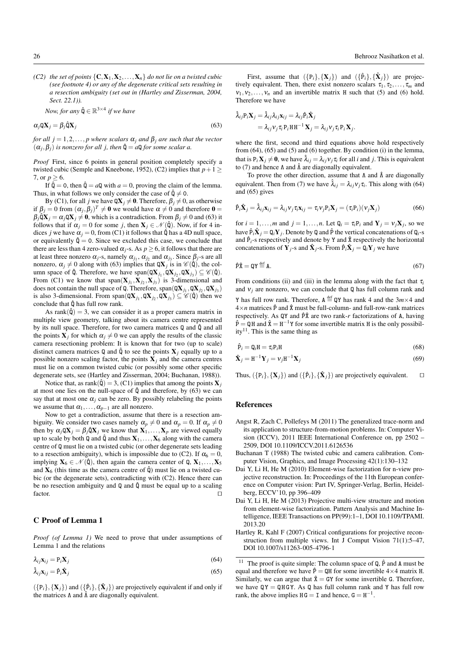*(C2) the set of points*  $\{C, X_1, X_2, \ldots, X_n\}$  *do not lie on a twisted cubic (see footnote 4) or any of the degenerate critical sets resulting in a resection ambiguity (set out in (Hartley and Zisserman, 2004, Sect. 22.1)).*

*Now, for any*  $\hat{\mathbf{Q}} \in \mathbb{R}^{3 \times 4}$  if we have

$$
\alpha_j \mathbf{Q} \mathbf{X}_j = \beta_j \hat{\mathbf{Q}} \mathbf{X}_j \tag{63}
$$

*for all j* = 1,2,..., *p where scalars*  $\alpha_j$  *and*  $\beta_j$  *are such that the vector*  $(\alpha_j, \beta_j)$  *is nonzero for all j, then*  $\hat{\mathbf{Q}} = a\mathbf{Q}$  *for some scalar a.* 

*Proof* First, since 6 points in general position completely specify a twisted cubic (Semple and Kneebone, 1952), (C2) implies that  $p+1 \geq$ 7, or  $p \ge 6$ .

If  $\hat{Q} = 0$ , then  $\hat{Q} = aQ$  with  $a = 0$ , proving the claim of the lemma. Thus, in what follows we only consider the case of  $\hat{\mathbf{Q}} \neq 0$ .

By (C1), for all *j* we have  $\mathbf{Q}\mathbf{X}_j \neq \mathbf{0}$ . Therefore,  $\beta_j \neq 0$ , as otherwise if  $\beta_j = 0$  from  $(\alpha_j, \beta_j)^T \neq \mathbf{0}$  we would have  $\alpha \neq 0$  and therefore  $\mathbf{0} =$  $\beta_j$ Q̃**X**<sub>*j*</sub> =  $\alpha_j$ Q**X**<sub>*j*</sub>  $\neq$  **0**, which is a contradiction. From  $\beta_j \neq 0$  and (63) it follows that if  $\alpha_j = 0$  for some *j*, then  $\mathbf{X}_j \in \mathcal{N}(\hat{\mathbf{Q}})$ . Now, if for 4 indices *j* we have  $\alpha_i = 0$ , from (C1) it follows that  $\hat{\mathfrak{q}}$  has a 4D null space, or equivalently  $\hat{\mathbf{Q}} = 0$ . Since we excluded this case, we conclude that there are less than 4 zero-valued  $\alpha_i$ -s. As  $p \ge 6$ , it follows that there are at least three nonzero  $\alpha_j$ -s, namely  $\alpha_{j_1}, \alpha_{j_2}$  and  $\alpha_{j_3}$ . Since  $\beta_j$ -s are all nonzero,  $\alpha_j \neq 0$  along with (63) implies that  $\mathbb{Q}X_j$  is in  $\mathscr{C}(\hat{\mathbb{Q}})$ , the column space of  $\hat{\mathbf{Q}}$ . Therefore, we have span $(\mathbf{Q}\mathbf{X}_{j_1}, \mathbf{Q}\mathbf{X}_{j_2}, \mathbf{Q}\mathbf{X}_{j_3}) \subseteq \mathcal{C}(\hat{\mathbf{Q}})$ . From (C1) we know that  $span(\mathbf{X}_{j_1}, \mathbf{X}_{j_2}, \mathbf{X}_{j_3})$  is 3-dimensional and does not contain the null space of **Q**. Therefore, span( $QX_{j_1}$ ,  $QX_{j_2}$ ,  $QX_{j_3}$ ) is also 3-dimensional. From span( $QX_{j_1}, QX_{j_2}, QX_{j_3}$ )  $\subseteq \mathscr{C}(\hat{Q})$  then we conclude that  $\hat{Q}$  has full row rank.

As  $rank(\hat{Q}) = 3$ , we can consider it as a proper camera matrix in multiple view geometry, talking about its camera centre represented by its null space. Therefore, for two camera matrices  $Q$  and  $\hat{Q}$  and all the points  $X_j$  for which  $\alpha_j \neq 0$  we can apply the results of the classic camera resectioning problem: It is known that for two (up to scale) distinct camera matrices  $Q$  and  $\hat{Q}$  to see the points  $X_j$  equally up to a possible nonzero scaling factor, the points  $X_j$  and the camera centres must lie on a common twisted cubic (or possibly some other specific degenerate sets, see (Hartley and Zisserman, 2004; Buchanan, 1988)).

Notice that, as rank $(\hat{\mathbf{Q}}) = 3$ ,  $(C1)$  implies that among the points **X**<sub>*j*</sub> at most one lies on the null-space of  $\hat{Q}$  and therefore, by (63) we can say that at most one  $\alpha_j$  can be zero. By possibly relabeling the points we assume that  $\alpha_1, \ldots, \alpha_{p-1}$  are all nonzero.

Now to get a contradiction, assume that there is a resection ambiguity. We consider two cases namely  $\alpha_p \neq 0$  and  $\alpha_p = 0$ . If  $\alpha_p \neq 0$ then by  $\alpha_j \mathbf{Q} \mathbf{X}_j = \beta_j \hat{\mathbf{Q}} \mathbf{X}_j$  we know that  $\mathbf{X}_1, \dots, \mathbf{X}_p$  are viewed equally up to scale by both Q and Q and thus  $X_1, \ldots, X_6$  along with the camera centre of Q must lie on a twisted cubic (or other degenerate sets leading to a resection ambiguity), which is impossible due to (C2). If  $\alpha_6 = 0$ , implying  $X_6 \in \mathcal{N}(\hat{Q})$ , then again the camera center of  $Q, X_1, \ldots, X_5$ and  $X_6$  (this time as the camera centre of  $\hat{Q}$ ) must lie on a twisted cubic (or the degenerate sets), contradicting with (C2). Hence there can be no resection ambiguity and  $Q$  and  $\hat{Q}$  must be equal up to a scaling factor.  $\Box$ 

# C Proof of Lemma 1

*Proof (of Lemma 1)* We need to prove that under assumptions of Lemma 1 and the relations

$$
\lambda_{ij}\mathbf{x}_{ij} = \mathbf{P}_i\mathbf{X}_j \tag{64}
$$

$$
\hat{\lambda}_{ij}\mathbf{x}_{ij} = \hat{\mathbf{P}}_i\hat{\mathbf{X}}_j\tag{65}
$$

 $({\{P_i\}}, {\{X_j\}})$  and  $({{\{\hat{P}_i\}}, {\{\hat{X}_j\}}})$  are projectively equivalent if and only if the matrices  $Λ$  and  $Λ$  are diagonally equivalent.

First, assume that  $({\{P_i\}}, {\{X_j\}})$  and  $({{\{\hat{P}_i\}}}, {\{\hat{X}_j\}})$  are projectively equivalent. Then, there exist nonzero scalars  $\tau_1, \tau_2, \ldots, \tau_m$  and  $v_1, v_2, \ldots, v_n$  and an invertible matrix H such that (5) and (6) hold. Therefore we have

$$
\hat{\lambda}_{ij}P_i\mathbf{X}_j = \hat{\lambda}_{ij}\lambda_{ij}\mathbf{x}_{ij} = \lambda_{ij}\hat{P}_i\hat{\mathbf{X}}_j
$$
  
=  $\lambda_{ij}v_j\tau_iP_iHH^{-1}\mathbf{X}_j = \lambda_{ij}v_j\tau_iP_i\mathbf{X}_j$ .

where the first, second and third equations above hold respectively from (64), (65) and (5) and (6) together. By condition (i) in the lemma, that is  $P_i X_j \neq 0$ , we have  $\hat{\lambda}_{ij} = \lambda_{ij} v_j \tau_i$  for all *i* and *j*. This is equivalent to (7) and hence Λ and  $\hat{\Lambda}$  are diagonally equivalent.

To prove the other direction, assume that  $\Lambda$  and  $\hat{\Lambda}$  are diagonally equivalent. Then from (7) we have  $\hat{\lambda}_{ij} = \lambda_{ij} v_j \tau_i$ . This along with (64) and (65) gives

$$
\hat{P}_i \hat{X}_j = \hat{\lambda}_{ij} X_{ij} = \lambda_{ij} v_j \tau_i X_{ij} = \tau_i v_j P_i X_j = (\tau_i P_i)(v_j X_j)
$$
(66)

for  $i = 1, ..., m$  and  $j = 1, ..., n$ . Let  $Q_i = \tau_i P_i$  and  $Y_j = v_j X_j$ , so we have  $\hat{P}_i \hat{X}_j = Q_i Y_j$ . Denote by Q and  $\hat{P}$  the vertical concatenations of  $Q_i$ -s and  $\hat{P}_i$ -s respectively and denote by Y and  $\hat{X}$  respectively the horizontal concatenations of  $Y_j$ -s and  $\hat{X}_j$ -s. From  $\hat{P}_i \hat{X}_j = Q_i Y_j$  we have

$$
\hat{\mathbf{P}}\hat{\mathbf{X}} = \mathbf{Q}\mathbf{Y} \stackrel{\text{def}}{=} \mathbf{A}.\tag{67}
$$

From conditions (ii) and (iii) in the lemma along with the fact that  $\tau$ <sub>*i*</sub> and  $v_i$  are nonzero, we can conclude that  $Q$  has full column rank and

Y has full row rank. Therefore,  $A \stackrel{\text{def}}{=} QY$  has rank 4 and the  $3m \times 4$  and  $4\times n$  matrices  $\hat{P}$  and  $\hat{X}$  must be full-column- and full-row-rank matrices respectively. As QY and  $\hat{P}\hat{x}$  are two rank-*r* factorizations of A, having  $\hat{P} = QH$  and  $\hat{X} = H^{-1}Y$  for some invertible matrix H is the only possibility<sup>11</sup>. This is the same thing as

$$
\hat{\mathbf{P}}_i = \mathbf{Q}_i \mathbf{H} = \tau_i \mathbf{P}_i \mathbf{H} \tag{68}
$$

$$
\hat{\mathbf{X}}_j = \mathbf{H}^{-1} \mathbf{Y}_j = \mathbf{v}_j \mathbf{H}^{-1} \mathbf{X}_j \tag{69}
$$

Thus,  $({\{P_i\}}, {\{X_j\}})$  and  $({{\{\hat{P}_i\}}, {\{\hat{X}_j\}}})$  are projectively equivalent.  $\square$ 

### References

- Angst R, Zach C, Pollefeys M (2011) The generalized trace-norm and its application to structure-from-motion problems. In: Computer Vision (ICCV), 2011 IEEE International Conference on, pp 2502 – 2509, DOI 10.1109/ICCV.2011.6126536
- Buchanan T (1988) The twisted cubic and camera calibration. Computer Vision, Graphics, and Image Processing 42(1):130–132
- Dai Y, Li H, He M (2010) Element-wise factorization for n-view projective reconstruction. In: Proceedings of the 11th European conference on Computer vision: Part IV, Springer-Verlag, Berlin, Heidelberg, ECCV'10, pp 396–409
- Dai Y, Li H, He M (2013) Projective multi-view structure and motion from element-wise factorization. Pattern Analysis and Machine Intelligence, IEEE Transactions on PP(99):1–1, DOI 10.1109/TPAMI. 2013.20
- Hartley R, Kahl F (2007) Critical configurations for projective reconstruction from multiple views. Int J Comput Vision 71(1):5–47, DOI 10.1007/s11263-005-4796-1

<sup>&</sup>lt;sup>11</sup> The proof is quite simple: The column space of  $Q$ ,  $\hat{P}$  and A must be equal and therefore we have  $\hat{P} = QH$  for some invertible  $4 \times 4$  matrix H. Similarly, we can argue that  $\hat{x} = GY$  for some invertible G. Therefore, we have  $QY = QHGY$ . As Q has full column rank and Y has full row rank, the above implies  $HG = I$  and hence,  $G = H^{-1}$ .